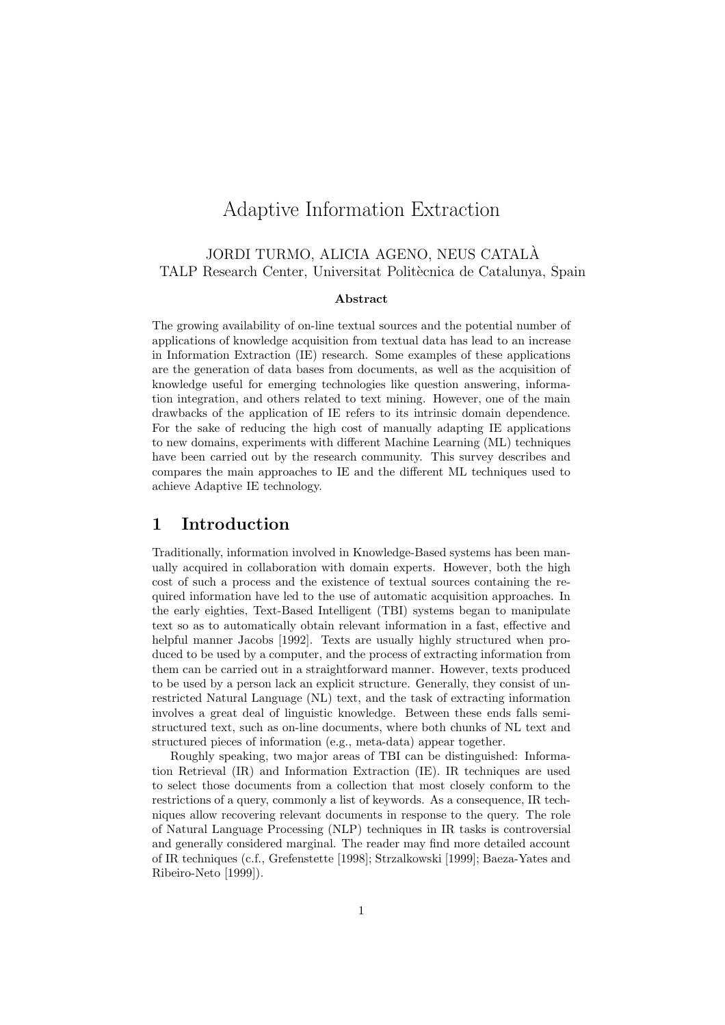# Adaptive Information Extraction

# JORDI TURMO, ALICIA AGENO, NEUS CATALA` TALP Research Center, Universitat Politècnica de Catalunya, Spain

## Abstract

The growing availability of on-line textual sources and the potential number of applications of knowledge acquisition from textual data has lead to an increase in Information Extraction (IE) research. Some examples of these applications are the generation of data bases from documents, as well as the acquisition of knowledge useful for emerging technologies like question answering, information integration, and others related to text mining. However, one of the main drawbacks of the application of IE refers to its intrinsic domain dependence. For the sake of reducing the high cost of manually adapting IE applications to new domains, experiments with different Machine Learning (ML) techniques have been carried out by the research community. This survey describes and compares the main approaches to IE and the different ML techniques used to achieve Adaptive IE technology.

# 1 Introduction

Traditionally, information involved in Knowledge-Based systems has been manually acquired in collaboration with domain experts. However, both the high cost of such a process and the existence of textual sources containing the required information have led to the use of automatic acquisition approaches. In the early eighties, Text-Based Intelligent (TBI) systems began to manipulate text so as to automatically obtain relevant information in a fast, effective and helpful manner Jacobs [1992]. Texts are usually highly structured when produced to be used by a computer, and the process of extracting information from them can be carried out in a straightforward manner. However, texts produced to be used by a person lack an explicit structure. Generally, they consist of unrestricted Natural Language (NL) text, and the task of extracting information involves a great deal of linguistic knowledge. Between these ends falls semistructured text, such as on-line documents, where both chunks of NL text and structured pieces of information (e.g., meta-data) appear together.

Roughly speaking, two major areas of TBI can be distinguished: Information Retrieval (IR) and Information Extraction (IE). IR techniques are used to select those documents from a collection that most closely conform to the restrictions of a query, commonly a list of keywords. As a consequence, IR techniques allow recovering relevant documents in response to the query. The role of Natural Language Processing (NLP) techniques in IR tasks is controversial and generally considered marginal. The reader may find more detailed account of IR techniques (c.f., Grefenstette [1998]; Strzalkowski [1999]; Baeza-Yates and Ribeiro-Neto [1999]).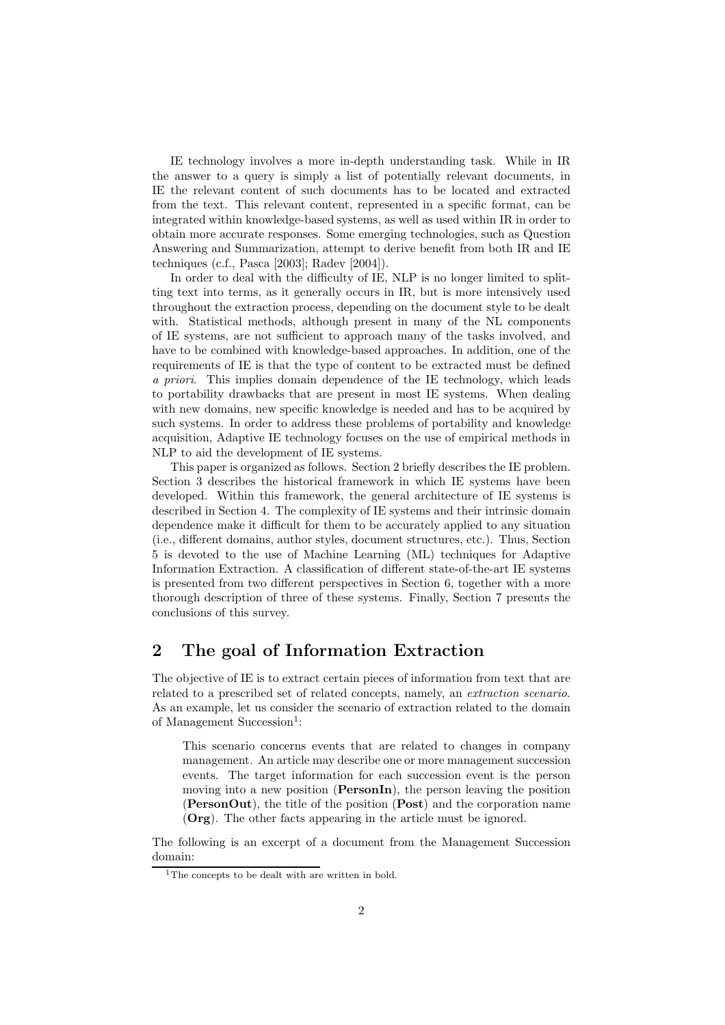IE technology involves a more in-depth understanding task. While in IR the answer to a query is simply a list of potentially relevant documents, in IE the relevant content of such documents has to be located and extracted from the text. This relevant content, represented in a specific format, can be integrated within knowledge-based systems, as well as used within IR in order to obtain more accurate responses. Some emerging technologies, such as Question Answering and Summarization, attempt to derive benefit from both IR and IE techniques (c.f., Pasca [2003]; Radev [2004]).

In order to deal with the difficulty of IE, NLP is no longer limited to splitting text into terms, as it generally occurs in IR, but is more intensively used throughout the extraction process, depending on the document style to be dealt with. Statistical methods, although present in many of the NL components of IE systems, are not sufficient to approach many of the tasks involved, and have to be combined with knowledge-based approaches. In addition, one of the requirements of IE is that the type of content to be extracted must be defined a priori. This implies domain dependence of the IE technology, which leads to portability drawbacks that are present in most IE systems. When dealing with new domains, new specific knowledge is needed and has to be acquired by such systems. In order to address these problems of portability and knowledge acquisition, Adaptive IE technology focuses on the use of empirical methods in NLP to aid the development of IE systems.

This paper is organized as follows. Section 2 briefly describes the IE problem. Section 3 describes the historical framework in which IE systems have been developed. Within this framework, the general architecture of IE systems is described in Section 4. The complexity of IE systems and their intrinsic domain dependence make it difficult for them to be accurately applied to any situation (i.e., different domains, author styles, document structures, etc.). Thus, Section 5 is devoted to the use of Machine Learning (ML) techniques for Adaptive Information Extraction. A classification of different state-of-the-art IE systems is presented from two different perspectives in Section 6, together with a more thorough description of three of these systems. Finally, Section 7 presents the conclusions of this survey.

# 2 The goal of Information Extraction

The objective of IE is to extract certain pieces of information from text that are related to a prescribed set of related concepts, namely, an extraction scenario. As an example, let us consider the scenario of extraction related to the domain of Management Succession<sup>1</sup>:

This scenario concerns events that are related to changes in company management. An article may describe one or more management succession events. The target information for each succession event is the person moving into a new position (PersonIn), the person leaving the position (PersonOut), the title of the position (Post) and the corporation name (Org). The other facts appearing in the article must be ignored.

The following is an excerpt of a document from the Management Succession domain:

<sup>&</sup>lt;sup>1</sup>The concepts to be dealt with are written in bold.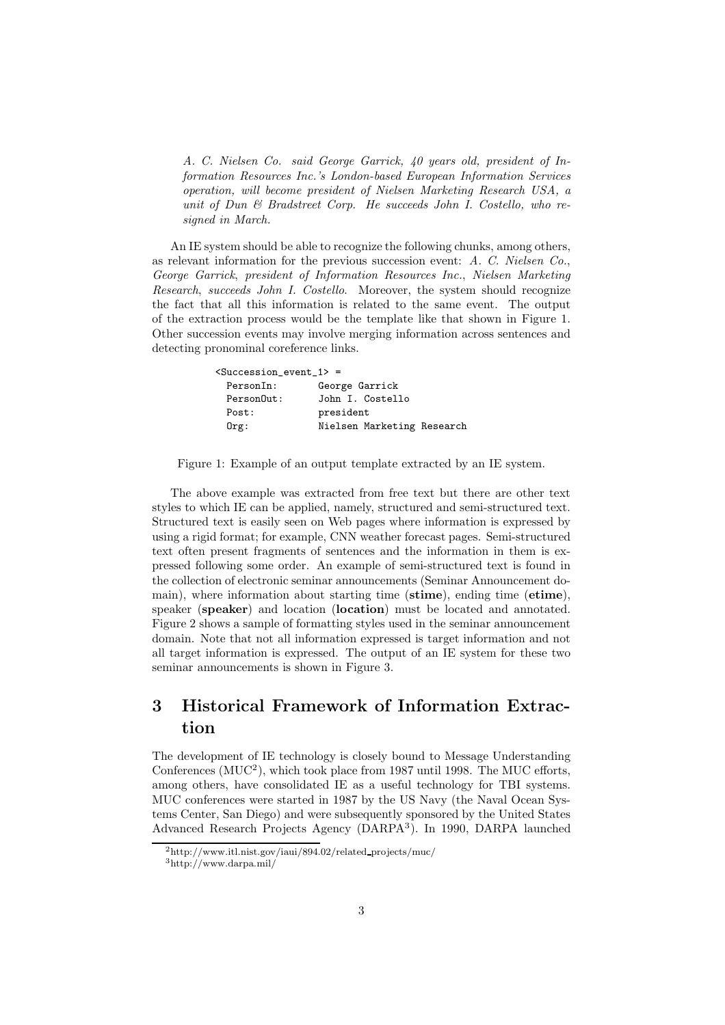A. C. Nielsen Co. said George Garrick, 40 years old, president of Information Resources Inc.'s London-based European Information Services operation, will become president of Nielsen Marketing Research USA, a unit of Dun & Bradstreet Corp. He succeeds John I. Costello, who resigned in March.

An IE system should be able to recognize the following chunks, among others, as relevant information for the previous succession event: A. C. Nielsen Co., George Garrick, president of Information Resources Inc., Nielsen Marketing Research, succeeds John I. Costello. Moreover, the system should recognize the fact that all this information is related to the same event. The output of the extraction process would be the template like that shown in Figure 1. Other succession events may involve merging information across sentences and detecting pronominal coreference links.

| $<$ Succession_event_1> = |                            |
|---------------------------|----------------------------|
| PersonIn:                 | George Garrick             |
| PersonOut:                | John I. Costello           |
| Post:                     | president                  |
| $0$ rg:                   | Nielsen Marketing Research |

Figure 1: Example of an output template extracted by an IE system.

The above example was extracted from free text but there are other text styles to which IE can be applied, namely, structured and semi-structured text. Structured text is easily seen on Web pages where information is expressed by using a rigid format; for example, CNN weather forecast pages. Semi-structured text often present fragments of sentences and the information in them is expressed following some order. An example of semi-structured text is found in the collection of electronic seminar announcements (Seminar Announcement domain), where information about starting time (stime), ending time (etime), speaker (speaker) and location (location) must be located and annotated. Figure 2 shows a sample of formatting styles used in the seminar announcement domain. Note that not all information expressed is target information and not all target information is expressed. The output of an IE system for these two seminar announcements is shown in Figure 3.

# 3 Historical Framework of Information Extraction

The development of IE technology is closely bound to Message Understanding Conferences (MUC<sup>2</sup>), which took place from 1987 until 1998. The MUC efforts, among others, have consolidated IE as a useful technology for TBI systems. MUC conferences were started in 1987 by the US Navy (the Naval Ocean Systems Center, San Diego) and were subsequently sponsored by the United States Advanced Research Projects Agency (DARPA<sup>3</sup> ). In 1990, DARPA launched

<sup>2</sup>http://www.itl.nist.gov/iaui/894.02/related projects/muc/

<sup>3</sup>http://www.darpa.mil/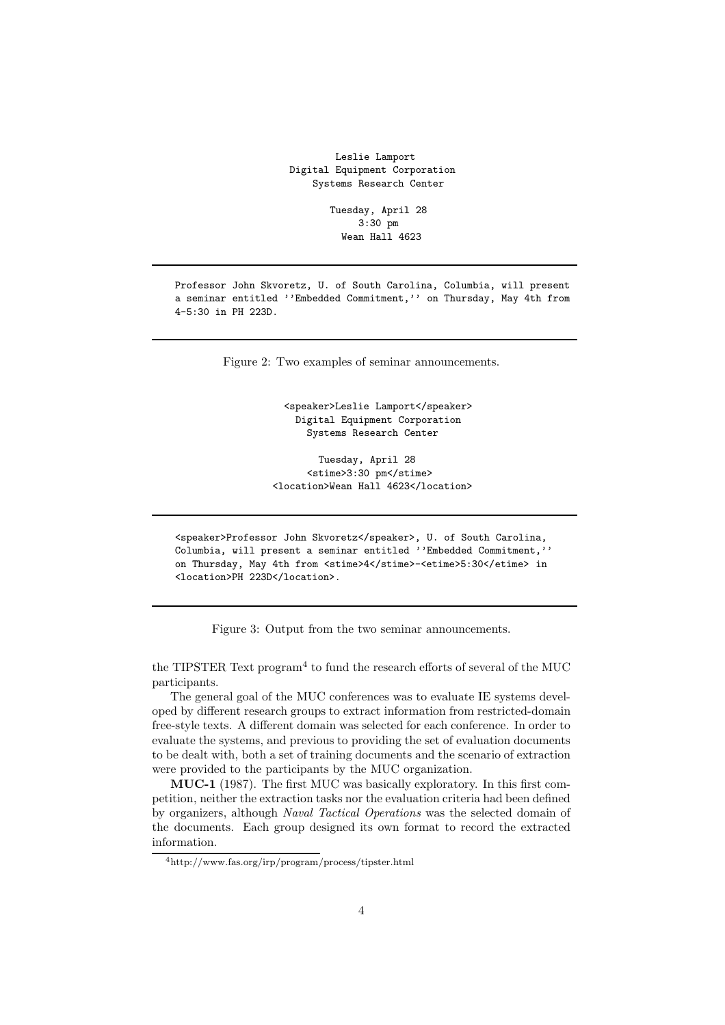Leslie Lamport Digital Equipment Corporation Systems Research Center

> Tuesday, April 28 3:30 pm Wean Hall 4623

Professor John Skvoretz, U. of South Carolina, Columbia, will present a seminar entitled ''Embedded Commitment,'' on Thursday, May 4th from 4-5:30 in PH 223D.

Figure 2: Two examples of seminar announcements.

<speaker>Leslie Lamport</speaker> Digital Equipment Corporation Systems Research Center

Tuesday, April 28 <stime>3:30 pm</stime> <location>Wean Hall 4623</location>

<speaker>Professor John Skvoretz</speaker>, U. of South Carolina, Columbia, will present a seminar entitled ''Embedded Commitment,'' on Thursday, May 4th from <stime>4</stime>-<etime>5:30</etime> in <location>PH 223D</location>.

Figure 3: Output from the two seminar announcements.

the TIPSTER Text  $\text{program}^4$  to fund the research efforts of several of the MUC participants.

The general goal of the MUC conferences was to evaluate IE systems developed by different research groups to extract information from restricted-domain free-style texts. A different domain was selected for each conference. In order to evaluate the systems, and previous to providing the set of evaluation documents to be dealt with, both a set of training documents and the scenario of extraction were provided to the participants by the MUC organization.

MUC-1 (1987). The first MUC was basically exploratory. In this first competition, neither the extraction tasks nor the evaluation criteria had been defined by organizers, although Naval Tactical Operations was the selected domain of the documents. Each group designed its own format to record the extracted information.

<sup>4</sup>http://www.fas.org/irp/program/process/tipster.html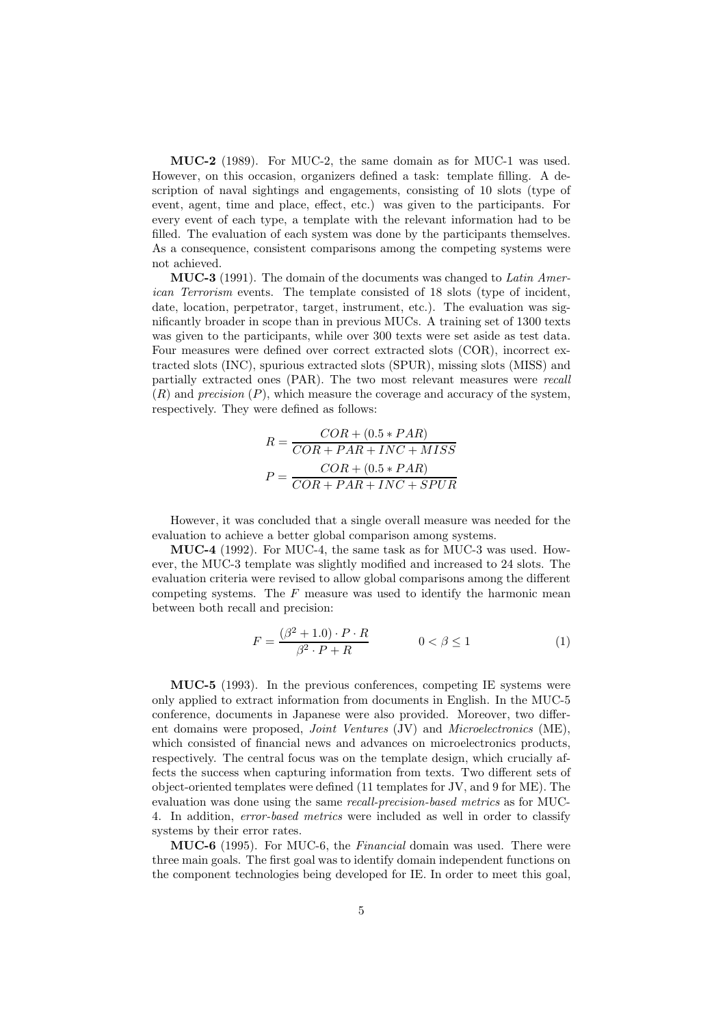MUC-2 (1989). For MUC-2, the same domain as for MUC-1 was used. However, on this occasion, organizers defined a task: template filling. A description of naval sightings and engagements, consisting of 10 slots (type of event, agent, time and place, effect, etc.) was given to the participants. For every event of each type, a template with the relevant information had to be filled. The evaluation of each system was done by the participants themselves. As a consequence, consistent comparisons among the competing systems were not achieved.

MUC-3 (1991). The domain of the documents was changed to Latin American Terrorism events. The template consisted of 18 slots (type of incident, date, location, perpetrator, target, instrument, etc.). The evaluation was significantly broader in scope than in previous MUCs. A training set of 1300 texts was given to the participants, while over 300 texts were set aside as test data. Four measures were defined over correct extracted slots (COR), incorrect extracted slots (INC), spurious extracted slots (SPUR), missing slots (MISS) and partially extracted ones (PAR). The two most relevant measures were recall  $(R)$  and precision  $(P)$ , which measure the coverage and accuracy of the system, respectively. They were defined as follows:

$$
R = \frac{COR + (0.5 * PAR)}{COR + PAR + INC + MISS}
$$

$$
P = \frac{COR + (0.5 * PAR)}{COR + PAR + INC + SPUR}
$$

However, it was concluded that a single overall measure was needed for the evaluation to achieve a better global comparison among systems.

MUC-4 (1992). For MUC-4, the same task as for MUC-3 was used. However, the MUC-3 template was slightly modified and increased to 24 slots. The evaluation criteria were revised to allow global comparisons among the different competing systems. The  $F$  measure was used to identify the harmonic mean between both recall and precision:

$$
F = \frac{(\beta^2 + 1.0) \cdot P \cdot R}{\beta^2 \cdot P + R} \qquad 0 < \beta \le 1 \tag{1}
$$

MUC-5 (1993). In the previous conferences, competing IE systems were only applied to extract information from documents in English. In the MUC-5 conference, documents in Japanese were also provided. Moreover, two different domains were proposed, *Joint Ventures* (JV) and *Microelectronics* (ME), which consisted of financial news and advances on microelectronics products, respectively. The central focus was on the template design, which crucially affects the success when capturing information from texts. Two different sets of object-oriented templates were defined (11 templates for JV, and 9 for ME). The evaluation was done using the same recall-precision-based metrics as for MUC-4. In addition, error-based metrics were included as well in order to classify systems by their error rates.

MUC-6 (1995). For MUC-6, the Financial domain was used. There were three main goals. The first goal was to identify domain independent functions on the component technologies being developed for IE. In order to meet this goal,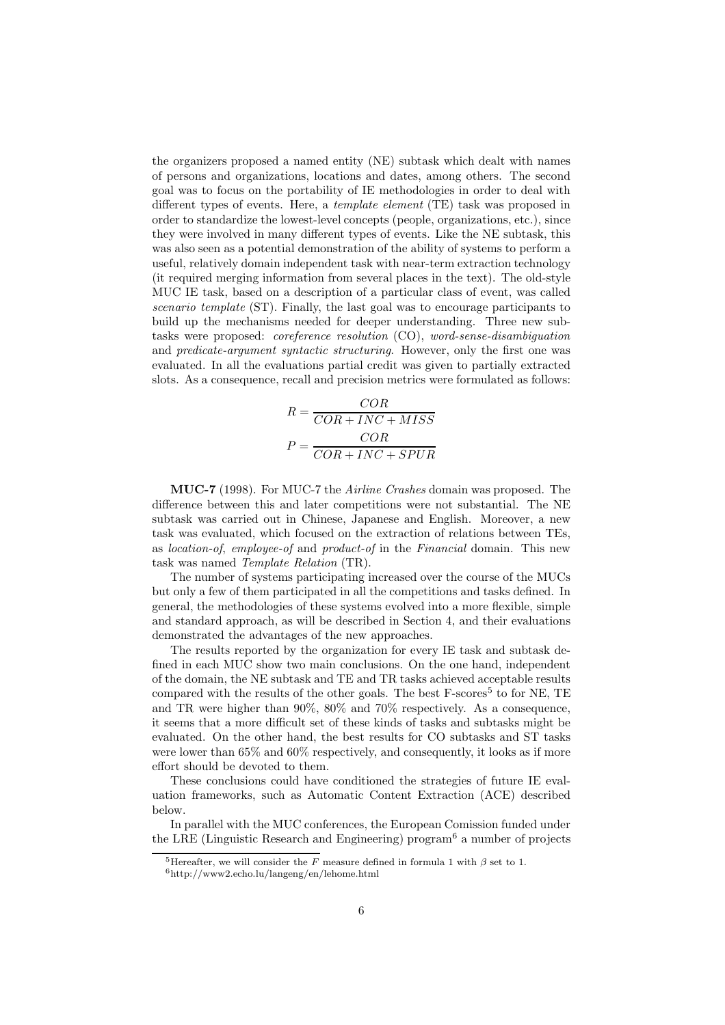the organizers proposed a named entity (NE) subtask which dealt with names of persons and organizations, locations and dates, among others. The second goal was to focus on the portability of IE methodologies in order to deal with different types of events. Here, a *template element* (TE) task was proposed in order to standardize the lowest-level concepts (people, organizations, etc.), since they were involved in many different types of events. Like the NE subtask, this was also seen as a potential demonstration of the ability of systems to perform a useful, relatively domain independent task with near-term extraction technology (it required merging information from several places in the text). The old-style MUC IE task, based on a description of a particular class of event, was called scenario template (ST). Finally, the last goal was to encourage participants to build up the mechanisms needed for deeper understanding. Three new subtasks were proposed: coreference resolution (CO), word-sense-disambiguation and *predicate-argument syntactic structuring*. However, only the first one was evaluated. In all the evaluations partial credit was given to partially extracted slots. As a consequence, recall and precision metrics were formulated as follows:

$$
R = \frac{COR}{COR + INC + MISS}
$$

$$
P = \frac{COR}{COR + INC + SPUR}
$$

MUC-7 (1998). For MUC-7 the Airline Crashes domain was proposed. The difference between this and later competitions were not substantial. The NE subtask was carried out in Chinese, Japanese and English. Moreover, a new task was evaluated, which focused on the extraction of relations between TEs, as location-of, employee-of and product-of in the Financial domain. This new task was named Template Relation (TR).

The number of systems participating increased over the course of the MUCs but only a few of them participated in all the competitions and tasks defined. In general, the methodologies of these systems evolved into a more flexible, simple and standard approach, as will be described in Section 4, and their evaluations demonstrated the advantages of the new approaches.

The results reported by the organization for every IE task and subtask defined in each MUC show two main conclusions. On the one hand, independent of the domain, the NE subtask and TE and TR tasks achieved acceptable results compared with the results of the other goals. The best  $F\text{-}scores^5$  to for NE, TE and TR were higher than 90%, 80% and 70% respectively. As a consequence, it seems that a more difficult set of these kinds of tasks and subtasks might be evaluated. On the other hand, the best results for CO subtasks and ST tasks were lower than 65% and 60% respectively, and consequently, it looks as if more effort should be devoted to them.

These conclusions could have conditioned the strategies of future IE evaluation frameworks, such as Automatic Content Extraction (ACE) described below.

In parallel with the MUC conferences, the European Comission funded under the LRE (Linguistic Research and Engineering) program<sup>6</sup> a number of projects

<sup>&</sup>lt;sup>5</sup>Hereafter, we will consider the F measure defined in formula 1 with  $\beta$  set to 1.

 $^6$ http://www2.echo.lu/langeng/en/lehome.html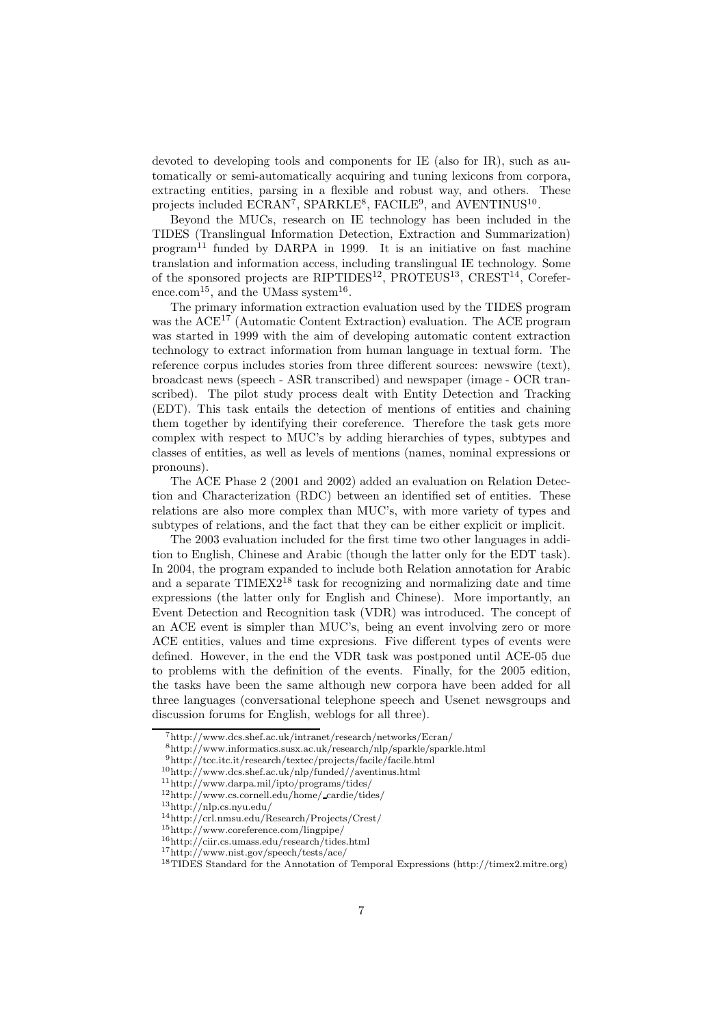devoted to developing tools and components for IE (also for IR), such as automatically or semi-automatically acquiring and tuning lexicons from corpora, extracting entities, parsing in a flexible and robust way, and others. These projects included  $\text{ECRAN}^7$ ,  $\text{SPARKLE}^8$ ,  $\text{FACLE}^9$ , and  $\text{AVENTINUS}^{10}$ .

Beyond the MUCs, research on IE technology has been included in the TIDES (Translingual Information Detection, Extraction and Summarization) program<sup>11</sup> funded by DARPA in 1999. It is an initiative on fast machine translation and information access, including translingual IE technology. Some of the sponsored projects are RIPTIDES<sup>12</sup>, PROTEUS<sup>13</sup>, CREST<sup>14</sup>, Coreference.com<sup>15</sup>, and the UMass system<sup>16</sup>.

The primary information extraction evaluation used by the TIDES program was the ACE<sup>17</sup> (Automatic Content Extraction) evaluation. The ACE program was started in 1999 with the aim of developing automatic content extraction technology to extract information from human language in textual form. The reference corpus includes stories from three different sources: newswire (text), broadcast news (speech - ASR transcribed) and newspaper (image - OCR transcribed). The pilot study process dealt with Entity Detection and Tracking (EDT). This task entails the detection of mentions of entities and chaining them together by identifying their coreference. Therefore the task gets more complex with respect to MUC's by adding hierarchies of types, subtypes and classes of entities, as well as levels of mentions (names, nominal expressions or pronouns).

The ACE Phase 2 (2001 and 2002) added an evaluation on Relation Detection and Characterization (RDC) between an identified set of entities. These relations are also more complex than MUC's, with more variety of types and subtypes of relations, and the fact that they can be either explicit or implicit.

The 2003 evaluation included for the first time two other languages in addition to English, Chinese and Arabic (though the latter only for the EDT task). In 2004, the program expanded to include both Relation annotation for Arabic and a separate  $\text{TIMEX2}^{18}$  task for recognizing and normalizing date and time expressions (the latter only for English and Chinese). More importantly, an Event Detection and Recognition task (VDR) was introduced. The concept of an ACE event is simpler than MUC's, being an event involving zero or more ACE entities, values and time expresions. Five different types of events were defined. However, in the end the VDR task was postponed until ACE-05 due to problems with the definition of the events. Finally, for the 2005 edition, the tasks have been the same although new corpora have been added for all three languages (conversational telephone speech and Usenet newsgroups and discussion forums for English, weblogs for all three).

<sup>7</sup>http://www.dcs.shef.ac.uk/intranet/research/networks/Ecran/

<sup>8</sup>http://www.informatics.susx.ac.uk/research/nlp/sparkle/sparkle.html

 $^9$ http://tcc.itc.it/research/textec/projects/facile/facile.html

 $10$ http://www.dcs.shef.ac.uk/nlp/funded//aventinus.html

<sup>11</sup>http://www.darpa.mil/ipto/programs/tides/

 $^{12}{\rm http://www.cs.cornell.edu/home/~cardie/tides/}$ 

<sup>13</sup>http://nlp.cs.nyu.edu/

<sup>14</sup>http://crl.nmsu.edu/Research/Projects/Crest/

<sup>15</sup>http://www.coreference.com/lingpipe/

<sup>16</sup>http://ciir.cs.umass.edu/research/tides.html

<sup>17</sup>http://www.nist.gov/speech/tests/ace/

<sup>18</sup>TIDES Standard for the Annotation of Temporal Expressions (http://timex2.mitre.org)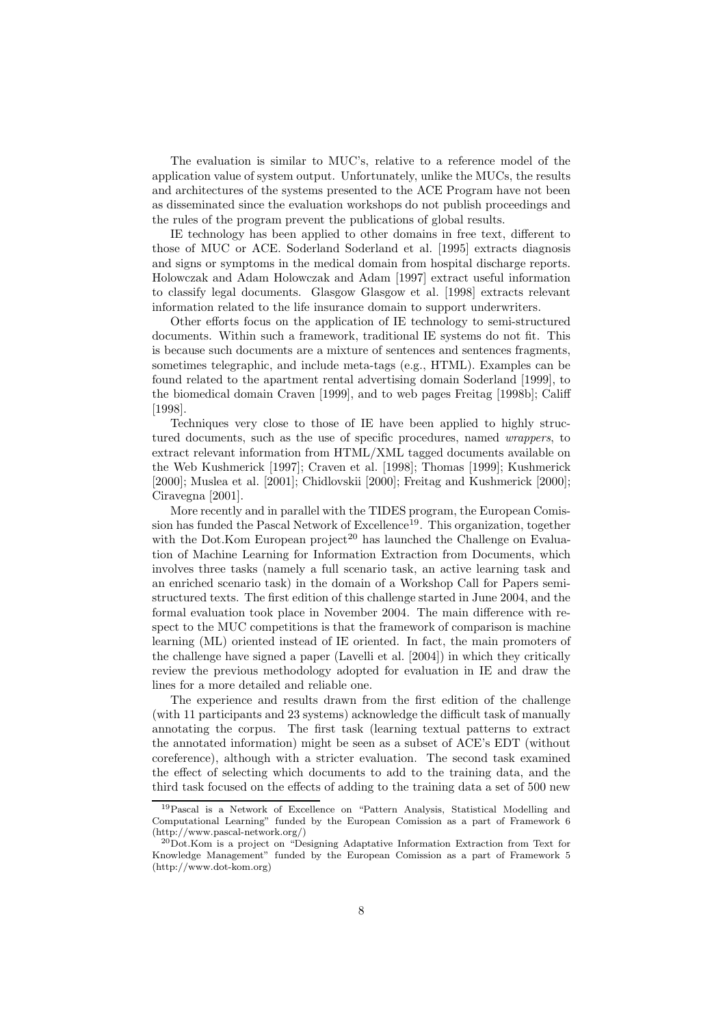The evaluation is similar to MUC's, relative to a reference model of the application value of system output. Unfortunately, unlike the MUCs, the results and architectures of the systems presented to the ACE Program have not been as disseminated since the evaluation workshops do not publish proceedings and the rules of the program prevent the publications of global results.

IE technology has been applied to other domains in free text, different to those of MUC or ACE. Soderland Soderland et al. [1995] extracts diagnosis and signs or symptoms in the medical domain from hospital discharge reports. Holowczak and Adam Holowczak and Adam [1997] extract useful information to classify legal documents. Glasgow Glasgow et al. [1998] extracts relevant information related to the life insurance domain to support underwriters.

Other efforts focus on the application of IE technology to semi-structured documents. Within such a framework, traditional IE systems do not fit. This is because such documents are a mixture of sentences and sentences fragments, sometimes telegraphic, and include meta-tags (e.g., HTML). Examples can be found related to the apartment rental advertising domain Soderland [1999], to the biomedical domain Craven [1999], and to web pages Freitag [1998b]; Califf [1998].

Techniques very close to those of IE have been applied to highly structured documents, such as the use of specific procedures, named wrappers, to extract relevant information from HTML/XML tagged documents available on the Web Kushmerick [1997]; Craven et al. [1998]; Thomas [1999]; Kushmerick [2000]; Muslea et al. [2001]; Chidlovskii [2000]; Freitag and Kushmerick [2000]; Ciravegna [2001].

More recently and in parallel with the TIDES program, the European Comission has funded the Pascal Network of Excellence<sup>19</sup>. This organization, together with the Dot.Kom European project<sup>20</sup> has launched the Challenge on Evaluation of Machine Learning for Information Extraction from Documents, which involves three tasks (namely a full scenario task, an active learning task and an enriched scenario task) in the domain of a Workshop Call for Papers semistructured texts. The first edition of this challenge started in June 2004, and the formal evaluation took place in November 2004. The main difference with respect to the MUC competitions is that the framework of comparison is machine learning (ML) oriented instead of IE oriented. In fact, the main promoters of the challenge have signed a paper (Lavelli et al. [2004]) in which they critically review the previous methodology adopted for evaluation in IE and draw the lines for a more detailed and reliable one.

The experience and results drawn from the first edition of the challenge (with 11 participants and 23 systems) acknowledge the difficult task of manually annotating the corpus. The first task (learning textual patterns to extract the annotated information) might be seen as a subset of ACE's EDT (without coreference), although with a stricter evaluation. The second task examined the effect of selecting which documents to add to the training data, and the third task focused on the effects of adding to the training data a set of 500 new

<sup>19</sup>Pascal is a Network of Excellence on "Pattern Analysis, Statistical Modelling and Computational Learning" funded by the European Comission as a part of Framework 6 (http://www.pascal-network.org/)

<sup>20</sup>Dot.Kom is a project on "Designing Adaptative Information Extraction from Text for Knowledge Management" funded by the European Comission as a part of Framework 5 (http://www.dot-kom.org)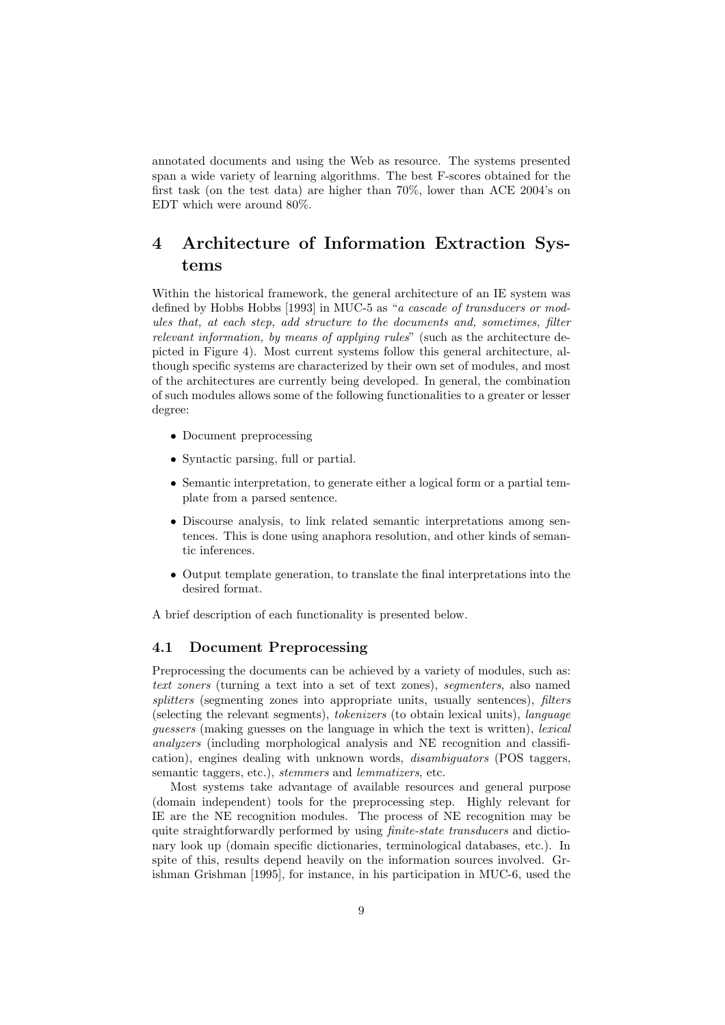annotated documents and using the Web as resource. The systems presented span a wide variety of learning algorithms. The best F-scores obtained for the first task (on the test data) are higher than 70%, lower than ACE 2004's on EDT which were around 80%.

# 4 Architecture of Information Extraction Systems

Within the historical framework, the general architecture of an IE system was defined by Hobbs Hobbs [1993] in MUC-5 as "a cascade of transducers or modules that, at each step, add structure to the documents and, sometimes, filter relevant information, by means of applying rules" (such as the architecture depicted in Figure 4). Most current systems follow this general architecture, although specific systems are characterized by their own set of modules, and most of the architectures are currently being developed. In general, the combination of such modules allows some of the following functionalities to a greater or lesser degree:

- Document preprocessing
- Syntactic parsing, full or partial.
- Semantic interpretation, to generate either a logical form or a partial template from a parsed sentence.
- Discourse analysis, to link related semantic interpretations among sentences. This is done using anaphora resolution, and other kinds of semantic inferences.
- Output template generation, to translate the final interpretations into the desired format.

A brief description of each functionality is presented below.

# 4.1 Document Preprocessing

Preprocessing the documents can be achieved by a variety of modules, such as: text zoners (turning a text into a set of text zones), segmenters, also named splitters (segmenting zones into appropriate units, usually sentences), *filters* (selecting the relevant segments), tokenizers (to obtain lexical units), language guessers (making guesses on the language in which the text is written), lexical analyzers (including morphological analysis and NE recognition and classification), engines dealing with unknown words, disambiguators (POS taggers, semantic taggers, etc.), *stemmers* and *lemmatizers*, etc.

Most systems take advantage of available resources and general purpose (domain independent) tools for the preprocessing step. Highly relevant for IE are the NE recognition modules. The process of NE recognition may be quite straightforwardly performed by using *finite-state transducers* and dictionary look up (domain specific dictionaries, terminological databases, etc.). In spite of this, results depend heavily on the information sources involved. Grishman Grishman [1995], for instance, in his participation in MUC-6, used the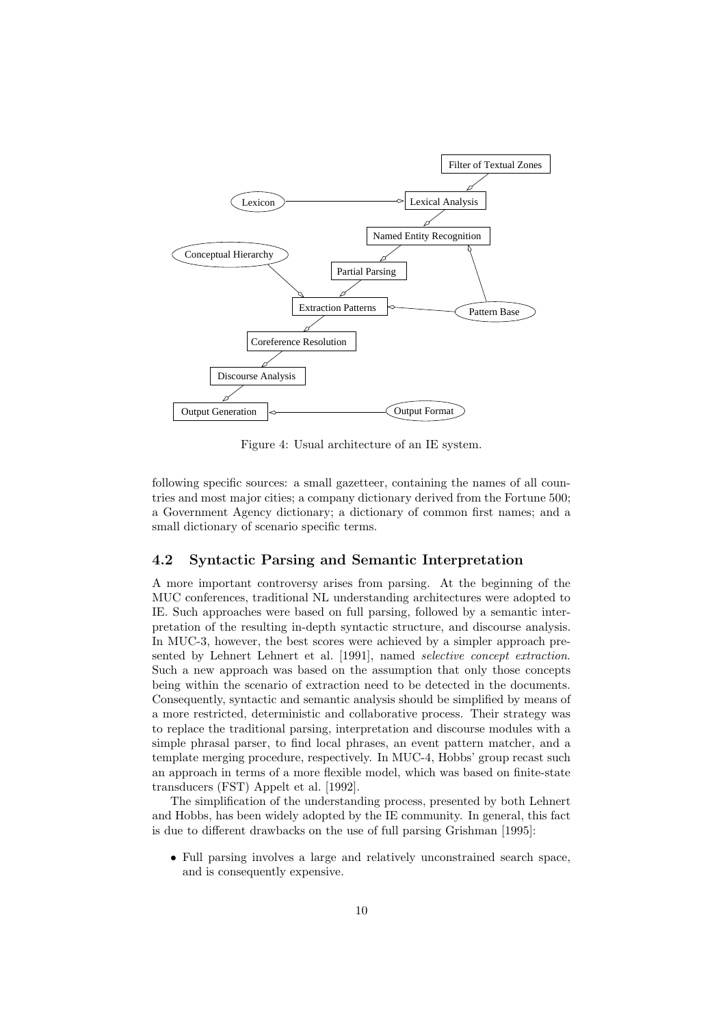

Figure 4: Usual architecture of an IE system.

following specific sources: a small gazetteer, containing the names of all countries and most major cities; a company dictionary derived from the Fortune 500; a Government Agency dictionary; a dictionary of common first names; and a small dictionary of scenario specific terms.

## 4.2 Syntactic Parsing and Semantic Interpretation

A more important controversy arises from parsing. At the beginning of the MUC conferences, traditional NL understanding architectures were adopted to IE. Such approaches were based on full parsing, followed by a semantic interpretation of the resulting in-depth syntactic structure, and discourse analysis. In MUC-3, however, the best scores were achieved by a simpler approach presented by Lehnert Lehnert et al. [1991], named selective concept extraction. Such a new approach was based on the assumption that only those concepts being within the scenario of extraction need to be detected in the documents. Consequently, syntactic and semantic analysis should be simplified by means of a more restricted, deterministic and collaborative process. Their strategy was to replace the traditional parsing, interpretation and discourse modules with a simple phrasal parser, to find local phrases, an event pattern matcher, and a template merging procedure, respectively. In MUC-4, Hobbs' group recast such an approach in terms of a more flexible model, which was based on finite-state transducers (FST) Appelt et al. [1992].

The simplification of the understanding process, presented by both Lehnert and Hobbs, has been widely adopted by the IE community. In general, this fact is due to different drawbacks on the use of full parsing Grishman [1995]:

• Full parsing involves a large and relatively unconstrained search space, and is consequently expensive.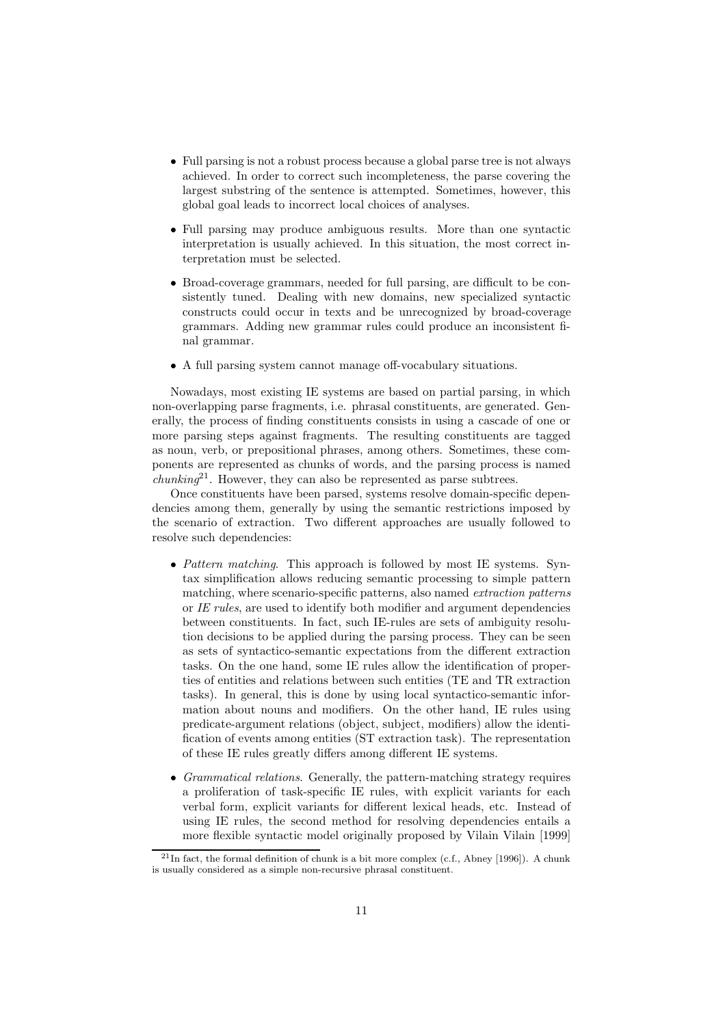- Full parsing is not a robust process because a global parse tree is not always achieved. In order to correct such incompleteness, the parse covering the largest substring of the sentence is attempted. Sometimes, however, this global goal leads to incorrect local choices of analyses.
- Full parsing may produce ambiguous results. More than one syntactic interpretation is usually achieved. In this situation, the most correct interpretation must be selected.
- Broad-coverage grammars, needed for full parsing, are difficult to be consistently tuned. Dealing with new domains, new specialized syntactic constructs could occur in texts and be unrecognized by broad-coverage grammars. Adding new grammar rules could produce an inconsistent final grammar.
- A full parsing system cannot manage off-vocabulary situations.

Nowadays, most existing IE systems are based on partial parsing, in which non-overlapping parse fragments, i.e. phrasal constituents, are generated. Generally, the process of finding constituents consists in using a cascade of one or more parsing steps against fragments. The resulting constituents are tagged as noun, verb, or prepositional phrases, among others. Sometimes, these components are represented as chunks of words, and the parsing process is named  $\frac{c}{c}$ *chunking*<sup>21</sup>. However, they can also be represented as parse subtrees.

Once constituents have been parsed, systems resolve domain-specific dependencies among them, generally by using the semantic restrictions imposed by the scenario of extraction. Two different approaches are usually followed to resolve such dependencies:

- Pattern matching. This approach is followed by most IE systems. Syntax simplification allows reducing semantic processing to simple pattern matching, where scenario-specific patterns, also named extraction patterns or IE rules, are used to identify both modifier and argument dependencies between constituents. In fact, such IE-rules are sets of ambiguity resolution decisions to be applied during the parsing process. They can be seen as sets of syntactico-semantic expectations from the different extraction tasks. On the one hand, some IE rules allow the identification of properties of entities and relations between such entities (TE and TR extraction tasks). In general, this is done by using local syntactico-semantic information about nouns and modifiers. On the other hand, IE rules using predicate-argument relations (object, subject, modifiers) allow the identification of events among entities (ST extraction task). The representation of these IE rules greatly differs among different IE systems.
- Grammatical relations. Generally, the pattern-matching strategy requires a proliferation of task-specific IE rules, with explicit variants for each verbal form, explicit variants for different lexical heads, etc. Instead of using IE rules, the second method for resolving dependencies entails a more flexible syntactic model originally proposed by Vilain Vilain [1999]

 $^{21}$ In fact, the formal definition of chunk is a bit more complex (c.f., Abney [1996]). A chunk is usually considered as a simple non-recursive phrasal constituent.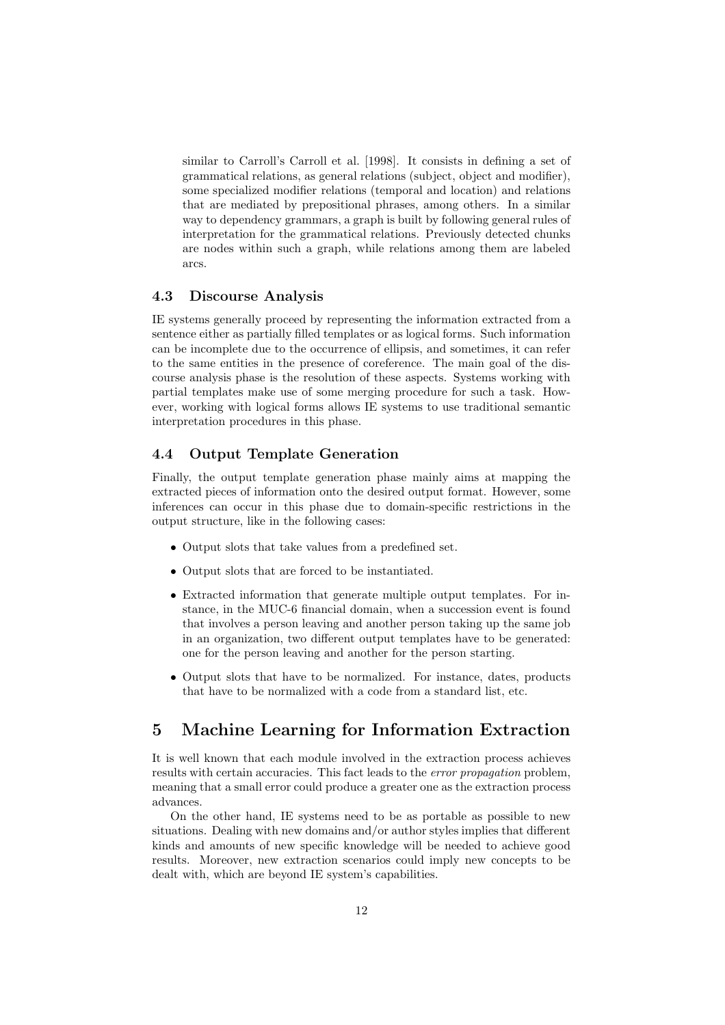similar to Carroll's Carroll et al. [1998]. It consists in defining a set of grammatical relations, as general relations (subject, object and modifier), some specialized modifier relations (temporal and location) and relations that are mediated by prepositional phrases, among others. In a similar way to dependency grammars, a graph is built by following general rules of interpretation for the grammatical relations. Previously detected chunks are nodes within such a graph, while relations among them are labeled arcs.

## 4.3 Discourse Analysis

IE systems generally proceed by representing the information extracted from a sentence either as partially filled templates or as logical forms. Such information can be incomplete due to the occurrence of ellipsis, and sometimes, it can refer to the same entities in the presence of coreference. The main goal of the discourse analysis phase is the resolution of these aspects. Systems working with partial templates make use of some merging procedure for such a task. However, working with logical forms allows IE systems to use traditional semantic interpretation procedures in this phase.

## 4.4 Output Template Generation

Finally, the output template generation phase mainly aims at mapping the extracted pieces of information onto the desired output format. However, some inferences can occur in this phase due to domain-specific restrictions in the output structure, like in the following cases:

- Output slots that take values from a predefined set.
- Output slots that are forced to be instantiated.
- Extracted information that generate multiple output templates. For instance, in the MUC-6 financial domain, when a succession event is found that involves a person leaving and another person taking up the same job in an organization, two different output templates have to be generated: one for the person leaving and another for the person starting.
- Output slots that have to be normalized. For instance, dates, products that have to be normalized with a code from a standard list, etc.

# 5 Machine Learning for Information Extraction

It is well known that each module involved in the extraction process achieves results with certain accuracies. This fact leads to the *error propagation* problem, meaning that a small error could produce a greater one as the extraction process advances.

On the other hand, IE systems need to be as portable as possible to new situations. Dealing with new domains and/or author styles implies that different kinds and amounts of new specific knowledge will be needed to achieve good results. Moreover, new extraction scenarios could imply new concepts to be dealt with, which are beyond IE system's capabilities.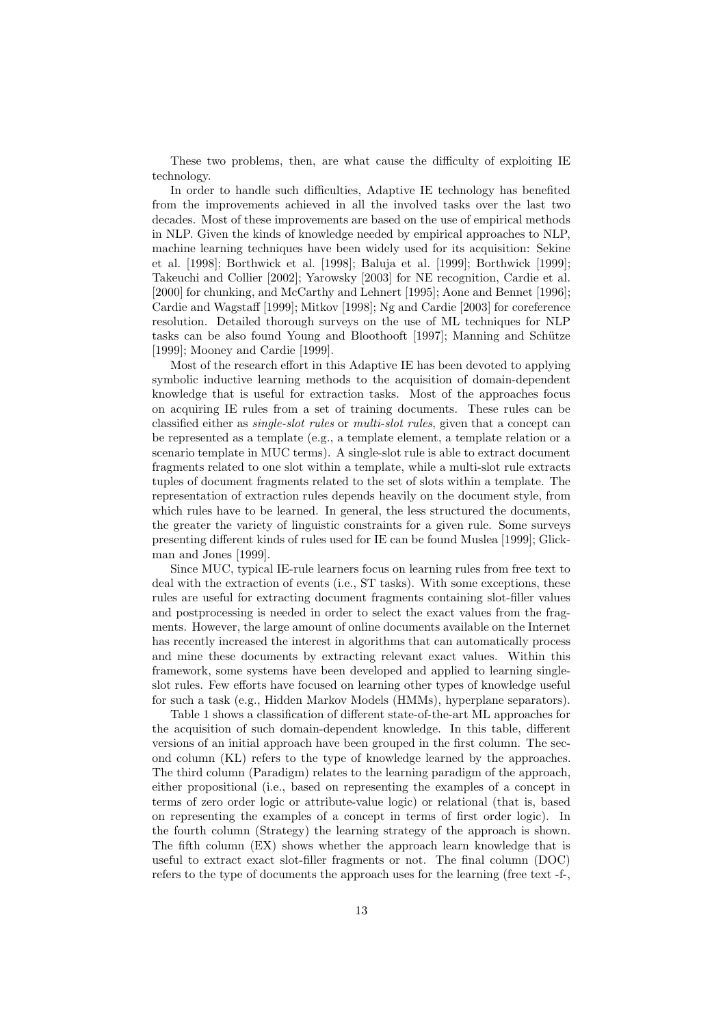These two problems, then, are what cause the difficulty of exploiting IE technology.

In order to handle such difficulties, Adaptive IE technology has benefited from the improvements achieved in all the involved tasks over the last two decades. Most of these improvements are based on the use of empirical methods in NLP. Given the kinds of knowledge needed by empirical approaches to NLP, machine learning techniques have been widely used for its acquisition: Sekine et al. [1998]; Borthwick et al. [1998]; Baluja et al. [1999]; Borthwick [1999]; Takeuchi and Collier [2002]; Yarowsky [2003] for NE recognition, Cardie et al. [2000] for chunking, and McCarthy and Lehnert [1995]; Aone and Bennet [1996]; Cardie and Wagstaff [1999]; Mitkov [1998]; Ng and Cardie [2003] for coreference resolution. Detailed thorough surveys on the use of ML techniques for NLP tasks can be also found Young and Bloothooft [1997]; Manning and Schütze [1999]; Mooney and Cardie [1999].

Most of the research effort in this Adaptive IE has been devoted to applying symbolic inductive learning methods to the acquisition of domain-dependent knowledge that is useful for extraction tasks. Most of the approaches focus on acquiring IE rules from a set of training documents. These rules can be classified either as *single-slot rules* or *multi-slot rules*, given that a concept can be represented as a template (e.g., a template element, a template relation or a scenario template in MUC terms). A single-slot rule is able to extract document fragments related to one slot within a template, while a multi-slot rule extracts tuples of document fragments related to the set of slots within a template. The representation of extraction rules depends heavily on the document style, from which rules have to be learned. In general, the less structured the documents, the greater the variety of linguistic constraints for a given rule. Some surveys presenting different kinds of rules used for IE can be found Muslea [1999]; Glickman and Jones [1999].

Since MUC, typical IE-rule learners focus on learning rules from free text to deal with the extraction of events (i.e., ST tasks). With some exceptions, these rules are useful for extracting document fragments containing slot-filler values and postprocessing is needed in order to select the exact values from the fragments. However, the large amount of online documents available on the Internet has recently increased the interest in algorithms that can automatically process and mine these documents by extracting relevant exact values. Within this framework, some systems have been developed and applied to learning singleslot rules. Few efforts have focused on learning other types of knowledge useful for such a task (e.g., Hidden Markov Models (HMMs), hyperplane separators).

Table 1 shows a classification of different state-of-the-art ML approaches for the acquisition of such domain-dependent knowledge. In this table, different versions of an initial approach have been grouped in the first column. The second column (KL) refers to the type of knowledge learned by the approaches. The third column (Paradigm) relates to the learning paradigm of the approach, either propositional (i.e., based on representing the examples of a concept in terms of zero order logic or attribute-value logic) or relational (that is, based on representing the examples of a concept in terms of first order logic). In the fourth column (Strategy) the learning strategy of the approach is shown. The fifth column (EX) shows whether the approach learn knowledge that is useful to extract exact slot-filler fragments or not. The final column (DOC) refers to the type of documents the approach uses for the learning (free text -f-,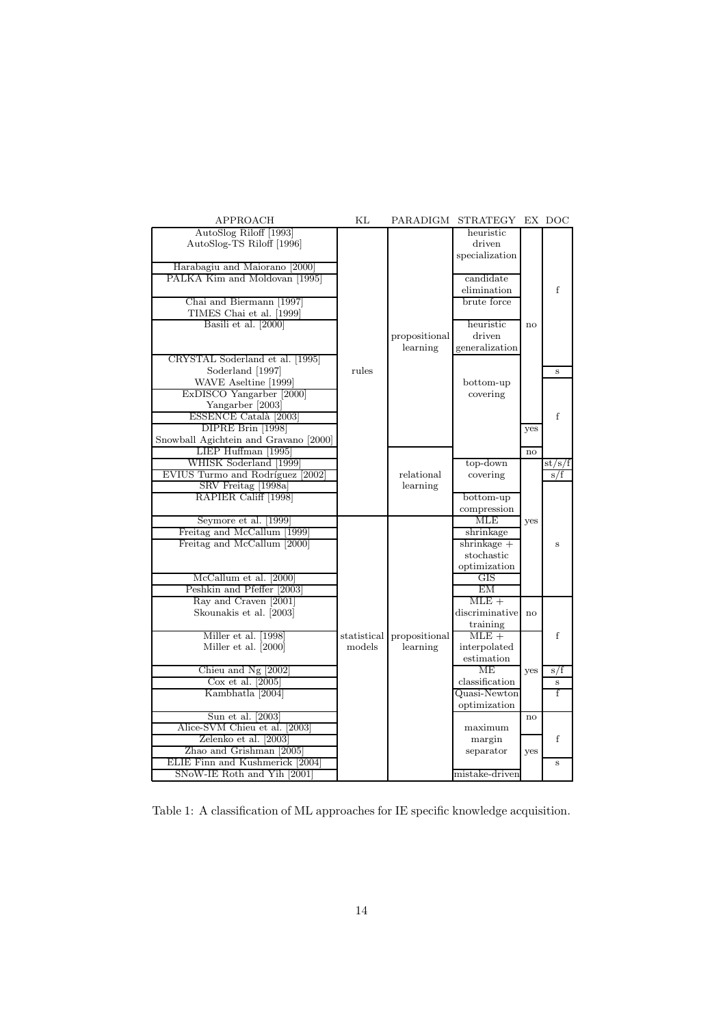| <b>APPROACH</b>                                                                                                                                                                                                                                                                      | KL                    | PARADIGM                  | <b>STRATEGY</b>                                                                                                                        |                               | EX DOC                                     |
|--------------------------------------------------------------------------------------------------------------------------------------------------------------------------------------------------------------------------------------------------------------------------------------|-----------------------|---------------------------|----------------------------------------------------------------------------------------------------------------------------------------|-------------------------------|--------------------------------------------|
| AutoSlog Riloff [1993]<br>AutoSlog-TS Riloff [1996]<br>Harabagiu and Maiorano [2000]<br>PALKA Kim and Moldovan [1995]<br>Chai and Biermann [1997]<br>TIMES Chai et al. [1999]<br>Basili et al. [2000]<br>CRYSTAL Soderland et al. [1995]<br>Soderland [1997]<br>WAVE Aseltine [1999] | rules                 | propositional<br>learning | heuristic<br>driven<br>specialization<br>candidate<br>elimination<br>brute force<br>heuristic<br>driven<br>generalization<br>bottom-up | no                            | f<br>S                                     |
| ExDISCO Yangarber [2000]<br>Yangarber [2003]<br>ESSENCE Català [2003]<br>DIPRE Brin [1998]<br>Snowball Agichtein and Gravano [2000]<br>LIEP Huffman [1995]                                                                                                                           |                       |                           | covering                                                                                                                               | yes<br>$\mathbf{n}\mathbf{o}$ | f                                          |
| WHISK Soderland [1999]<br>EVIUS Turmo and Rodríguez [2002]<br>SRV Freitag [1998a]<br>RAPIER Califf [1998]                                                                                                                                                                            |                       | relational<br>learning    | top-down<br>covering<br>bottom-up<br>compression                                                                                       |                               | $\mathrm{st}/\mathrm{s}/\mathrm{f}$<br>s/f |
| Seymore et al. [1999]<br>Freitag and McCallum [1999]<br>Freitag and McCallum [2000]<br>McCallum et al. [2000]<br>Peshkin and Pfeffer [2003]                                                                                                                                          |                       |                           | MLE<br>shrinkage<br>$shrinkage +$<br>stochastic<br>optimization<br>GIS<br>ΕM                                                           | yes                           | S                                          |
| Ray and Craven [2001]<br>Skounakis et al. [2003]<br>Miller et al. [1998]<br>Miller et al. [2000]<br>Chieu and Ng $[2002]$<br>Cox et al. [2005]<br>Kambhatla [2004]                                                                                                                   | statistical<br>models | propositional<br>learning | $MLE +$<br>discriminative<br>training<br>$MLE +$<br>interpolated<br>estimation<br><b>ME</b><br>classification<br>Quasi-Newton          | no<br>yes                     | f<br>s/f<br>S<br>f                         |
| Sun et al. [2003]<br>Alice-SVM Chieu et al. [2003]<br>Zelenko et al. [2003]<br>Zhao and Grishman [2005]<br>ELIE Finn and Kushmerick [2004]<br>SNoW-IE Roth and Yih [2001]                                                                                                            |                       |                           | optimization<br>maximum<br>margin<br>separator<br>mistake-driven                                                                       | $\mathbf{n}\mathbf{o}$<br>yes | $\mathbf{f}$<br>S                          |

Table 1: A classification of ML approaches for IE specific knowledge acquisition.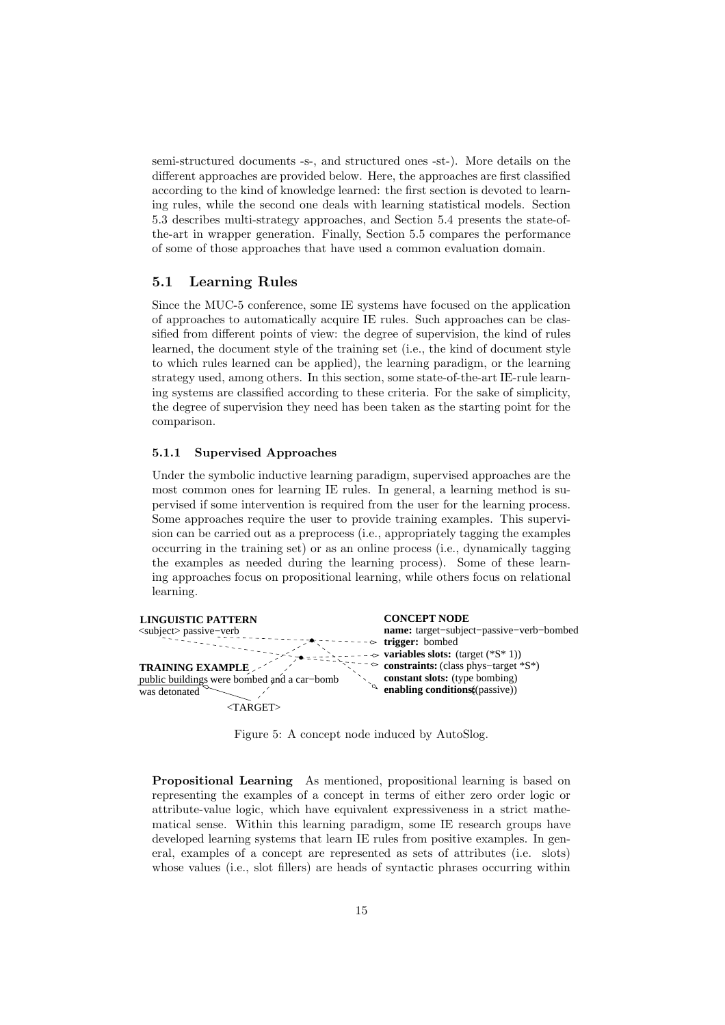semi-structured documents -s-, and structured ones -st-). More details on the different approaches are provided below. Here, the approaches are first classified according to the kind of knowledge learned: the first section is devoted to learning rules, while the second one deals with learning statistical models. Section 5.3 describes multi-strategy approaches, and Section 5.4 presents the state-ofthe-art in wrapper generation. Finally, Section 5.5 compares the performance of some of those approaches that have used a common evaluation domain.

# 5.1 Learning Rules

Since the MUC-5 conference, some IE systems have focused on the application of approaches to automatically acquire IE rules. Such approaches can be classified from different points of view: the degree of supervision, the kind of rules learned, the document style of the training set (i.e., the kind of document style to which rules learned can be applied), the learning paradigm, or the learning strategy used, among others. In this section, some state-of-the-art IE-rule learning systems are classified according to these criteria. For the sake of simplicity, the degree of supervision they need has been taken as the starting point for the comparison.

#### 5.1.1 Supervised Approaches

Under the symbolic inductive learning paradigm, supervised approaches are the most common ones for learning IE rules. In general, a learning method is supervised if some intervention is required from the user for the learning process. Some approaches require the user to provide training examples. This supervision can be carried out as a preprocess (i.e., appropriately tagging the examples occurring in the training set) or as an online process (i.e., dynamically tagging the examples as needed during the learning process). Some of these learning approaches focus on propositional learning, while others focus on relational learning.



Figure 5: A concept node induced by AutoSlog.

Propositional Learning As mentioned, propositional learning is based on representing the examples of a concept in terms of either zero order logic or attribute-value logic, which have equivalent expressiveness in a strict mathematical sense. Within this learning paradigm, some IE research groups have developed learning systems that learn IE rules from positive examples. In general, examples of a concept are represented as sets of attributes (i.e. slots) whose values (i.e., slot fillers) are heads of syntactic phrases occurring within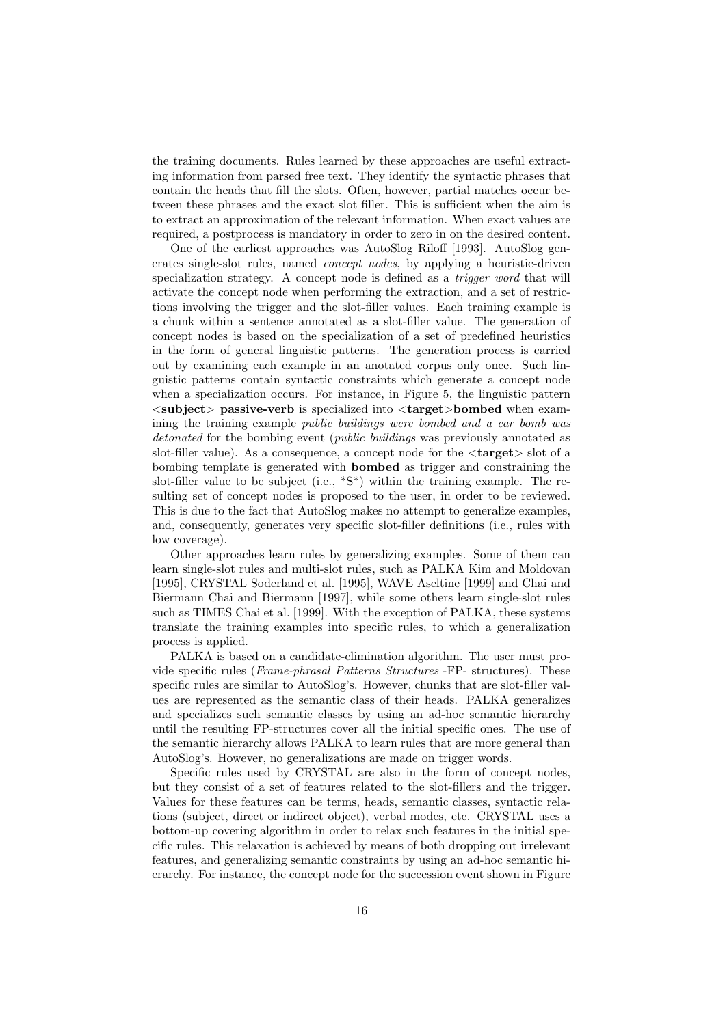the training documents. Rules learned by these approaches are useful extracting information from parsed free text. They identify the syntactic phrases that contain the heads that fill the slots. Often, however, partial matches occur between these phrases and the exact slot filler. This is sufficient when the aim is to extract an approximation of the relevant information. When exact values are required, a postprocess is mandatory in order to zero in on the desired content.

One of the earliest approaches was AutoSlog Riloff [1993]. AutoSlog generates single-slot rules, named concept nodes, by applying a heuristic-driven specialization strategy. A concept node is defined as a trigger word that will activate the concept node when performing the extraction, and a set of restrictions involving the trigger and the slot-filler values. Each training example is a chunk within a sentence annotated as a slot-filler value. The generation of concept nodes is based on the specialization of a set of predefined heuristics in the form of general linguistic patterns. The generation process is carried out by examining each example in an anotated corpus only once. Such linguistic patterns contain syntactic constraints which generate a concept node when a specialization occurs. For instance, in Figure 5, the linguistic pattern  $\langle$ subject $\rangle$  passive-verb is specialized into  $\langle$ target $\rangle$ bombed when examining the training example *public buildings were bombed and a car bomb was* detonated for the bombing event (*public buildings* was previously annotated as slot-filler value). As a consequence, a concept node for the  $\langle \text{target}\rangle$  slot of a bombing template is generated with bombed as trigger and constraining the slot-filler value to be subject (i.e.,  $^*S^*$ ) within the training example. The resulting set of concept nodes is proposed to the user, in order to be reviewed. This is due to the fact that AutoSlog makes no attempt to generalize examples, and, consequently, generates very specific slot-filler definitions (i.e., rules with low coverage).

Other approaches learn rules by generalizing examples. Some of them can learn single-slot rules and multi-slot rules, such as PALKA Kim and Moldovan [1995], CRYSTAL Soderland et al. [1995], WAVE Aseltine [1999] and Chai and Biermann Chai and Biermann [1997], while some others learn single-slot rules such as TIMES Chai et al. [1999]. With the exception of PALKA, these systems translate the training examples into specific rules, to which a generalization process is applied.

PALKA is based on a candidate-elimination algorithm. The user must provide specific rules (Frame-phrasal Patterns Structures -FP- structures). These specific rules are similar to AutoSlog's. However, chunks that are slot-filler values are represented as the semantic class of their heads. PALKA generalizes and specializes such semantic classes by using an ad-hoc semantic hierarchy until the resulting FP-structures cover all the initial specific ones. The use of the semantic hierarchy allows PALKA to learn rules that are more general than AutoSlog's. However, no generalizations are made on trigger words.

Specific rules used by CRYSTAL are also in the form of concept nodes, but they consist of a set of features related to the slot-fillers and the trigger. Values for these features can be terms, heads, semantic classes, syntactic relations (subject, direct or indirect object), verbal modes, etc. CRYSTAL uses a bottom-up covering algorithm in order to relax such features in the initial specific rules. This relaxation is achieved by means of both dropping out irrelevant features, and generalizing semantic constraints by using an ad-hoc semantic hierarchy. For instance, the concept node for the succession event shown in Figure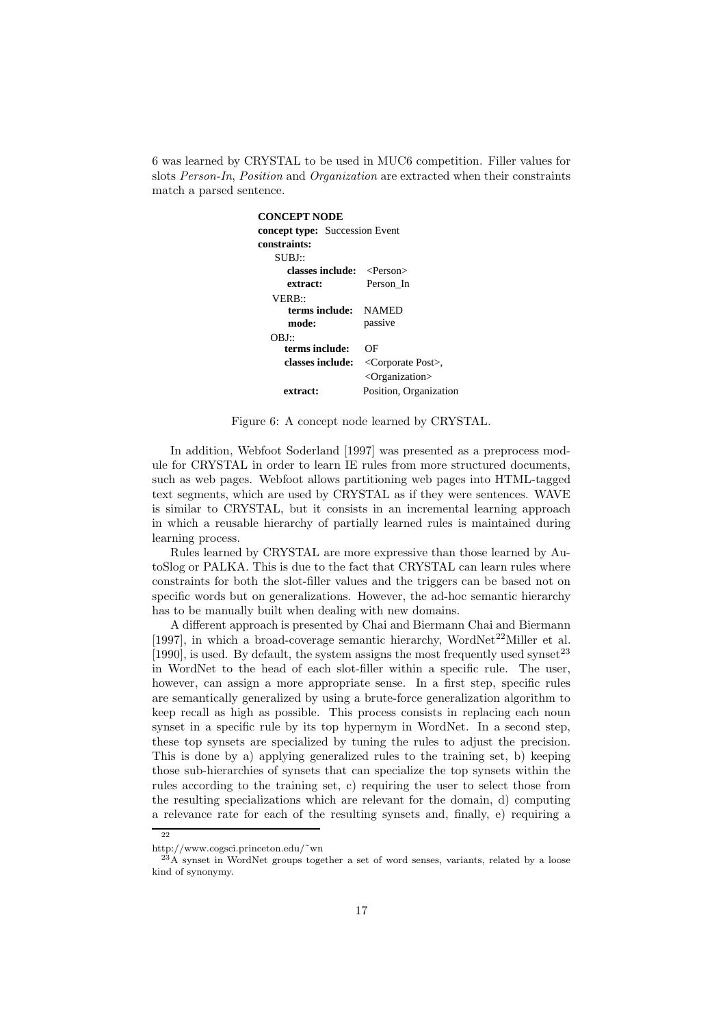6 was learned by CRYSTAL to be used in MUC6 competition. Filler values for slots Person-In, Position and Organization are extracted when their constraints match a parsed sentence.

| <b>CONCEPT NODE</b>                         |                                  |
|---------------------------------------------|----------------------------------|
| <b>concept type:</b> Succession Event       |                                  |
| constraints:                                |                                  |
| SUBJ::                                      |                                  |
| classes include: $\langle$ Person $\rangle$ |                                  |
| extract:                                    | Person In                        |
| VERB::                                      |                                  |
| terms include: NAMED                        |                                  |
| mode:                                       | passive                          |
| OBJ::                                       |                                  |
| terms include:                              | OΕ                               |
| classes include:                            | <corporate post="">,</corporate> |
|                                             | <organization></organization>    |
| extract:                                    | Position, Organization           |

Figure 6: A concept node learned by CRYSTAL.

In addition, Webfoot Soderland [1997] was presented as a preprocess module for CRYSTAL in order to learn IE rules from more structured documents, such as web pages. Webfoot allows partitioning web pages into HTML-tagged text segments, which are used by CRYSTAL as if they were sentences. WAVE is similar to CRYSTAL, but it consists in an incremental learning approach in which a reusable hierarchy of partially learned rules is maintained during learning process.

Rules learned by CRYSTAL are more expressive than those learned by AutoSlog or PALKA. This is due to the fact that CRYSTAL can learn rules where constraints for both the slot-filler values and the triggers can be based not on specific words but on generalizations. However, the ad-hoc semantic hierarchy has to be manually built when dealing with new domains.

A different approach is presented by Chai and Biermann Chai and Biermann [1997], in which a broad-coverage semantic hierarchy, WordNet<sup>22</sup>Miller et al. [1990], is used. By default, the system assigns the most frequently used synset<sup>23</sup> in WordNet to the head of each slot-filler within a specific rule. The user, however, can assign a more appropriate sense. In a first step, specific rules are semantically generalized by using a brute-force generalization algorithm to keep recall as high as possible. This process consists in replacing each noun synset in a specific rule by its top hypernym in WordNet. In a second step, these top synsets are specialized by tuning the rules to adjust the precision. This is done by a) applying generalized rules to the training set, b) keeping those sub-hierarchies of synsets that can specialize the top synsets within the rules according to the training set, c) requiring the user to select those from the resulting specializations which are relevant for the domain, d) computing a relevance rate for each of the resulting synsets and, finally, e) requiring a

22

http://www.cogsci.princeton.edu/˜wn

A synset in WordNet groups together a set of word senses, variants, related by a loose kind of synonymy.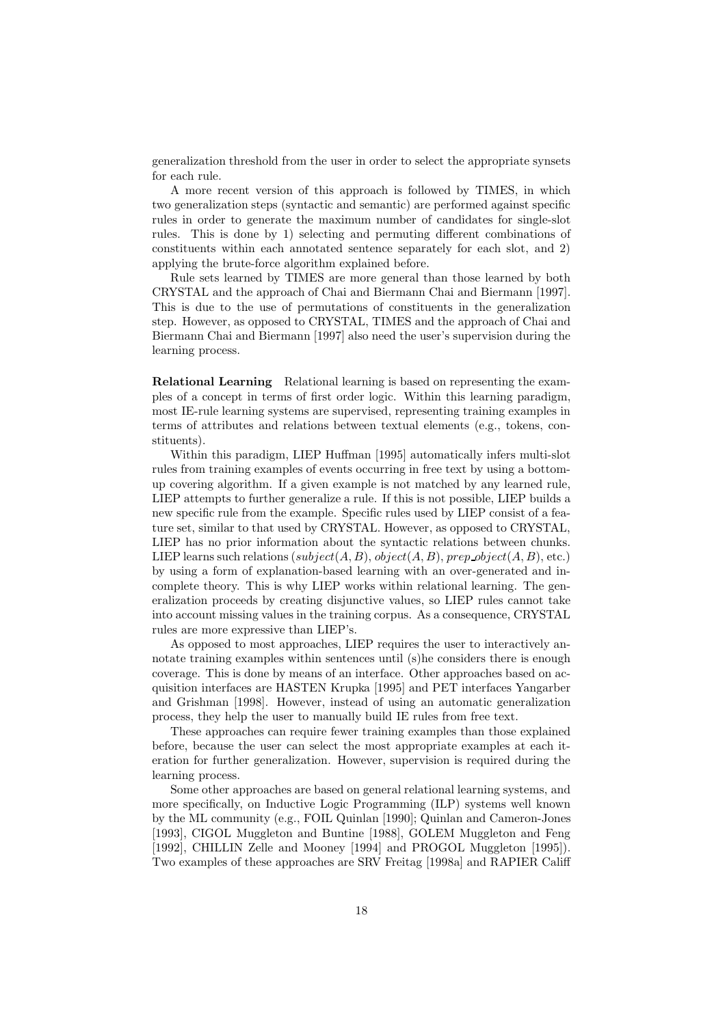generalization threshold from the user in order to select the appropriate synsets for each rule.

A more recent version of this approach is followed by TIMES, in which two generalization steps (syntactic and semantic) are performed against specific rules in order to generate the maximum number of candidates for single-slot rules. This is done by 1) selecting and permuting different combinations of constituents within each annotated sentence separately for each slot, and 2) applying the brute-force algorithm explained before.

Rule sets learned by TIMES are more general than those learned by both CRYSTAL and the approach of Chai and Biermann Chai and Biermann [1997]. This is due to the use of permutations of constituents in the generalization step. However, as opposed to CRYSTAL, TIMES and the approach of Chai and Biermann Chai and Biermann [1997] also need the user's supervision during the learning process.

Relational Learning Relational learning is based on representing the examples of a concept in terms of first order logic. Within this learning paradigm, most IE-rule learning systems are supervised, representing training examples in terms of attributes and relations between textual elements (e.g., tokens, constituents).

Within this paradigm, LIEP Huffman [1995] automatically infers multi-slot rules from training examples of events occurring in free text by using a bottomup covering algorithm. If a given example is not matched by any learned rule, LIEP attempts to further generalize a rule. If this is not possible, LIEP builds a new specific rule from the example. Specific rules used by LIEP consist of a feature set, similar to that used by CRYSTAL. However, as opposed to CRYSTAL, LIEP has no prior information about the syntactic relations between chunks. LIEP learns such relations  $(subject(A, B), object(A, B), prep\_object(A, B), etc.)$ by using a form of explanation-based learning with an over-generated and incomplete theory. This is why LIEP works within relational learning. The generalization proceeds by creating disjunctive values, so LIEP rules cannot take into account missing values in the training corpus. As a consequence, CRYSTAL rules are more expressive than LIEP's.

As opposed to most approaches, LIEP requires the user to interactively annotate training examples within sentences until (s)he considers there is enough coverage. This is done by means of an interface. Other approaches based on acquisition interfaces are HASTEN Krupka [1995] and PET interfaces Yangarber and Grishman [1998]. However, instead of using an automatic generalization process, they help the user to manually build IE rules from free text.

These approaches can require fewer training examples than those explained before, because the user can select the most appropriate examples at each iteration for further generalization. However, supervision is required during the learning process.

Some other approaches are based on general relational learning systems, and more specifically, on Inductive Logic Programming (ILP) systems well known by the ML community (e.g., FOIL Quinlan [1990]; Quinlan and Cameron-Jones [1993], CIGOL Muggleton and Buntine [1988], GOLEM Muggleton and Feng [1992], CHILLIN Zelle and Mooney [1994] and PROGOL Muggleton [1995]). Two examples of these approaches are SRV Freitag [1998a] and RAPIER Califf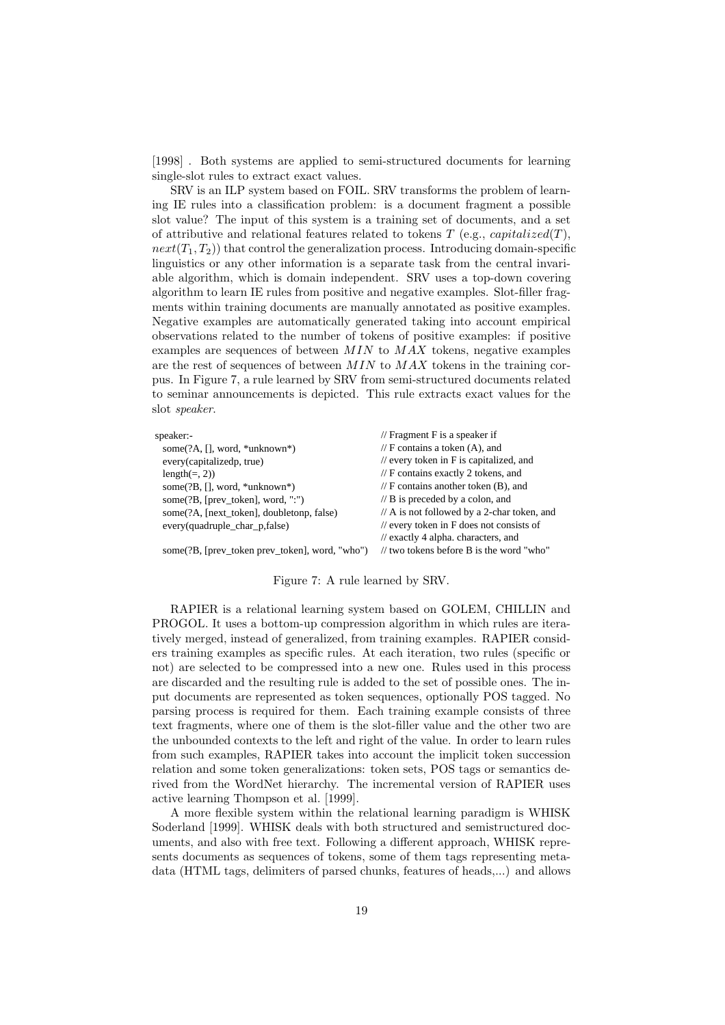[1998] . Both systems are applied to semi-structured documents for learning single-slot rules to extract exact values.

SRV is an ILP system based on FOIL. SRV transforms the problem of learning IE rules into a classification problem: is a document fragment a possible slot value? The input of this system is a training set of documents, and a set of attributive and relational features related to tokens  $T$  (e.g., capitalized(T),  $next(T_1, T_2)$  that control the generalization process. Introducing domain-specific linguistics or any other information is a separate task from the central invariable algorithm, which is domain independent. SRV uses a top-down covering algorithm to learn IE rules from positive and negative examples. Slot-filler fragments within training documents are manually annotated as positive examples. Negative examples are automatically generated taking into account empirical observations related to the number of tokens of positive examples: if positive examples are sequences of between  $MIN$  to  $MAX$  tokens, negative examples are the rest of sequences of between  $MIN$  to  $MAX$  tokens in the training corpus. In Figure 7, a rule learned by SRV from semi-structured documents related to seminar announcements is depicted. This rule extracts exact values for the slot speaker.

| speaker:-                                      | // Fragment F is a speaker if                         |
|------------------------------------------------|-------------------------------------------------------|
| some $(?A, []$ , word, *unknown*)              | // F contains a token $(A)$ , and                     |
| every(capitalizedp, true)                      | $\ell$ every token in F is capitalized, and           |
| $length(=, 2))$                                | $\frac{1}{\sqrt{2}}$ F contains exactly 2 tokens, and |
| some $(?B, []$ , word, *unknown*)              | // F contains another token $(B)$ , and               |
| some $(?B, [prev_token], word, ";")$           | $\mathcal{U}$ B is preceded by a colon, and           |
| some(?A, [next_token], doubletonp, false)      | // A is not followed by a 2-char token, and           |
| every(quadruple_char_p,false)                  | $\frac{1}{2}$ every token in F does not consists of   |
|                                                | $\frac{1}{2}$ exactly 4 alpha. characters, and        |
| some(?B, [prev_token prev_token], word, "who") | // two tokens before B is the word "who"              |
|                                                |                                                       |

## Figure 7: A rule learned by SRV.

RAPIER is a relational learning system based on GOLEM, CHILLIN and PROGOL. It uses a bottom-up compression algorithm in which rules are iteratively merged, instead of generalized, from training examples. RAPIER considers training examples as specific rules. At each iteration, two rules (specific or not) are selected to be compressed into a new one. Rules used in this process are discarded and the resulting rule is added to the set of possible ones. The input documents are represented as token sequences, optionally POS tagged. No parsing process is required for them. Each training example consists of three text fragments, where one of them is the slot-filler value and the other two are the unbounded contexts to the left and right of the value. In order to learn rules from such examples, RAPIER takes into account the implicit token succession relation and some token generalizations: token sets, POS tags or semantics derived from the WordNet hierarchy. The incremental version of RAPIER uses active learning Thompson et al. [1999].

A more flexible system within the relational learning paradigm is WHISK Soderland [1999]. WHISK deals with both structured and semistructured documents, and also with free text. Following a different approach, WHISK represents documents as sequences of tokens, some of them tags representing metadata (HTML tags, delimiters of parsed chunks, features of heads,...) and allows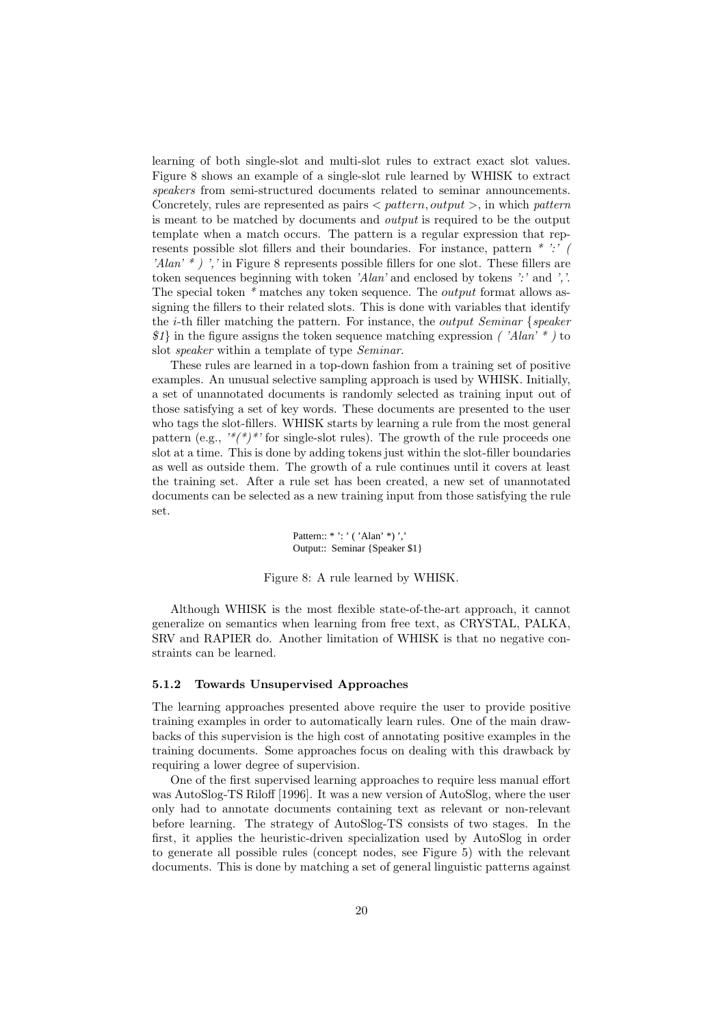learning of both single-slot and multi-slot rules to extract exact slot values. Figure 8 shows an example of a single-slot rule learned by WHISK to extract speakers from semi-structured documents related to seminar announcements. Concretely, rules are represented as pairs  $\langle$  pattern, output  $\rangle$ , in which pattern is meant to be matched by documents and output is required to be the output template when a match occurs. The pattern is a regular expression that represents possible slot fillers and their boundaries. For instance, pattern  $*$  : 'Alan' \* ) ', ' in Figure 8 represents possible fillers for one slot. These fillers are token sequences beginning with token 'Alan' and enclosed by tokens ':' and ','. The special token \* matches any token sequence. The *output* format allows assigning the fillers to their related slots. This is done with variables that identify the *i*-th filler matching the pattern. For instance, the *output Seminar* {speaker  $1\$  in the figure assigns the token sequence matching expression ( $'Alan' *$ ) to slot *speaker* within a template of type *Seminar*.

These rules are learned in a top-down fashion from a training set of positive examples. An unusual selective sampling approach is used by WHISK. Initially, a set of unannotated documents is randomly selected as training input out of those satisfying a set of key words. These documents are presented to the user who tags the slot-fillers. WHISK starts by learning a rule from the most general pattern (e.g.,  $\sqrt[k]{t}$ )<sup>\*</sup> for single-slot rules). The growth of the rule proceeds one slot at a time. This is done by adding tokens just within the slot-filler boundaries as well as outside them. The growth of a rule continues until it covers at least the training set. After a rule set has been created, a new set of unannotated documents can be selected as a new training input from those satisfying the rule set.

> Pattern:: \* ': ' ( 'Alan' \*) ',' Output:: Seminar {Speaker \$1}

## Figure 8: A rule learned by WHISK.

Although WHISK is the most flexible state-of-the-art approach, it cannot generalize on semantics when learning from free text, as CRYSTAL, PALKA, SRV and RAPIER do. Another limitation of WHISK is that no negative constraints can be learned.

# 5.1.2 Towards Unsupervised Approaches

The learning approaches presented above require the user to provide positive training examples in order to automatically learn rules. One of the main drawbacks of this supervision is the high cost of annotating positive examples in the training documents. Some approaches focus on dealing with this drawback by requiring a lower degree of supervision.

One of the first supervised learning approaches to require less manual effort was AutoSlog-TS Riloff [1996]. It was a new version of AutoSlog, where the user only had to annotate documents containing text as relevant or non-relevant before learning. The strategy of AutoSlog-TS consists of two stages. In the first, it applies the heuristic-driven specialization used by AutoSlog in order to generate all possible rules (concept nodes, see Figure 5) with the relevant documents. This is done by matching a set of general linguistic patterns against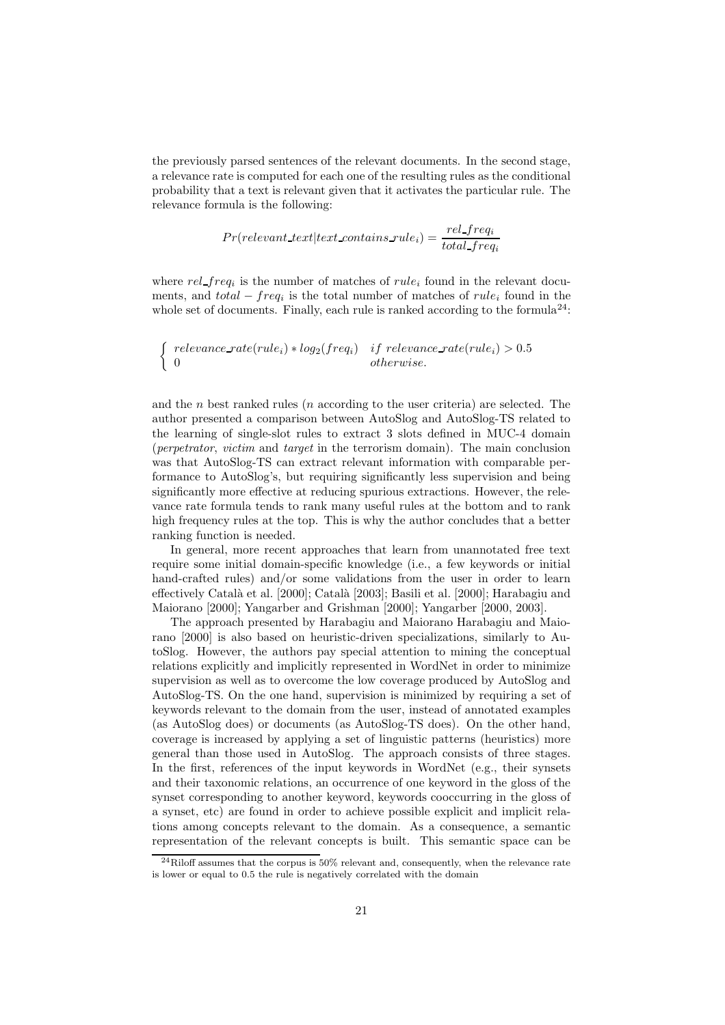the previously parsed sentences of the relevant documents. In the second stage, a relevance rate is computed for each one of the resulting rules as the conditional probability that a text is relevant given that it activates the particular rule. The relevance formula is the following:

$$
Pr(relevant\_text | text\_contains\_rule_i) = \frac{rel\_freq_i}{total\_freq_i}
$$

where  $rel\_freq_i$  is the number of matches of  $rule_i$  found in the relevant documents, and  $total - freq_i$  is the total number of matches of  $rule_i$  found in the whole set of documents. Finally, each rule is ranked according to the formula<sup>24</sup>:

$$
\begin{cases}\nrelevance_rate(rule_i) * log_2(freq_i) & if relevance_rate(rule_i) > 0.5 \\
0 & otherwise.\n\end{cases}
$$

and the n best ranked rules (n according to the user criteria) are selected. The author presented a comparison between AutoSlog and AutoSlog-TS related to the learning of single-slot rules to extract 3 slots defined in MUC-4 domain (perpetrator, victim and target in the terrorism domain). The main conclusion was that AutoSlog-TS can extract relevant information with comparable performance to AutoSlog's, but requiring significantly less supervision and being significantly more effective at reducing spurious extractions. However, the relevance rate formula tends to rank many useful rules at the bottom and to rank high frequency rules at the top. This is why the author concludes that a better ranking function is needed.

In general, more recent approaches that learn from unannotated free text require some initial domain-specific knowledge (i.e., a few keywords or initial hand-crafted rules) and/or some validations from the user in order to learn effectively Català et al. [2000]; Català [2003]; Basili et al. [2000]; Harabagiu and Maiorano [2000]; Yangarber and Grishman [2000]; Yangarber [2000, 2003].

The approach presented by Harabagiu and Maiorano Harabagiu and Maiorano [2000] is also based on heuristic-driven specializations, similarly to AutoSlog. However, the authors pay special attention to mining the conceptual relations explicitly and implicitly represented in WordNet in order to minimize supervision as well as to overcome the low coverage produced by AutoSlog and AutoSlog-TS. On the one hand, supervision is minimized by requiring a set of keywords relevant to the domain from the user, instead of annotated examples (as AutoSlog does) or documents (as AutoSlog-TS does). On the other hand, coverage is increased by applying a set of linguistic patterns (heuristics) more general than those used in AutoSlog. The approach consists of three stages. In the first, references of the input keywords in WordNet (e.g., their synsets and their taxonomic relations, an occurrence of one keyword in the gloss of the synset corresponding to another keyword, keywords cooccurring in the gloss of a synset, etc) are found in order to achieve possible explicit and implicit relations among concepts relevant to the domain. As a consequence, a semantic representation of the relevant concepts is built. This semantic space can be

 $^{24}$ Riloff assumes that the corpus is 50% relevant and, consequently, when the relevance rate is lower or equal to 0.5 the rule is negatively correlated with the domain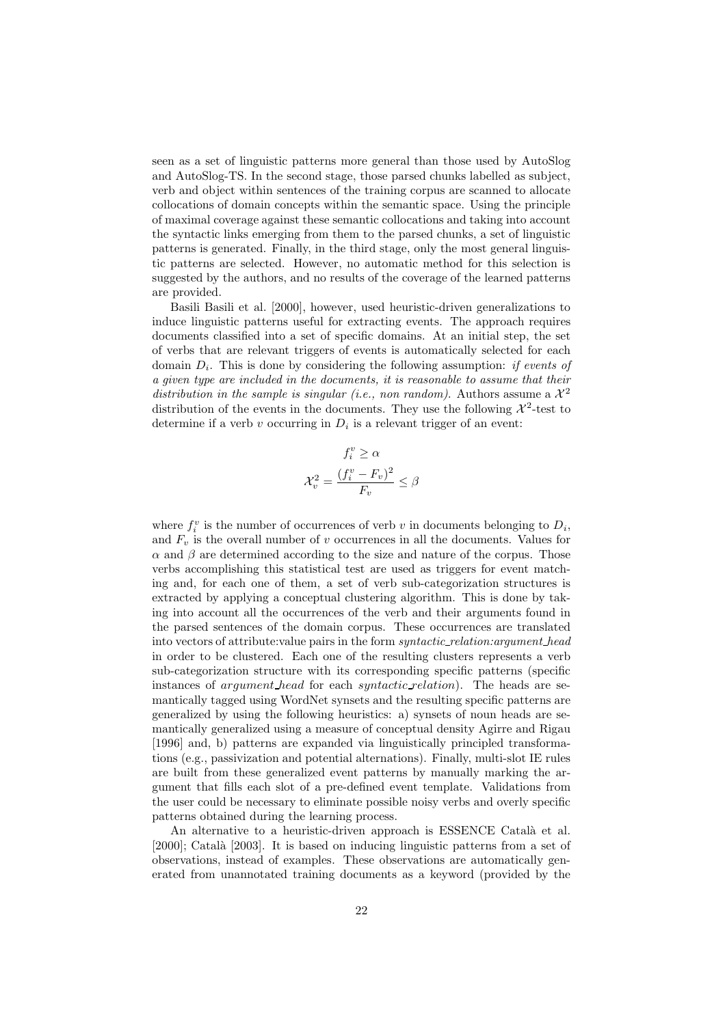seen as a set of linguistic patterns more general than those used by AutoSlog and AutoSlog-TS. In the second stage, those parsed chunks labelled as subject, verb and object within sentences of the training corpus are scanned to allocate collocations of domain concepts within the semantic space. Using the principle of maximal coverage against these semantic collocations and taking into account the syntactic links emerging from them to the parsed chunks, a set of linguistic patterns is generated. Finally, in the third stage, only the most general linguistic patterns are selected. However, no automatic method for this selection is suggested by the authors, and no results of the coverage of the learned patterns are provided.

Basili Basili et al. [2000], however, used heuristic-driven generalizations to induce linguistic patterns useful for extracting events. The approach requires documents classified into a set of specific domains. At an initial step, the set of verbs that are relevant triggers of events is automatically selected for each domain  $D_i$ . This is done by considering the following assumption: if events of a given type are included in the documents, it is reasonable to assume that their distribution in the sample is singular (i.e., non random). Authors assume a  $\mathcal{X}^2$ distribution of the events in the documents. They use the following  $\mathcal{X}^2$ -test to determine if a verb  $v$  occurring in  $D_i$  is a relevant trigger of an event:

$$
f_i^v \ge \alpha
$$

$$
\mathcal{X}_v^2 = \frac{(f_i^v - F_v)^2}{F_v} \le \beta
$$

where  $f_i^v$  is the number of occurrences of verb v in documents belonging to  $D_i$ , and  $F_v$  is the overall number of v occurrences in all the documents. Values for  $\alpha$  and  $\beta$  are determined according to the size and nature of the corpus. Those verbs accomplishing this statistical test are used as triggers for event matching and, for each one of them, a set of verb sub-categorization structures is extracted by applying a conceptual clustering algorithm. This is done by taking into account all the occurrences of the verb and their arguments found in the parsed sentences of the domain corpus. These occurrences are translated into vectors of attribute: value pairs in the form *syntactic\_relation:argument\_head* in order to be clustered. Each one of the resulting clusters represents a verb sub-categorization structure with its corresponding specific patterns (specific instances of *argument head* for each *syntactic relation*). The heads are semantically tagged using WordNet synsets and the resulting specific patterns are generalized by using the following heuristics: a) synsets of noun heads are semantically generalized using a measure of conceptual density Agirre and Rigau [1996] and, b) patterns are expanded via linguistically principled transformations (e.g., passivization and potential alternations). Finally, multi-slot IE rules are built from these generalized event patterns by manually marking the argument that fills each slot of a pre-defined event template. Validations from the user could be necessary to eliminate possible noisy verbs and overly specific patterns obtained during the learning process.

An alternative to a heuristic-driven approach is ESSENCE Català et al. [2000]; Català [2003]. It is based on inducing linguistic patterns from a set of observations, instead of examples. These observations are automatically generated from unannotated training documents as a keyword (provided by the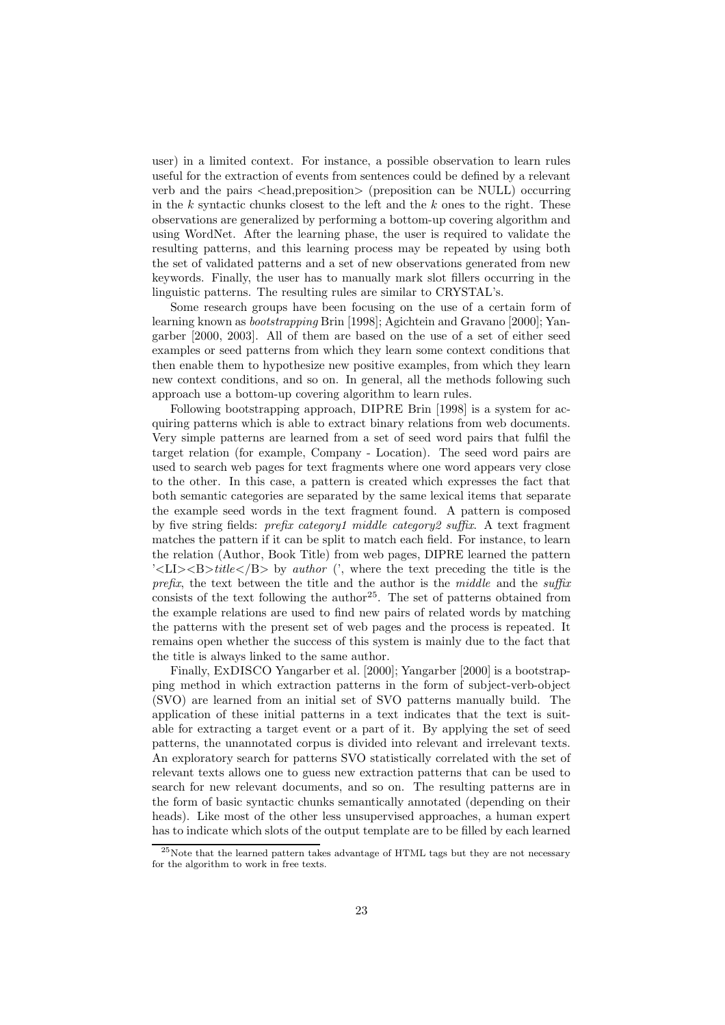user) in a limited context. For instance, a possible observation to learn rules useful for the extraction of events from sentences could be defined by a relevant verb and the pairs  $\langle$ head,preposition $\rangle$  (preposition can be NULL) occurring in the  $k$  syntactic chunks closest to the left and the  $k$  ones to the right. These observations are generalized by performing a bottom-up covering algorithm and using WordNet. After the learning phase, the user is required to validate the resulting patterns, and this learning process may be repeated by using both the set of validated patterns and a set of new observations generated from new keywords. Finally, the user has to manually mark slot fillers occurring in the linguistic patterns. The resulting rules are similar to CRYSTAL's.

Some research groups have been focusing on the use of a certain form of learning known as bootstrapping Brin [1998]; Agichtein and Gravano [2000]; Yangarber [2000, 2003]. All of them are based on the use of a set of either seed examples or seed patterns from which they learn some context conditions that then enable them to hypothesize new positive examples, from which they learn new context conditions, and so on. In general, all the methods following such approach use a bottom-up covering algorithm to learn rules.

Following bootstrapping approach, DIPRE Brin [1998] is a system for acquiring patterns which is able to extract binary relations from web documents. Very simple patterns are learned from a set of seed word pairs that fulfil the target relation (for example, Company - Location). The seed word pairs are used to search web pages for text fragments where one word appears very close to the other. In this case, a pattern is created which expresses the fact that both semantic categories are separated by the same lexical items that separate the example seed words in the text fragment found. A pattern is composed by five string fields: *prefix category1 middle category2 suffix*. A text fragment matches the pattern if it can be split to match each field. For instance, to learn the relation (Author, Book Title) from web pages, DIPRE learned the pattern  $\text{'}\langle\text{LI}\rangle\langle\text{B}\rangle$  by *author* (', where the text preceding the title is the prefix, the text between the title and the author is the middle and the suffix consists of the text following the author<sup>25</sup>. The set of patterns obtained from the example relations are used to find new pairs of related words by matching the patterns with the present set of web pages and the process is repeated. It remains open whether the success of this system is mainly due to the fact that the title is always linked to the same author.

Finally, ExDISCO Yangarber et al. [2000]; Yangarber [2000] is a bootstrapping method in which extraction patterns in the form of subject-verb-object (SVO) are learned from an initial set of SVO patterns manually build. The application of these initial patterns in a text indicates that the text is suitable for extracting a target event or a part of it. By applying the set of seed patterns, the unannotated corpus is divided into relevant and irrelevant texts. An exploratory search for patterns SVO statistically correlated with the set of relevant texts allows one to guess new extraction patterns that can be used to search for new relevant documents, and so on. The resulting patterns are in the form of basic syntactic chunks semantically annotated (depending on their heads). Like most of the other less unsupervised approaches, a human expert has to indicate which slots of the output template are to be filled by each learned

 $^{25}\rm{Note}$  that the learned pattern takes advantage of HTML tags but they are not necessary for the algorithm to work in free texts.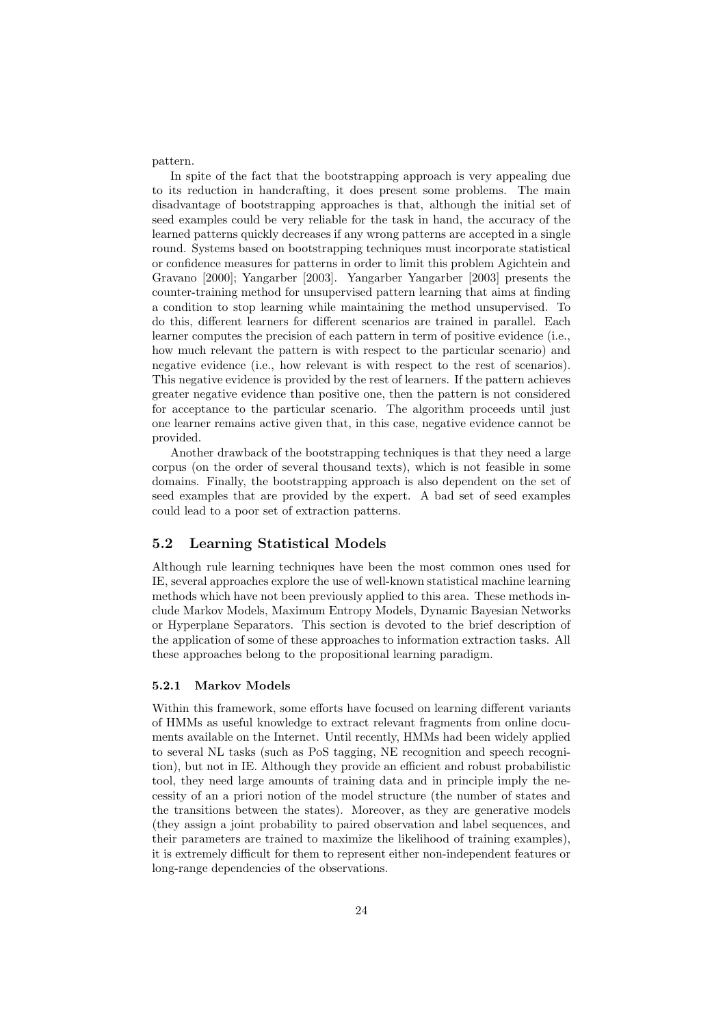pattern.

In spite of the fact that the bootstrapping approach is very appealing due to its reduction in handcrafting, it does present some problems. The main disadvantage of bootstrapping approaches is that, although the initial set of seed examples could be very reliable for the task in hand, the accuracy of the learned patterns quickly decreases if any wrong patterns are accepted in a single round. Systems based on bootstrapping techniques must incorporate statistical or confidence measures for patterns in order to limit this problem Agichtein and Gravano [2000]; Yangarber [2003]. Yangarber Yangarber [2003] presents the counter-training method for unsupervised pattern learning that aims at finding a condition to stop learning while maintaining the method unsupervised. To do this, different learners for different scenarios are trained in parallel. Each learner computes the precision of each pattern in term of positive evidence (i.e., how much relevant the pattern is with respect to the particular scenario) and negative evidence (i.e., how relevant is with respect to the rest of scenarios). This negative evidence is provided by the rest of learners. If the pattern achieves greater negative evidence than positive one, then the pattern is not considered for acceptance to the particular scenario. The algorithm proceeds until just one learner remains active given that, in this case, negative evidence cannot be provided.

Another drawback of the bootstrapping techniques is that they need a large corpus (on the order of several thousand texts), which is not feasible in some domains. Finally, the bootstrapping approach is also dependent on the set of seed examples that are provided by the expert. A bad set of seed examples could lead to a poor set of extraction patterns.

# 5.2 Learning Statistical Models

Although rule learning techniques have been the most common ones used for IE, several approaches explore the use of well-known statistical machine learning methods which have not been previously applied to this area. These methods include Markov Models, Maximum Entropy Models, Dynamic Bayesian Networks or Hyperplane Separators. This section is devoted to the brief description of the application of some of these approaches to information extraction tasks. All these approaches belong to the propositional learning paradigm.

### 5.2.1 Markov Models

Within this framework, some efforts have focused on learning different variants of HMMs as useful knowledge to extract relevant fragments from online documents available on the Internet. Until recently, HMMs had been widely applied to several NL tasks (such as PoS tagging, NE recognition and speech recognition), but not in IE. Although they provide an efficient and robust probabilistic tool, they need large amounts of training data and in principle imply the necessity of an a priori notion of the model structure (the number of states and the transitions between the states). Moreover, as they are generative models (they assign a joint probability to paired observation and label sequences, and their parameters are trained to maximize the likelihood of training examples), it is extremely difficult for them to represent either non-independent features or long-range dependencies of the observations.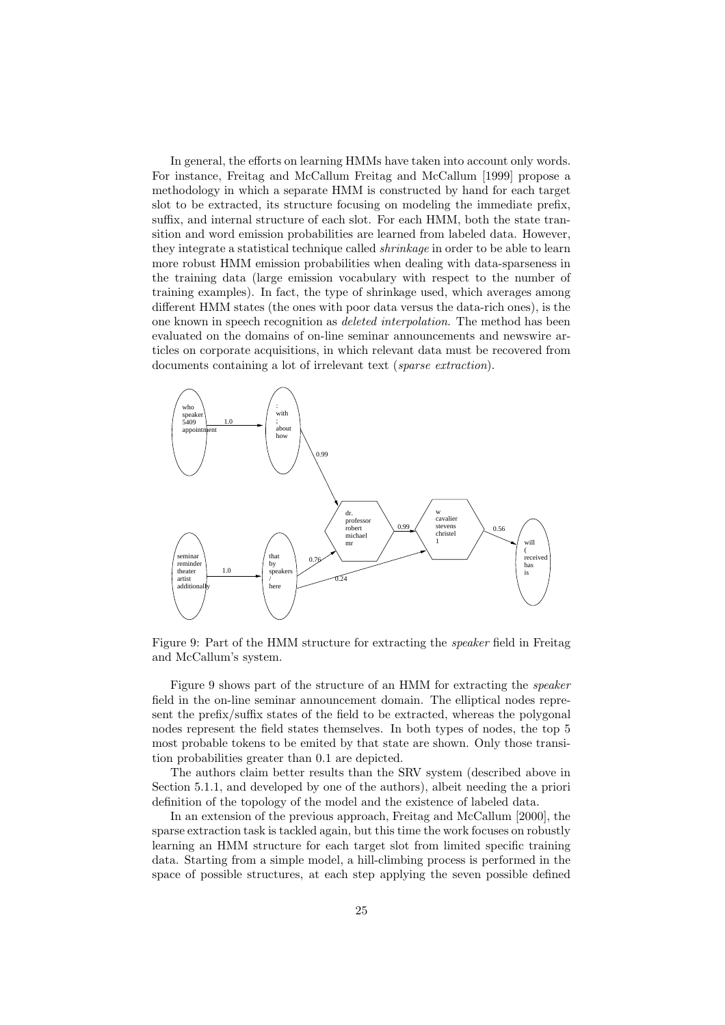In general, the efforts on learning HMMs have taken into account only words. For instance, Freitag and McCallum Freitag and McCallum [1999] propose a methodology in which a separate HMM is constructed by hand for each target slot to be extracted, its structure focusing on modeling the immediate prefix, suffix, and internal structure of each slot. For each HMM, both the state transition and word emission probabilities are learned from labeled data. However, they integrate a statistical technique called *shrinkage* in order to be able to learn more robust HMM emission probabilities when dealing with data-sparseness in the training data (large emission vocabulary with respect to the number of training examples). In fact, the type of shrinkage used, which averages among different HMM states (the ones with poor data versus the data-rich ones), is the one known in speech recognition as *deleted interpolation*. The method has been evaluated on the domains of on-line seminar announcements and newswire articles on corporate acquisitions, in which relevant data must be recovered from documents containing a lot of irrelevant text *(sparse extraction)*.



Figure 9: Part of the HMM structure for extracting the speaker field in Freitag and McCallum's system.

Figure 9 shows part of the structure of an HMM for extracting the speaker field in the on-line seminar announcement domain. The elliptical nodes represent the prefix/suffix states of the field to be extracted, whereas the polygonal nodes represent the field states themselves. In both types of nodes, the top 5 most probable tokens to be emited by that state are shown. Only those transition probabilities greater than 0.1 are depicted.

The authors claim better results than the SRV system (described above in Section 5.1.1, and developed by one of the authors), albeit needing the a priori definition of the topology of the model and the existence of labeled data.

In an extension of the previous approach, Freitag and McCallum [2000], the sparse extraction task is tackled again, but this time the work focuses on robustly learning an HMM structure for each target slot from limited specific training data. Starting from a simple model, a hill-climbing process is performed in the space of possible structures, at each step applying the seven possible defined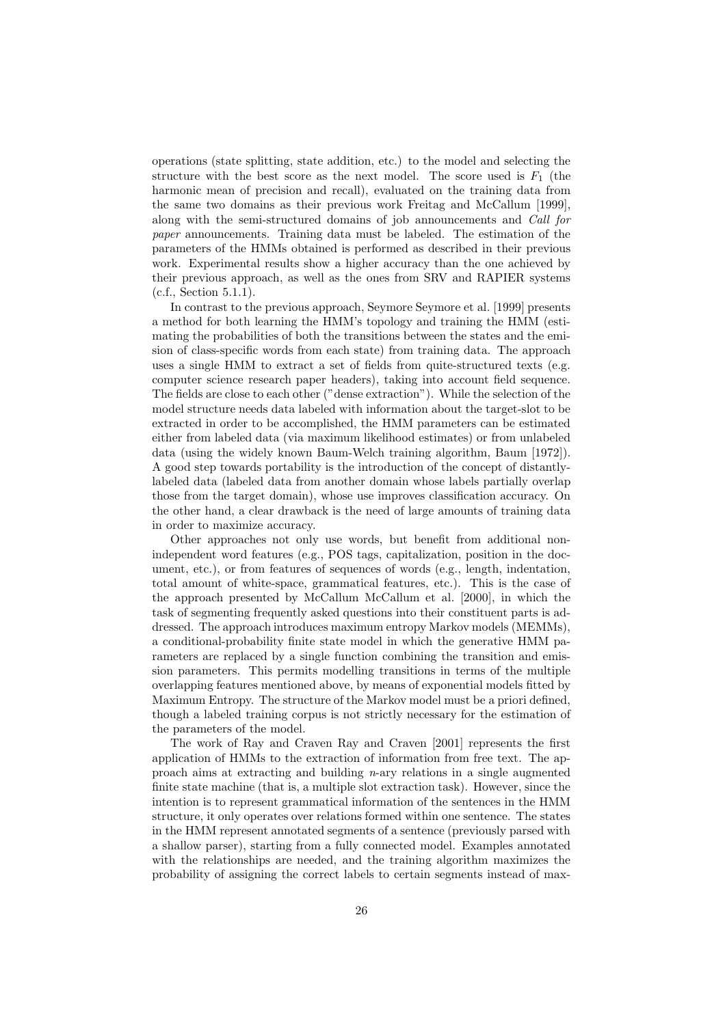operations (state splitting, state addition, etc.) to the model and selecting the structure with the best score as the next model. The score used is  $F_1$  (the harmonic mean of precision and recall), evaluated on the training data from the same two domains as their previous work Freitag and McCallum [1999], along with the semi-structured domains of job announcements and Call for paper announcements. Training data must be labeled. The estimation of the parameters of the HMMs obtained is performed as described in their previous work. Experimental results show a higher accuracy than the one achieved by their previous approach, as well as the ones from SRV and RAPIER systems (c.f., Section 5.1.1).

In contrast to the previous approach, Seymore Seymore et al. [1999] presents a method for both learning the HMM's topology and training the HMM (estimating the probabilities of both the transitions between the states and the emision of class-specific words from each state) from training data. The approach uses a single HMM to extract a set of fields from quite-structured texts (e.g. computer science research paper headers), taking into account field sequence. The fields are close to each other ("dense extraction"). While the selection of the model structure needs data labeled with information about the target-slot to be extracted in order to be accomplished, the HMM parameters can be estimated either from labeled data (via maximum likelihood estimates) or from unlabeled data (using the widely known Baum-Welch training algorithm, Baum [1972]). A good step towards portability is the introduction of the concept of distantlylabeled data (labeled data from another domain whose labels partially overlap those from the target domain), whose use improves classification accuracy. On the other hand, a clear drawback is the need of large amounts of training data in order to maximize accuracy.

Other approaches not only use words, but benefit from additional nonindependent word features (e.g., POS tags, capitalization, position in the document, etc.), or from features of sequences of words (e.g., length, indentation, total amount of white-space, grammatical features, etc.). This is the case of the approach presented by McCallum McCallum et al. [2000], in which the task of segmenting frequently asked questions into their constituent parts is addressed. The approach introduces maximum entropy Markov models (MEMMs), a conditional-probability finite state model in which the generative HMM parameters are replaced by a single function combining the transition and emission parameters. This permits modelling transitions in terms of the multiple overlapping features mentioned above, by means of exponential models fitted by Maximum Entropy. The structure of the Markov model must be a priori defined, though a labeled training corpus is not strictly necessary for the estimation of the parameters of the model.

The work of Ray and Craven Ray and Craven [2001] represents the first application of HMMs to the extraction of information from free text. The approach aims at extracting and building  $n$ -ary relations in a single augmented finite state machine (that is, a multiple slot extraction task). However, since the intention is to represent grammatical information of the sentences in the HMM structure, it only operates over relations formed within one sentence. The states in the HMM represent annotated segments of a sentence (previously parsed with a shallow parser), starting from a fully connected model. Examples annotated with the relationships are needed, and the training algorithm maximizes the probability of assigning the correct labels to certain segments instead of max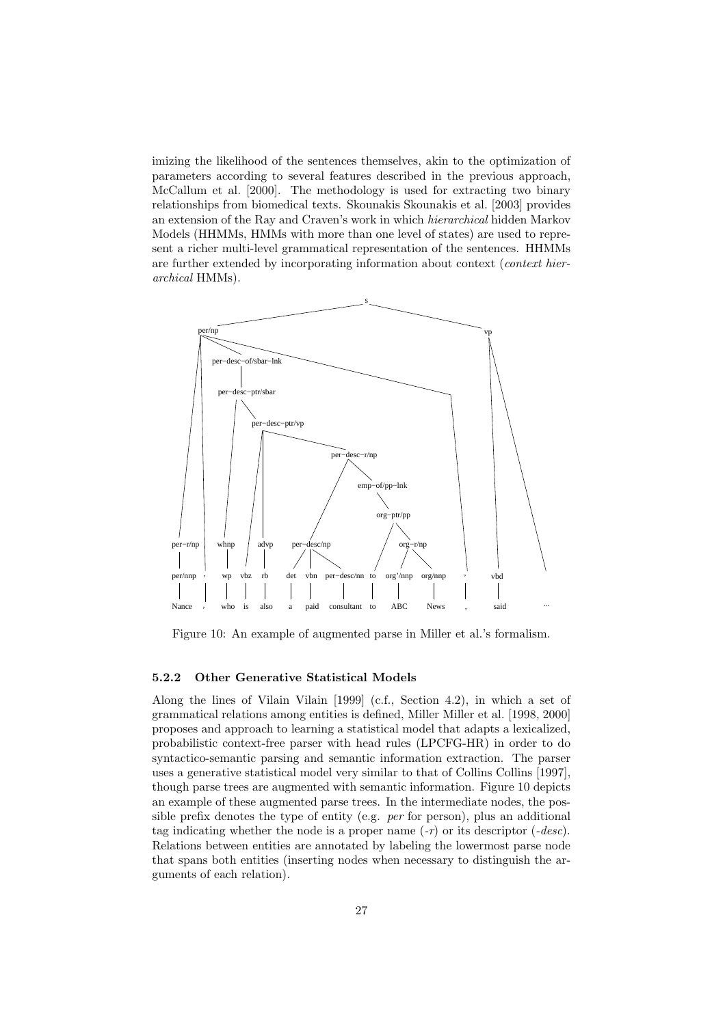imizing the likelihood of the sentences themselves, akin to the optimization of parameters according to several features described in the previous approach, McCallum et al. [2000]. The methodology is used for extracting two binary relationships from biomedical texts. Skounakis Skounakis et al. [2003] provides an extension of the Ray and Craven's work in which hierarchical hidden Markov Models (HHMMs, HMMs with more than one level of states) are used to represent a richer multi-level grammatical representation of the sentences. HHMMs are further extended by incorporating information about context (context hierarchical HMMs).



Figure 10: An example of augmented parse in Miller et al.'s formalism.

## 5.2.2 Other Generative Statistical Models

Along the lines of Vilain Vilain [1999] (c.f., Section 4.2), in which a set of grammatical relations among entities is defined, Miller Miller et al. [1998, 2000] proposes and approach to learning a statistical model that adapts a lexicalized, probabilistic context-free parser with head rules (LPCFG-HR) in order to do syntactico-semantic parsing and semantic information extraction. The parser uses a generative statistical model very similar to that of Collins Collins [1997], though parse trees are augmented with semantic information. Figure 10 depicts an example of these augmented parse trees. In the intermediate nodes, the possible prefix denotes the type of entity (e.g. per for person), plus an additional tag indicating whether the node is a proper name  $(-r)$  or its descriptor  $(-desc)$ . Relations between entities are annotated by labeling the lowermost parse node that spans both entities (inserting nodes when necessary to distinguish the arguments of each relation).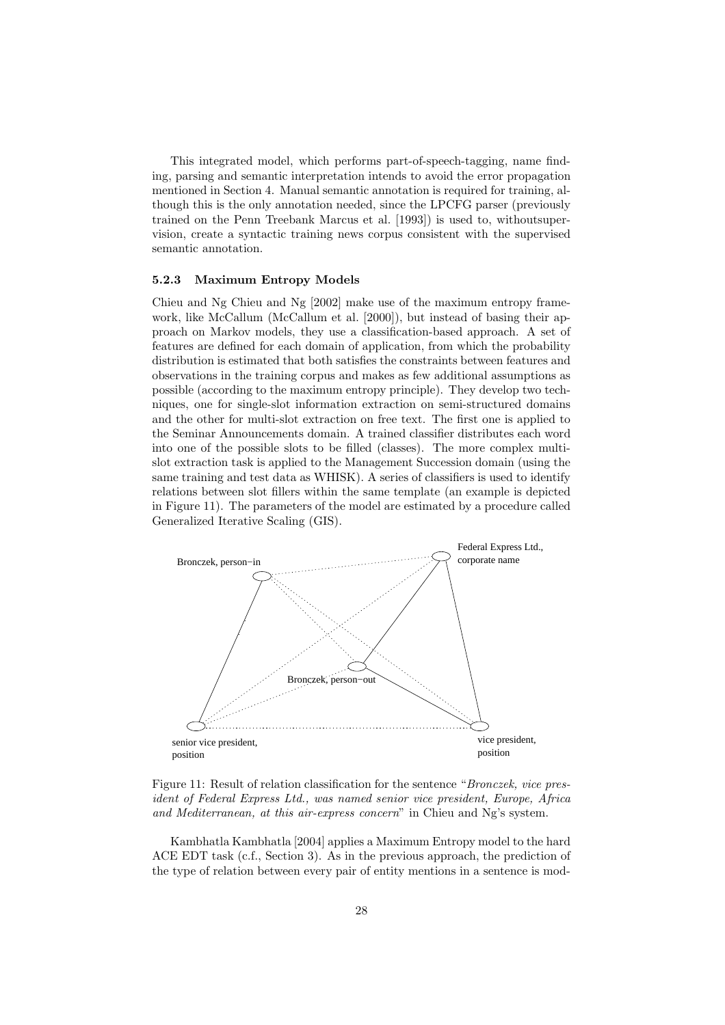This integrated model, which performs part-of-speech-tagging, name finding, parsing and semantic interpretation intends to avoid the error propagation mentioned in Section 4. Manual semantic annotation is required for training, although this is the only annotation needed, since the LPCFG parser (previously trained on the Penn Treebank Marcus et al. [1993]) is used to, withoutsupervision, create a syntactic training news corpus consistent with the supervised semantic annotation.

### 5.2.3 Maximum Entropy Models

Chieu and Ng Chieu and Ng [2002] make use of the maximum entropy framework, like McCallum (McCallum et al. [2000]), but instead of basing their approach on Markov models, they use a classification-based approach. A set of features are defined for each domain of application, from which the probability distribution is estimated that both satisfies the constraints between features and observations in the training corpus and makes as few additional assumptions as possible (according to the maximum entropy principle). They develop two techniques, one for single-slot information extraction on semi-structured domains and the other for multi-slot extraction on free text. The first one is applied to the Seminar Announcements domain. A trained classifier distributes each word into one of the possible slots to be filled (classes). The more complex multislot extraction task is applied to the Management Succession domain (using the same training and test data as WHISK). A series of classifiers is used to identify relations between slot fillers within the same template (an example is depicted in Figure 11). The parameters of the model are estimated by a procedure called Generalized Iterative Scaling (GIS).



Figure 11: Result of relation classification for the sentence "Bronczek, vice president of Federal Express Ltd., was named senior vice president, Europe, Africa and Mediterranean, at this air-express concern" in Chieu and Ng's system.

Kambhatla Kambhatla [2004] applies a Maximum Entropy model to the hard ACE EDT task (c.f., Section 3). As in the previous approach, the prediction of the type of relation between every pair of entity mentions in a sentence is mod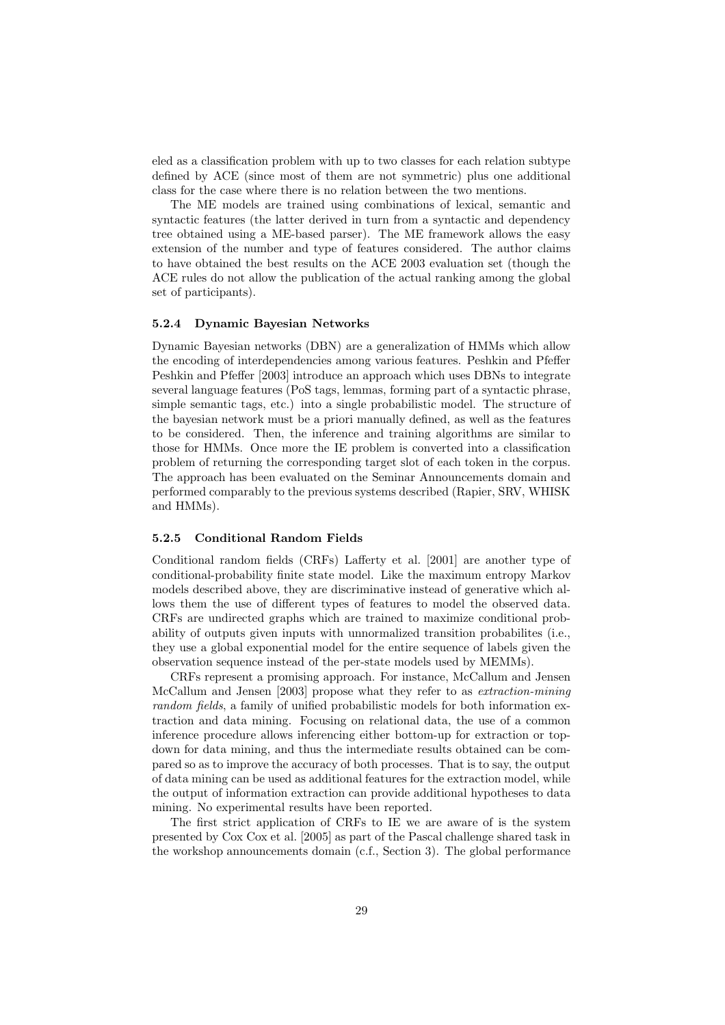eled as a classification problem with up to two classes for each relation subtype defined by ACE (since most of them are not symmetric) plus one additional class for the case where there is no relation between the two mentions.

The ME models are trained using combinations of lexical, semantic and syntactic features (the latter derived in turn from a syntactic and dependency tree obtained using a ME-based parser). The ME framework allows the easy extension of the number and type of features considered. The author claims to have obtained the best results on the ACE 2003 evaluation set (though the ACE rules do not allow the publication of the actual ranking among the global set of participants).

#### 5.2.4 Dynamic Bayesian Networks

Dynamic Bayesian networks (DBN) are a generalization of HMMs which allow the encoding of interdependencies among various features. Peshkin and Pfeffer Peshkin and Pfeffer [2003] introduce an approach which uses DBNs to integrate several language features (PoS tags, lemmas, forming part of a syntactic phrase, simple semantic tags, etc.) into a single probabilistic model. The structure of the bayesian network must be a priori manually defined, as well as the features to be considered. Then, the inference and training algorithms are similar to those for HMMs. Once more the IE problem is converted into a classification problem of returning the corresponding target slot of each token in the corpus. The approach has been evaluated on the Seminar Announcements domain and performed comparably to the previous systems described (Rapier, SRV, WHISK and HMMs).

## 5.2.5 Conditional Random Fields

Conditional random fields (CRFs) Lafferty et al. [2001] are another type of conditional-probability finite state model. Like the maximum entropy Markov models described above, they are discriminative instead of generative which allows them the use of different types of features to model the observed data. CRFs are undirected graphs which are trained to maximize conditional probability of outputs given inputs with unnormalized transition probabilites (i.e., they use a global exponential model for the entire sequence of labels given the observation sequence instead of the per-state models used by MEMMs).

CRFs represent a promising approach. For instance, McCallum and Jensen McCallum and Jensen [2003] propose what they refer to as extraction-mining random fields, a family of unified probabilistic models for both information extraction and data mining. Focusing on relational data, the use of a common inference procedure allows inferencing either bottom-up for extraction or topdown for data mining, and thus the intermediate results obtained can be compared so as to improve the accuracy of both processes. That is to say, the output of data mining can be used as additional features for the extraction model, while the output of information extraction can provide additional hypotheses to data mining. No experimental results have been reported.

The first strict application of CRFs to IE we are aware of is the system presented by Cox Cox et al. [2005] as part of the Pascal challenge shared task in the workshop announcements domain (c.f., Section 3). The global performance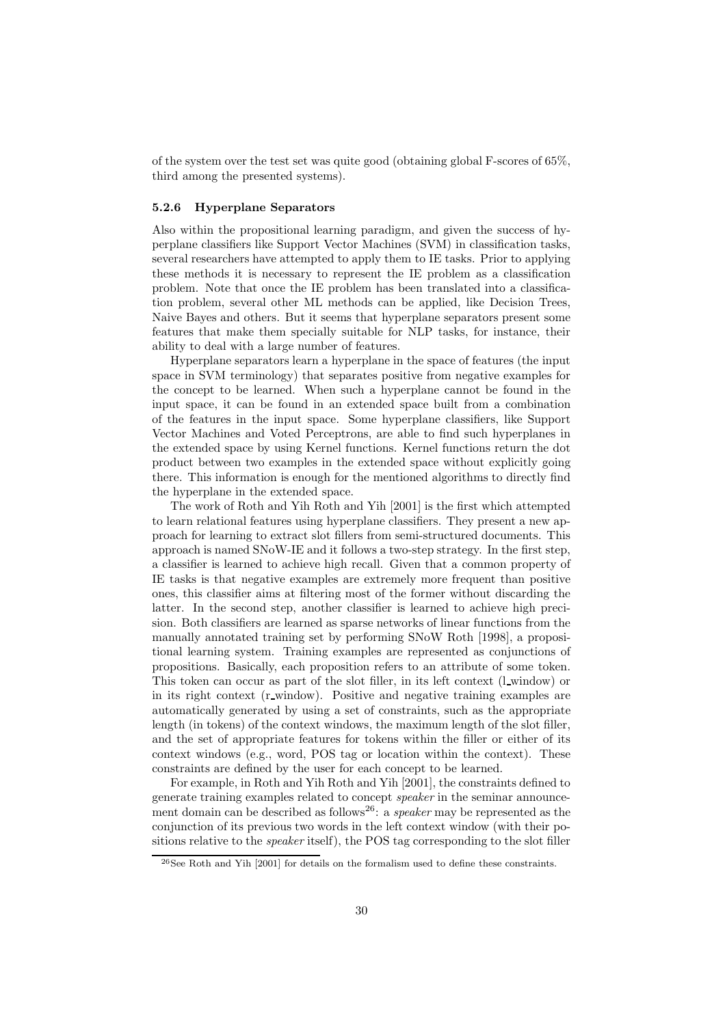of the system over the test set was quite good (obtaining global F-scores of 65%, third among the presented systems).

## 5.2.6 Hyperplane Separators

Also within the propositional learning paradigm, and given the success of hyperplane classifiers like Support Vector Machines (SVM) in classification tasks, several researchers have attempted to apply them to IE tasks. Prior to applying these methods it is necessary to represent the IE problem as a classification problem. Note that once the IE problem has been translated into a classification problem, several other ML methods can be applied, like Decision Trees, Naive Bayes and others. But it seems that hyperplane separators present some features that make them specially suitable for NLP tasks, for instance, their ability to deal with a large number of features.

Hyperplane separators learn a hyperplane in the space of features (the input space in SVM terminology) that separates positive from negative examples for the concept to be learned. When such a hyperplane cannot be found in the input space, it can be found in an extended space built from a combination of the features in the input space. Some hyperplane classifiers, like Support Vector Machines and Voted Perceptrons, are able to find such hyperplanes in the extended space by using Kernel functions. Kernel functions return the dot product between two examples in the extended space without explicitly going there. This information is enough for the mentioned algorithms to directly find the hyperplane in the extended space.

The work of Roth and Yih Roth and Yih [2001] is the first which attempted to learn relational features using hyperplane classifiers. They present a new approach for learning to extract slot fillers from semi-structured documents. This approach is named SNoW-IE and it follows a two-step strategy. In the first step, a classifier is learned to achieve high recall. Given that a common property of IE tasks is that negative examples are extremely more frequent than positive ones, this classifier aims at filtering most of the former without discarding the latter. In the second step, another classifier is learned to achieve high precision. Both classifiers are learned as sparse networks of linear functions from the manually annotated training set by performing SNoW Roth [1998], a propositional learning system. Training examples are represented as conjunctions of propositions. Basically, each proposition refers to an attribute of some token. This token can occur as part of the slot filler, in its left context (l window) or in its right context (r window). Positive and negative training examples are automatically generated by using a set of constraints, such as the appropriate length (in tokens) of the context windows, the maximum length of the slot filler, and the set of appropriate features for tokens within the filler or either of its context windows (e.g., word, POS tag or location within the context). These constraints are defined by the user for each concept to be learned.

For example, in Roth and Yih Roth and Yih [2001], the constraints defined to generate training examples related to concept speaker in the seminar announcement domain can be described as follows<sup>26</sup>: a *speaker* may be represented as the conjunction of its previous two words in the left context window (with their positions relative to the speaker itself), the POS tag corresponding to the slot filler

<sup>26</sup>See Roth and Yih [2001] for details on the formalism used to define these constraints.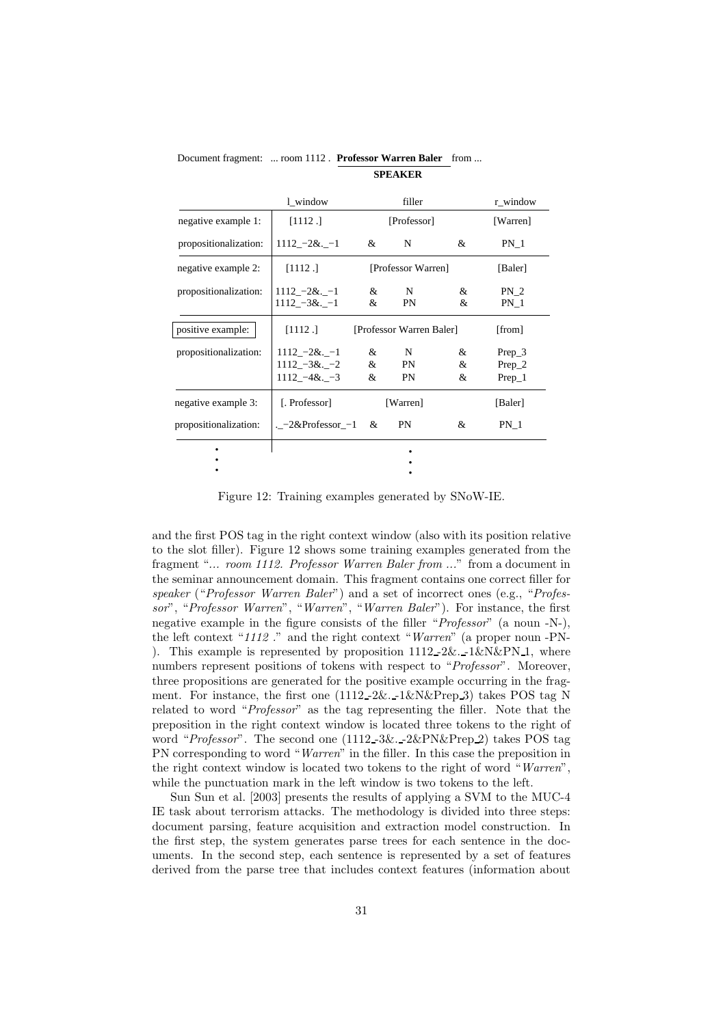|                       | 1 window                          |        | filler                   |        | r_window                  |
|-----------------------|-----------------------------------|--------|--------------------------|--------|---------------------------|
| negative example 1:   | [1112.]                           |        | [Professor]              |        | [Warren]                  |
| propositionalization: | $1112 - 2& -1$                    | &      | N                        | &      | PN <sub>1</sub>           |
| negative example 2:   | [1112.]                           |        | [Professor Warren]       |        | [Baler]                   |
| propositionalization: | $1112 - 2 & -1$<br>$1112 - 3& -1$ | &<br>& | N<br>PN                  | &<br>& | $PN_2$<br>PN <sub>1</sub> |
| positive example:     | [1112.]                           |        | [Professor Warren Baler] |        | [from]                    |
| propositionalization: | $1112 - 2 & -1$                   | &      | N                        | &      | $Prep_3$                  |
|                       | $1112 - 3& -2$                    | &      | PN.                      | &      | $Prep_2$                  |
|                       | $1112 - 4&. -3$                   | &      | PN                       | &      | $Prep_1$                  |
| negative example 3:   | [. Professor]                     |        | [Warren]                 |        | [Baler]                   |
| propositionalization: | $-2\&$ Professor $-1$             | &      | PN                       | &      | $PN_1$                    |
|                       |                                   |        |                          |        |                           |
|                       |                                   |        |                          |        |                           |
|                       |                                   |        |                          |        |                           |

Document fragment: ... room 1112 . Professor Warren Baler from ... **SPEAKER**

Figure 12: Training examples generated by SNoW-IE.

and the first POS tag in the right context window (also with its position relative to the slot filler). Figure 12 shows some training examples generated from the fragment "... room 1112. Professor Warren Baler from ..." from a document in the seminar announcement domain. This fragment contains one correct filler for speaker ("Professor Warren Baler") and a set of incorrect ones (e.g., "Professor", "Professor Warren", "Warren", "Warren Baler"). For instance, the first negative example in the figure consists of the filler "*Professor*" (a noun -N-), the left context "1112 ." and the right context "Warren" (a proper noun -PN- ). This example is represented by proposition  $1112 - 2\& -1\&\text{N\&PN}\_1$ , where numbers represent positions of tokens with respect to "*Professor*". Moreover, three propositions are generated for the positive example occurring in the fragment. For instance, the first one  $(1112-2\& -1\&\text{N\&Prep-3})$  takes POS tag N related to word "Professor" as the tag representing the filler. Note that the preposition in the right context window is located three tokens to the right of word "Professor". The second one (1112-3&.-2&PN&Prep 2) takes POS tag PN corresponding to word "Warren" in the filler. In this case the preposition in the right context window is located two tokens to the right of word "Warren", while the punctuation mark in the left window is two tokens to the left.

Sun Sun et al. [2003] presents the results of applying a SVM to the MUC-4 IE task about terrorism attacks. The methodology is divided into three steps: document parsing, feature acquisition and extraction model construction. In the first step, the system generates parse trees for each sentence in the documents. In the second step, each sentence is represented by a set of features derived from the parse tree that includes context features (information about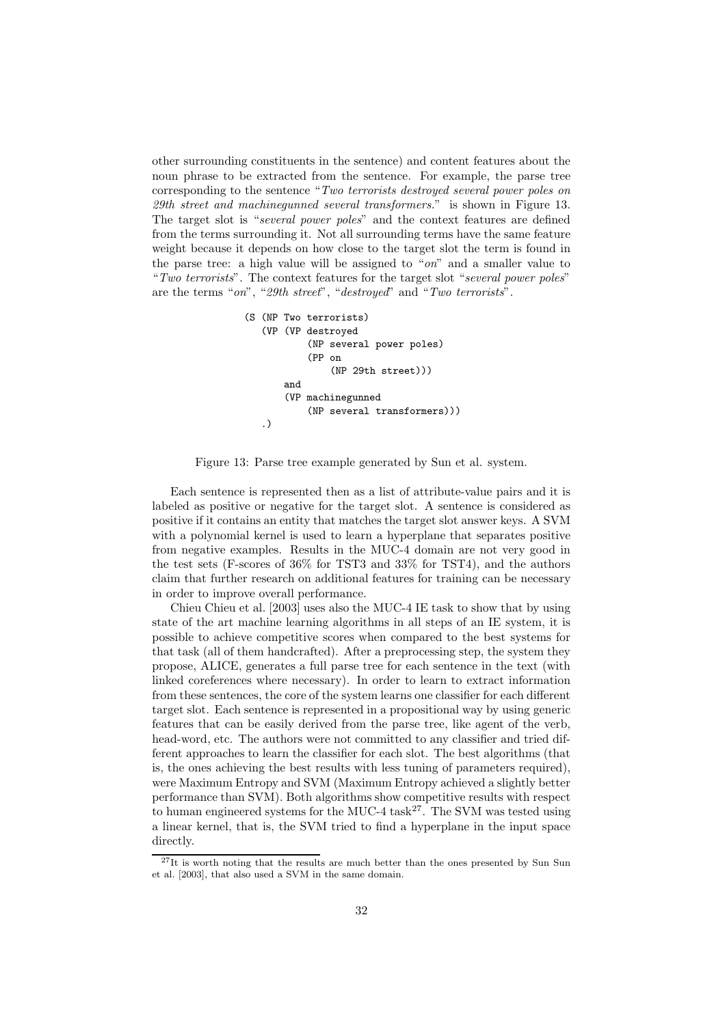other surrounding constituents in the sentence) and content features about the noun phrase to be extracted from the sentence. For example, the parse tree corresponding to the sentence "Two terrorists destroyed several power poles on 29th street and machinegunned several transformers." is shown in Figure 13. The target slot is "several power poles" and the context features are defined from the terms surrounding it. Not all surrounding terms have the same feature weight because it depends on how close to the target slot the term is found in the parse tree: a high value will be assigned to " $\alpha$ " and a smaller value to "Two terrorists". The context features for the target slot "several power poles" are the terms "on", "29th street", "destroyed" and "Two terrorists".

```
(S (NP Two terrorists)
   (VP (VP destroyed
           (NP several power poles)
           (PP on
                (NP 29th street)))
       and
       (VP machinegunned
           (NP several transformers)))
   .)
```
Figure 13: Parse tree example generated by Sun et al. system.

Each sentence is represented then as a list of attribute-value pairs and it is labeled as positive or negative for the target slot. A sentence is considered as positive if it contains an entity that matches the target slot answer keys. A SVM with a polynomial kernel is used to learn a hyperplane that separates positive from negative examples. Results in the MUC-4 domain are not very good in the test sets (F-scores of 36% for TST3 and 33% for TST4), and the authors claim that further research on additional features for training can be necessary in order to improve overall performance.

Chieu Chieu et al. [2003] uses also the MUC-4 IE task to show that by using state of the art machine learning algorithms in all steps of an IE system, it is possible to achieve competitive scores when compared to the best systems for that task (all of them handcrafted). After a preprocessing step, the system they propose, ALICE, generates a full parse tree for each sentence in the text (with linked coreferences where necessary). In order to learn to extract information from these sentences, the core of the system learns one classifier for each different target slot. Each sentence is represented in a propositional way by using generic features that can be easily derived from the parse tree, like agent of the verb, head-word, etc. The authors were not committed to any classifier and tried different approaches to learn the classifier for each slot. The best algorithms (that is, the ones achieving the best results with less tuning of parameters required), were Maximum Entropy and SVM (Maximum Entropy achieved a slightly better performance than SVM). Both algorithms show competitive results with respect to human engineered systems for the MUC-4 task<sup>27</sup>. The SVM was tested using a linear kernel, that is, the SVM tried to find a hyperplane in the input space directly.

 $27$ It is worth noting that the results are much better than the ones presented by Sun Sun et al. [2003], that also used a SVM in the same domain.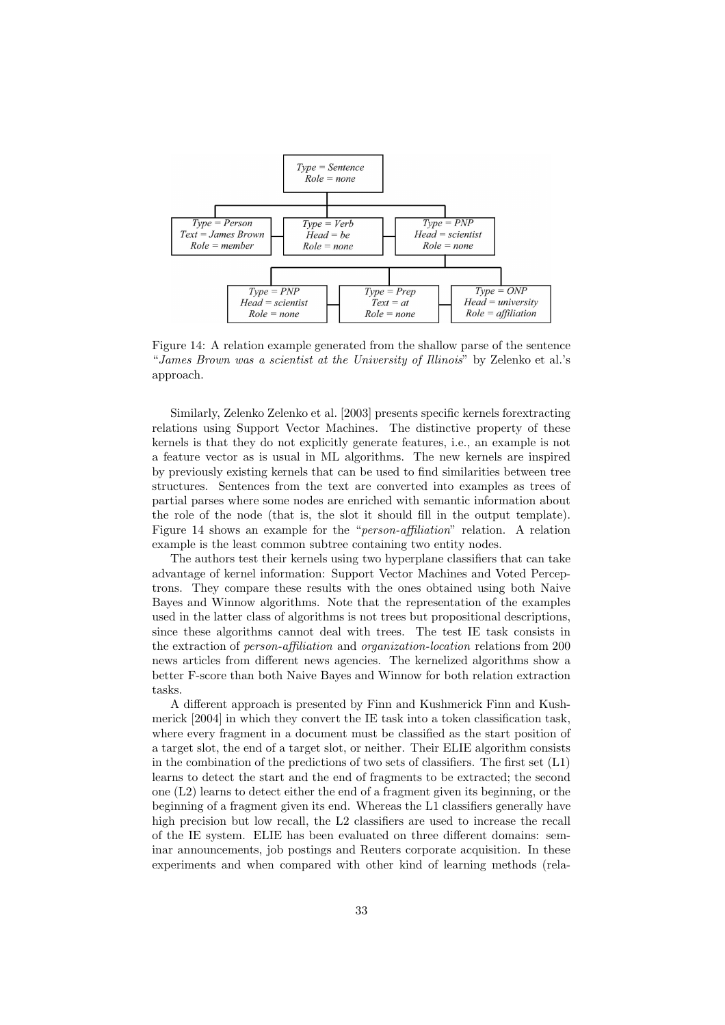

Figure 14: A relation example generated from the shallow parse of the sentence "James Brown was a scientist at the University of Illinois" by Zelenko et al.'s approach.

Similarly, Zelenko Zelenko et al. [2003] presents specific kernels forextracting relations using Support Vector Machines. The distinctive property of these kernels is that they do not explicitly generate features, i.e., an example is not a feature vector as is usual in ML algorithms. The new kernels are inspired by previously existing kernels that can be used to find similarities between tree structures. Sentences from the text are converted into examples as trees of partial parses where some nodes are enriched with semantic information about the role of the node (that is, the slot it should fill in the output template). Figure 14 shows an example for the "*person-affiliation*" relation. A relation example is the least common subtree containing two entity nodes.

The authors test their kernels using two hyperplane classifiers that can take advantage of kernel information: Support Vector Machines and Voted Perceptrons. They compare these results with the ones obtained using both Naive Bayes and Winnow algorithms. Note that the representation of the examples used in the latter class of algorithms is not trees but propositional descriptions, since these algorithms cannot deal with trees. The test IE task consists in the extraction of person-affiliation and organization-location relations from 200 news articles from different news agencies. The kernelized algorithms show a better F-score than both Naive Bayes and Winnow for both relation extraction tasks.

A different approach is presented by Finn and Kushmerick Finn and Kushmerick [2004] in which they convert the IE task into a token classification task, where every fragment in a document must be classified as the start position of a target slot, the end of a target slot, or neither. Their ELIE algorithm consists in the combination of the predictions of two sets of classifiers. The first set (L1) learns to detect the start and the end of fragments to be extracted; the second one (L2) learns to detect either the end of a fragment given its beginning, or the beginning of a fragment given its end. Whereas the L1 classifiers generally have high precision but low recall, the L2 classifiers are used to increase the recall of the IE system. ELIE has been evaluated on three different domains: seminar announcements, job postings and Reuters corporate acquisition. In these experiments and when compared with other kind of learning methods (rela-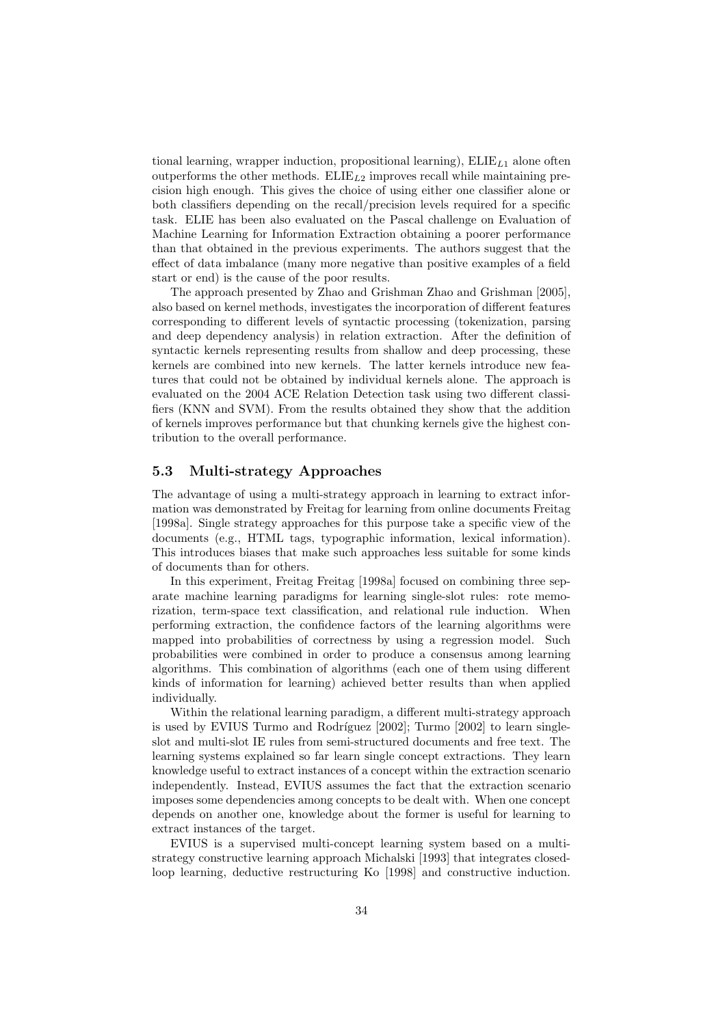tional learning, wrapper induction, propositional learning),  $ELE<sub>L1</sub>$  alone often outperforms the other methods.  $ELE_{L2}$  improves recall while maintaining precision high enough. This gives the choice of using either one classifier alone or both classifiers depending on the recall/precision levels required for a specific task. ELIE has been also evaluated on the Pascal challenge on Evaluation of Machine Learning for Information Extraction obtaining a poorer performance than that obtained in the previous experiments. The authors suggest that the effect of data imbalance (many more negative than positive examples of a field start or end) is the cause of the poor results.

The approach presented by Zhao and Grishman Zhao and Grishman [2005], also based on kernel methods, investigates the incorporation of different features corresponding to different levels of syntactic processing (tokenization, parsing and deep dependency analysis) in relation extraction. After the definition of syntactic kernels representing results from shallow and deep processing, these kernels are combined into new kernels. The latter kernels introduce new features that could not be obtained by individual kernels alone. The approach is evaluated on the 2004 ACE Relation Detection task using two different classifiers (KNN and SVM). From the results obtained they show that the addition of kernels improves performance but that chunking kernels give the highest contribution to the overall performance.

# 5.3 Multi-strategy Approaches

The advantage of using a multi-strategy approach in learning to extract information was demonstrated by Freitag for learning from online documents Freitag [1998a]. Single strategy approaches for this purpose take a specific view of the documents (e.g., HTML tags, typographic information, lexical information). This introduces biases that make such approaches less suitable for some kinds of documents than for others.

In this experiment, Freitag Freitag [1998a] focused on combining three separate machine learning paradigms for learning single-slot rules: rote memorization, term-space text classification, and relational rule induction. When performing extraction, the confidence factors of the learning algorithms were mapped into probabilities of correctness by using a regression model. Such probabilities were combined in order to produce a consensus among learning algorithms. This combination of algorithms (each one of them using different kinds of information for learning) achieved better results than when applied individually.

Within the relational learning paradigm, a different multi-strategy approach is used by EVIUS Turmo and Rodríguez  $[2002]$ ; Turmo  $[2002]$  to learn singleslot and multi-slot IE rules from semi-structured documents and free text. The learning systems explained so far learn single concept extractions. They learn knowledge useful to extract instances of a concept within the extraction scenario independently. Instead, EVIUS assumes the fact that the extraction scenario imposes some dependencies among concepts to be dealt with. When one concept depends on another one, knowledge about the former is useful for learning to extract instances of the target.

EVIUS is a supervised multi-concept learning system based on a multistrategy constructive learning approach Michalski [1993] that integrates closedloop learning, deductive restructuring Ko [1998] and constructive induction.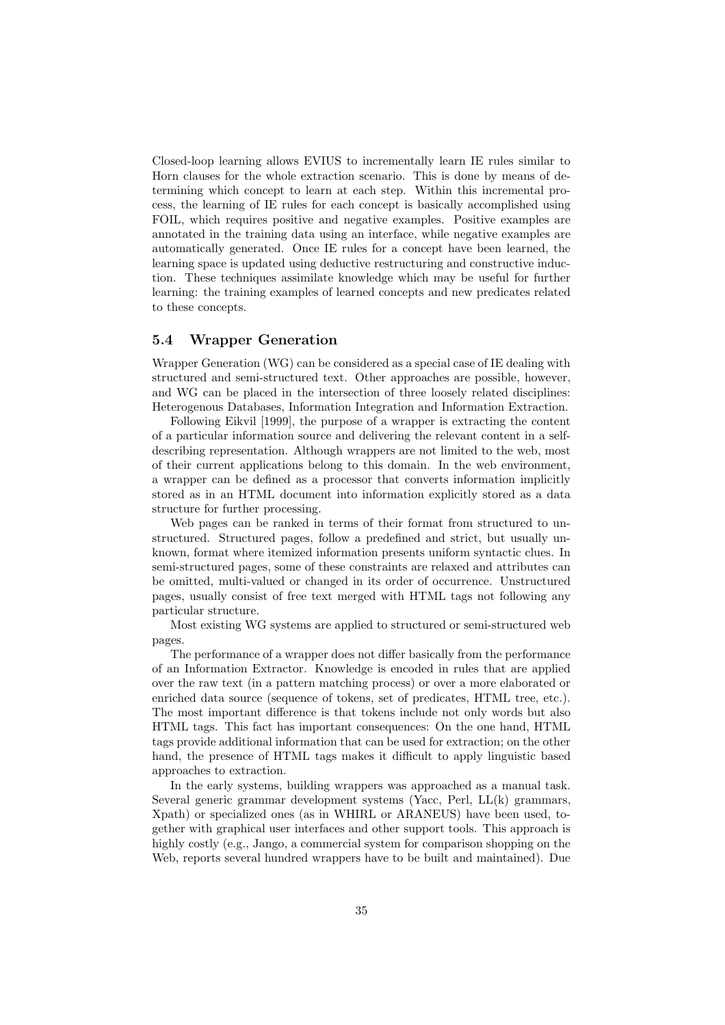Closed-loop learning allows EVIUS to incrementally learn IE rules similar to Horn clauses for the whole extraction scenario. This is done by means of determining which concept to learn at each step. Within this incremental process, the learning of IE rules for each concept is basically accomplished using FOIL, which requires positive and negative examples. Positive examples are annotated in the training data using an interface, while negative examples are automatically generated. Once IE rules for a concept have been learned, the learning space is updated using deductive restructuring and constructive induction. These techniques assimilate knowledge which may be useful for further learning: the training examples of learned concepts and new predicates related to these concepts.

# 5.4 Wrapper Generation

Wrapper Generation (WG) can be considered as a special case of IE dealing with structured and semi-structured text. Other approaches are possible, however, and WG can be placed in the intersection of three loosely related disciplines: Heterogenous Databases, Information Integration and Information Extraction.

Following Eikvil [1999], the purpose of a wrapper is extracting the content of a particular information source and delivering the relevant content in a selfdescribing representation. Although wrappers are not limited to the web, most of their current applications belong to this domain. In the web environment, a wrapper can be defined as a processor that converts information implicitly stored as in an HTML document into information explicitly stored as a data structure for further processing.

Web pages can be ranked in terms of their format from structured to unstructured. Structured pages, follow a predefined and strict, but usually unknown, format where itemized information presents uniform syntactic clues. In semi-structured pages, some of these constraints are relaxed and attributes can be omitted, multi-valued or changed in its order of occurrence. Unstructured pages, usually consist of free text merged with HTML tags not following any particular structure.

Most existing WG systems are applied to structured or semi-structured web pages.

The performance of a wrapper does not differ basically from the performance of an Information Extractor. Knowledge is encoded in rules that are applied over the raw text (in a pattern matching process) or over a more elaborated or enriched data source (sequence of tokens, set of predicates, HTML tree, etc.). The most important difference is that tokens include not only words but also HTML tags. This fact has important consequences: On the one hand, HTML tags provide additional information that can be used for extraction; on the other hand, the presence of HTML tags makes it difficult to apply linguistic based approaches to extraction.

In the early systems, building wrappers was approached as a manual task. Several generic grammar development systems (Yacc, Perl, LL(k) grammars, Xpath) or specialized ones (as in WHIRL or ARANEUS) have been used, together with graphical user interfaces and other support tools. This approach is highly costly (e.g., Jango, a commercial system for comparison shopping on the Web, reports several hundred wrappers have to be built and maintained). Due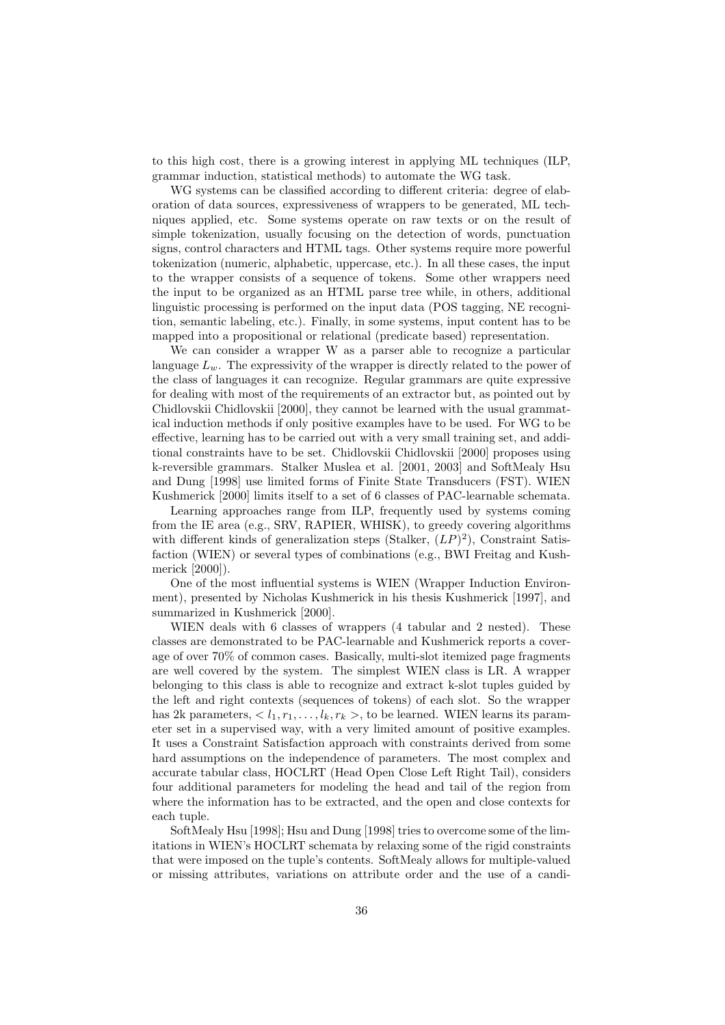to this high cost, there is a growing interest in applying ML techniques (ILP, grammar induction, statistical methods) to automate the WG task.

WG systems can be classified according to different criteria: degree of elaboration of data sources, expressiveness of wrappers to be generated, ML techniques applied, etc. Some systems operate on raw texts or on the result of simple tokenization, usually focusing on the detection of words, punctuation signs, control characters and HTML tags. Other systems require more powerful tokenization (numeric, alphabetic, uppercase, etc.). In all these cases, the input to the wrapper consists of a sequence of tokens. Some other wrappers need the input to be organized as an HTML parse tree while, in others, additional linguistic processing is performed on the input data (POS tagging, NE recognition, semantic labeling, etc.). Finally, in some systems, input content has to be mapped into a propositional or relational (predicate based) representation.

We can consider a wrapper W as a parser able to recognize a particular language  $L<sub>w</sub>$ . The expressivity of the wrapper is directly related to the power of the class of languages it can recognize. Regular grammars are quite expressive for dealing with most of the requirements of an extractor but, as pointed out by Chidlovskii Chidlovskii [2000], they cannot be learned with the usual grammatical induction methods if only positive examples have to be used. For WG to be effective, learning has to be carried out with a very small training set, and additional constraints have to be set. Chidlovskii Chidlovskii [2000] proposes using k-reversible grammars. Stalker Muslea et al. [2001, 2003] and SoftMealy Hsu and Dung [1998] use limited forms of Finite State Transducers (FST). WIEN Kushmerick [2000] limits itself to a set of 6 classes of PAC-learnable schemata.

Learning approaches range from ILP, frequently used by systems coming from the IE area (e.g., SRV, RAPIER, WHISK), to greedy covering algorithms with different kinds of generalization steps (Stalker,  $(LP)^2$ ), Constraint Satisfaction (WIEN) or several types of combinations (e.g., BWI Freitag and Kushmerick [2000]).

One of the most influential systems is WIEN (Wrapper Induction Environment), presented by Nicholas Kushmerick in his thesis Kushmerick [1997], and summarized in Kushmerick [2000].

WIEN deals with 6 classes of wrappers (4 tabular and 2 nested). These classes are demonstrated to be PAC-learnable and Kushmerick reports a coverage of over 70% of common cases. Basically, multi-slot itemized page fragments are well covered by the system. The simplest WIEN class is LR. A wrapper belonging to this class is able to recognize and extract k-slot tuples guided by the left and right contexts (sequences of tokens) of each slot. So the wrapper has 2k parameters,  $\langle l_1, r_1, \ldots, l_k, r_k \rangle$ , to be learned. WIEN learns its parameter set in a supervised way, with a very limited amount of positive examples. It uses a Constraint Satisfaction approach with constraints derived from some hard assumptions on the independence of parameters. The most complex and accurate tabular class, HOCLRT (Head Open Close Left Right Tail), considers four additional parameters for modeling the head and tail of the region from where the information has to be extracted, and the open and close contexts for each tuple.

SoftMealy Hsu [1998]; Hsu and Dung [1998] tries to overcome some of the limitations in WIEN's HOCLRT schemata by relaxing some of the rigid constraints that were imposed on the tuple's contents. SoftMealy allows for multiple-valued or missing attributes, variations on attribute order and the use of a candi-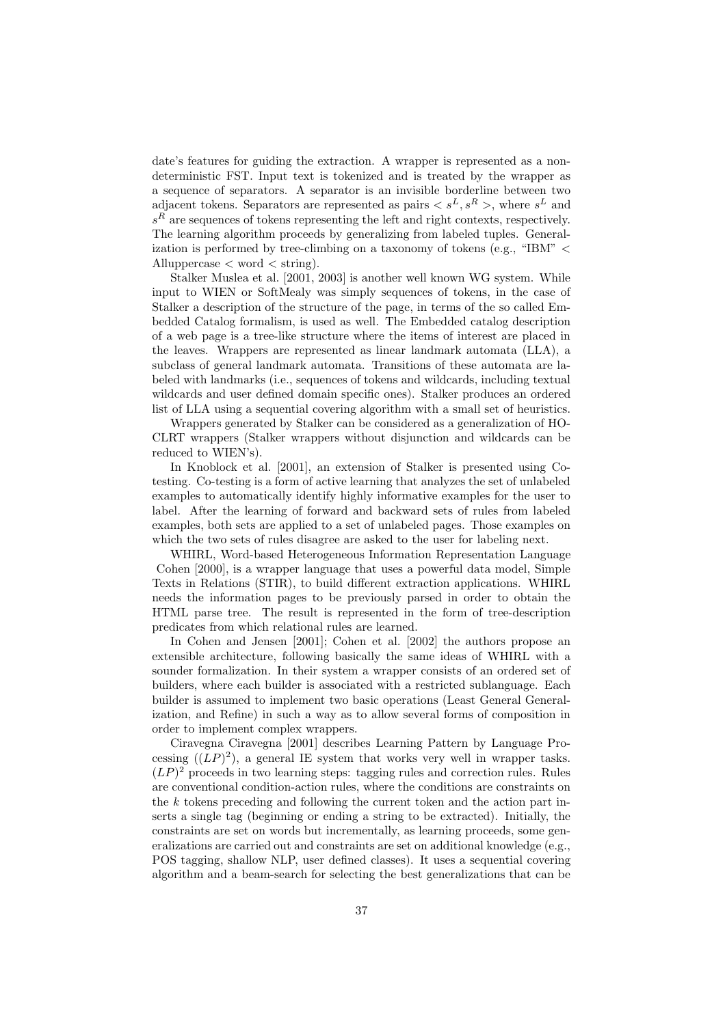date's features for guiding the extraction. A wrapper is represented as a nondeterministic FST. Input text is tokenized and is treated by the wrapper as a sequence of separators. A separator is an invisible borderline between two adjacent tokens. Separators are represented as pairs  $\langle s^L, s^R \rangle$ , where  $s^L$  and  $s^R$  are sequences of tokens representing the left and right contexts, respectively. The learning algorithm proceeds by generalizing from labeled tuples. Generalization is performed by tree-climbing on a taxonomy of tokens (e.g., "IBM"  $\lt$ Alluppercase  $\langle$  word  $\langle$  string).

Stalker Muslea et al. [2001, 2003] is another well known WG system. While input to WIEN or SoftMealy was simply sequences of tokens, in the case of Stalker a description of the structure of the page, in terms of the so called Embedded Catalog formalism, is used as well. The Embedded catalog description of a web page is a tree-like structure where the items of interest are placed in the leaves. Wrappers are represented as linear landmark automata (LLA), a subclass of general landmark automata. Transitions of these automata are labeled with landmarks (i.e., sequences of tokens and wildcards, including textual wildcards and user defined domain specific ones). Stalker produces an ordered list of LLA using a sequential covering algorithm with a small set of heuristics.

Wrappers generated by Stalker can be considered as a generalization of HO-CLRT wrappers (Stalker wrappers without disjunction and wildcards can be reduced to WIEN's).

In Knoblock et al. [2001], an extension of Stalker is presented using Cotesting. Co-testing is a form of active learning that analyzes the set of unlabeled examples to automatically identify highly informative examples for the user to label. After the learning of forward and backward sets of rules from labeled examples, both sets are applied to a set of unlabeled pages. Those examples on which the two sets of rules disagree are asked to the user for labeling next.

WHIRL, Word-based Heterogeneous Information Representation Language Cohen [2000], is a wrapper language that uses a powerful data model, Simple Texts in Relations (STIR), to build different extraction applications. WHIRL needs the information pages to be previously parsed in order to obtain the HTML parse tree. The result is represented in the form of tree-description predicates from which relational rules are learned.

In Cohen and Jensen [2001]; Cohen et al. [2002] the authors propose an extensible architecture, following basically the same ideas of WHIRL with a sounder formalization. In their system a wrapper consists of an ordered set of builders, where each builder is associated with a restricted sublanguage. Each builder is assumed to implement two basic operations (Least General Generalization, and Refine) in such a way as to allow several forms of composition in order to implement complex wrappers.

Ciravegna Ciravegna [2001] describes Learning Pattern by Language Processing  $((LP)^2)$ , a general IE system that works very well in wrapper tasks.  $(LP)^2$  proceeds in two learning steps: tagging rules and correction rules. Rules are conventional condition-action rules, where the conditions are constraints on the k tokens preceding and following the current token and the action part inserts a single tag (beginning or ending a string to be extracted). Initially, the constraints are set on words but incrementally, as learning proceeds, some generalizations are carried out and constraints are set on additional knowledge (e.g., POS tagging, shallow NLP, user defined classes). It uses a sequential covering algorithm and a beam-search for selecting the best generalizations that can be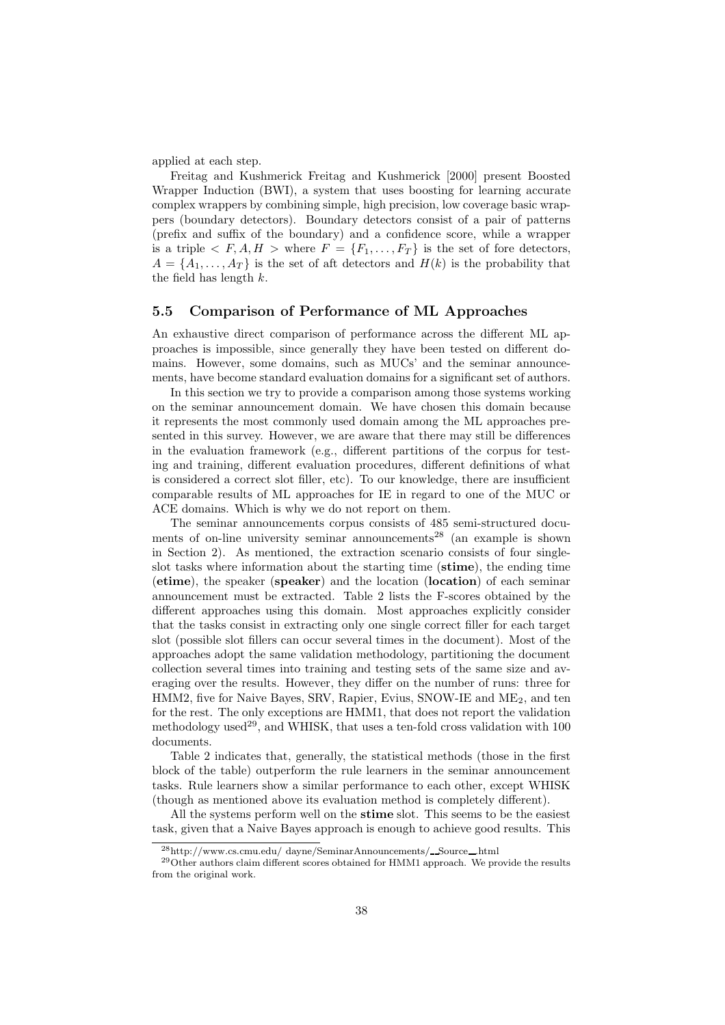applied at each step.

Freitag and Kushmerick Freitag and Kushmerick [2000] present Boosted Wrapper Induction (BWI), a system that uses boosting for learning accurate complex wrappers by combining simple, high precision, low coverage basic wrappers (boundary detectors). Boundary detectors consist of a pair of patterns (prefix and suffix of the boundary) and a confidence score, while a wrapper is a triple  $\langle F, A, H \rangle$  where  $F = \{F_1, \ldots, F_T\}$  is the set of fore detectors,  $A = \{A_1, \ldots, A_T\}$  is the set of aft detectors and  $H(k)$  is the probability that the field has length  $k$ .

## 5.5 Comparison of Performance of ML Approaches

An exhaustive direct comparison of performance across the different ML approaches is impossible, since generally they have been tested on different domains. However, some domains, such as MUCs' and the seminar announcements, have become standard evaluation domains for a significant set of authors.

In this section we try to provide a comparison among those systems working on the seminar announcement domain. We have chosen this domain because it represents the most commonly used domain among the ML approaches presented in this survey. However, we are aware that there may still be differences in the evaluation framework (e.g., different partitions of the corpus for testing and training, different evaluation procedures, different definitions of what is considered a correct slot filler, etc). To our knowledge, there are insufficient comparable results of ML approaches for IE in regard to one of the MUC or ACE domains. Which is why we do not report on them.

The seminar announcements corpus consists of 485 semi-structured documents of on-line university seminar announcements<sup>28</sup> (an example is shown in Section 2). As mentioned, the extraction scenario consists of four singleslot tasks where information about the starting time (stime), the ending time (etime), the speaker (speaker) and the location (location) of each seminar announcement must be extracted. Table 2 lists the F-scores obtained by the different approaches using this domain. Most approaches explicitly consider that the tasks consist in extracting only one single correct filler for each target slot (possible slot fillers can occur several times in the document). Most of the approaches adopt the same validation methodology, partitioning the document collection several times into training and testing sets of the same size and averaging over the results. However, they differ on the number of runs: three for HMM2, five for Naive Bayes, SRV, Rapier, Evius, SNOW-IE and ME<sub>2</sub>, and ten for the rest. The only exceptions are HMM1, that does not report the validation methodology used<sup>29</sup>, and WHISK, that uses a ten-fold cross validation with 100 documents.

Table 2 indicates that, generally, the statistical methods (those in the first block of the table) outperform the rule learners in the seminar announcement tasks. Rule learners show a similar performance to each other, except WHISK (though as mentioned above its evaluation method is completely different).

All the systems perform well on the stime slot. This seems to be the easiest task, given that a Naive Bayes approach is enough to achieve good results. This

 $^{28}$ http://www.cs.cmu.edu/ dayne/SeminarAnnouncements/ Source \_html

<sup>&</sup>lt;sup>29</sup>Other authors claim different scores obtained for HMM1 approach. We provide the results from the original work.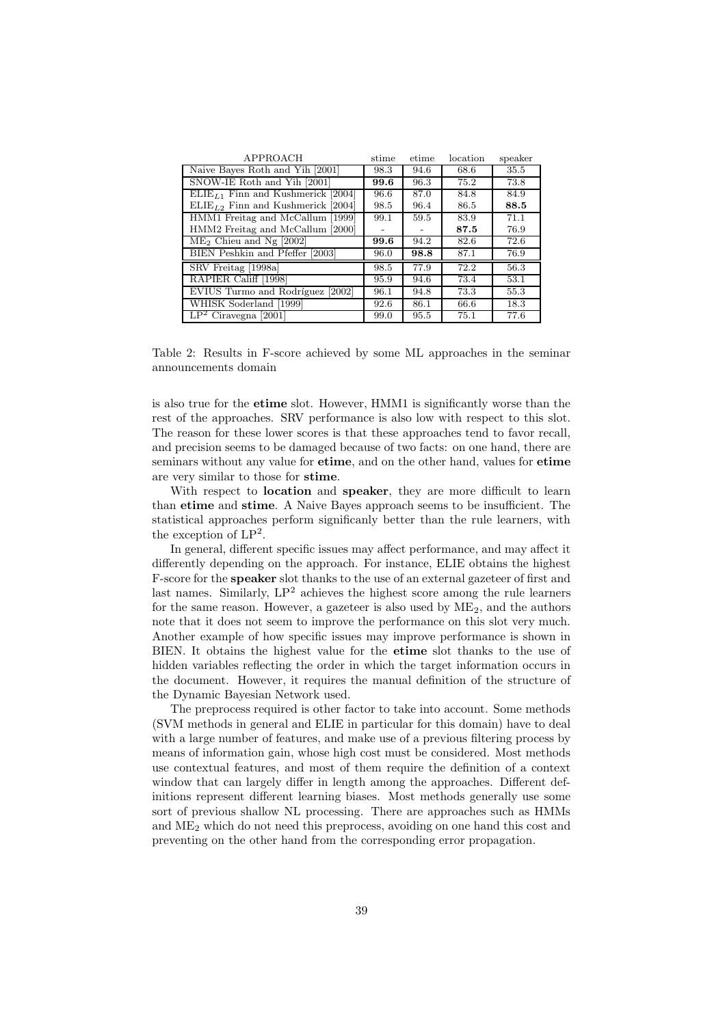| <b>APPROACH</b>                         | stime | etime | location | speaker |
|-----------------------------------------|-------|-------|----------|---------|
| Naive Bayes Roth and Yih [2001]         | 98.3  | 94.6  | 68.6     | 35.5    |
| SNOW-IE Roth and Yih [2001]             | 99.6  | 96.3  | 75.2     | 73.8    |
| $ELI E_{L1}$ Finn and Kushmerick [2004] | 96.6  | 87.0  | 84.8     | 84.9    |
| $ELI E_{L2}$ Finn and Kushmerick [2004] | 98.5  | 96.4  | 86.5     | 88.5    |
| HMM1 Freitag and McCallum [1999]        | 99.1  | 59.5  | 83.9     | 71.1    |
| HMM2 Freitag and McCallum [2000]        |       |       | 87.5     | 76.9    |
| $ME2$ Chieu and Ng [2002]               | 99.6  | 94.2  | 82.6     | 72.6    |
| BIEN Peshkin and Pfeffer [2003]         | 96.0  | 98.8  | 87.1     | 76.9    |
| SRV Freitag [1998a]                     | 98.5  | 77.9  | 72.2     | 56.3    |
| RAPIER Califf [1998]                    | 95.9  | 94.6  | 73.4     | 53.1    |
| EVIUS Turmo and Rodríguez [2002]        | 96.1  | 94.8  | 73.3     | 55.3    |
| WHISK Soderland [1999]                  | 92.6  | 86.1  | 66.6     | 18.3    |
| $LP^2$ Ciravegna [2001]                 | 99.0  | 95.5  | 75.1     | 77.6    |

Table 2: Results in F-score achieved by some ML approaches in the seminar announcements domain

is also true for the etime slot. However, HMM1 is significantly worse than the rest of the approaches. SRV performance is also low with respect to this slot. The reason for these lower scores is that these approaches tend to favor recall, and precision seems to be damaged because of two facts: on one hand, there are seminars without any value for etime, and on the other hand, values for etime are very similar to those for stime.

With respect to **location** and **speaker**, they are more difficult to learn than etime and stime. A Naive Bayes approach seems to be insufficient. The statistical approaches perform significanly better than the rule learners, with the exception of LP<sup>2</sup> .

In general, different specific issues may affect performance, and may affect it differently depending on the approach. For instance, ELIE obtains the highest F-score for the speaker slot thanks to the use of an external gazeteer of first and last names. Similarly,  $LP^2$  achieves the highest score among the rule learners for the same reason. However, a gazeteer is also used by  $ME<sub>2</sub>$ , and the authors note that it does not seem to improve the performance on this slot very much. Another example of how specific issues may improve performance is shown in BIEN. It obtains the highest value for the etime slot thanks to the use of hidden variables reflecting the order in which the target information occurs in the document. However, it requires the manual definition of the structure of the Dynamic Bayesian Network used.

The preprocess required is other factor to take into account. Some methods (SVM methods in general and ELIE in particular for this domain) have to deal with a large number of features, and make use of a previous filtering process by means of information gain, whose high cost must be considered. Most methods use contextual features, and most of them require the definition of a context window that can largely differ in length among the approaches. Different definitions represent different learning biases. Most methods generally use some sort of previous shallow NL processing. There are approaches such as HMMs and ME<sup>2</sup> which do not need this preprocess, avoiding on one hand this cost and preventing on the other hand from the corresponding error propagation.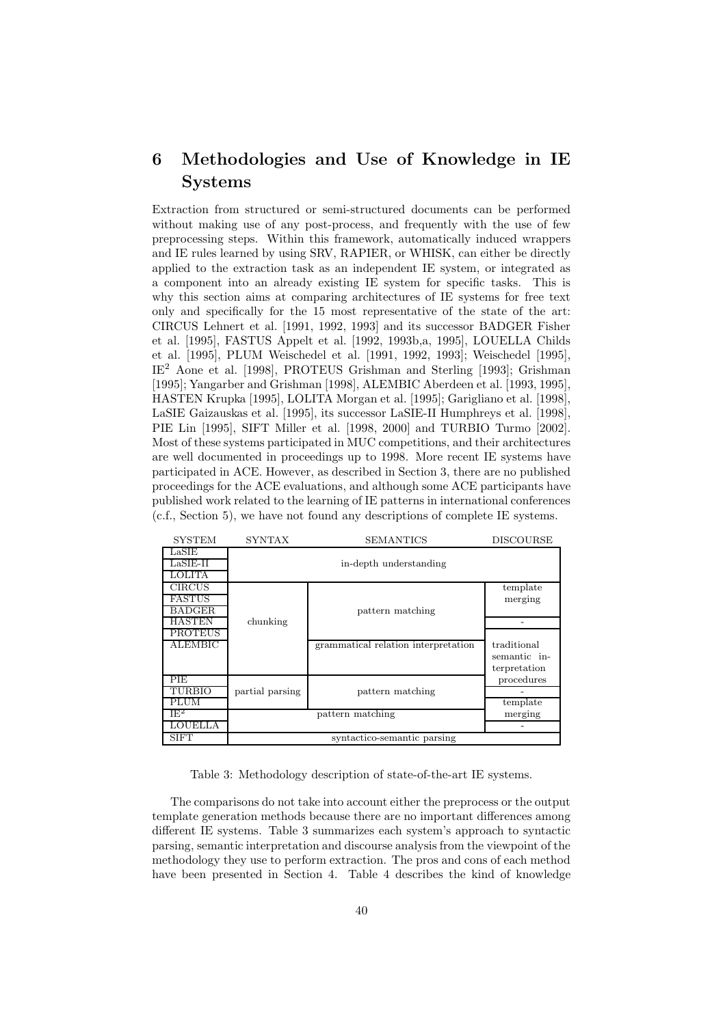# 6 Methodologies and Use of Knowledge in IE Systems

Extraction from structured or semi-structured documents can be performed without making use of any post-process, and frequently with the use of few preprocessing steps. Within this framework, automatically induced wrappers and IE rules learned by using SRV, RAPIER, or WHISK, can either be directly applied to the extraction task as an independent IE system, or integrated as a component into an already existing IE system for specific tasks. This is why this section aims at comparing architectures of IE systems for free text only and specifically for the 15 most representative of the state of the art: CIRCUS Lehnert et al. [1991, 1992, 1993] and its successor BADGER Fisher et al. [1995], FASTUS Appelt et al. [1992, 1993b,a, 1995], LOUELLA Childs et al. [1995], PLUM Weischedel et al. [1991, 1992, 1993]; Weischedel [1995], IE<sup>2</sup> Aone et al. [1998], PROTEUS Grishman and Sterling [1993]; Grishman [1995]; Yangarber and Grishman [1998], ALEMBIC Aberdeen et al. [1993, 1995], HASTEN Krupka [1995], LOLITA Morgan et al. [1995]; Garigliano et al. [1998], LaSIE Gaizauskas et al. [1995], its successor LaSIE-II Humphreys et al. [1998], PIE Lin [1995], SIFT Miller et al. [1998, 2000] and TURBIO Turmo [2002]. Most of these systems participated in MUC competitions, and their architectures are well documented in proceedings up to 1998. More recent IE systems have participated in ACE. However, as described in Section 3, there are no published proceedings for the ACE evaluations, and although some ACE participants have published work related to the learning of IE patterns in international conferences (c.f., Section 5), we have not found any descriptions of complete IE systems.

| <b>SYSTEM</b>  | <b>SYNTAX</b>   | <b>SEMANTICS</b>                    | <b>DISCOURSE</b> |
|----------------|-----------------|-------------------------------------|------------------|
| $_{\rm LaSIE}$ |                 |                                     |                  |
| $LaSIE-II$     |                 | in-depth understanding              |                  |
| <b>LOLITA</b>  |                 |                                     |                  |
| <b>CIRCUS</b>  |                 |                                     | template         |
| <b>FASTUS</b>  |                 |                                     | merging          |
| <b>BADGER</b>  |                 | pattern matching                    |                  |
| <b>HASTEN</b>  | chunking        |                                     |                  |
| <b>PROTEUS</b> |                 |                                     |                  |
| <b>ALEMBIC</b> |                 | grammatical relation interpretation | traditional      |
|                |                 |                                     | semantic in-     |
|                |                 |                                     | terpretation     |
| PIE            |                 |                                     | procedures       |
| TURBIO         | partial parsing | pattern matching                    |                  |
| PLUM           |                 |                                     | template         |
| $\mathbb{H}^2$ |                 | pattern matching                    | merging          |
| LOUELLA        |                 |                                     |                  |
| <b>SIFT</b>    |                 | syntactico-semantic parsing         |                  |

Table 3: Methodology description of state-of-the-art IE systems.

The comparisons do not take into account either the preprocess or the output template generation methods because there are no important differences among different IE systems. Table 3 summarizes each system's approach to syntactic parsing, semantic interpretation and discourse analysis from the viewpoint of the methodology they use to perform extraction. The pros and cons of each method have been presented in Section 4. Table 4 describes the kind of knowledge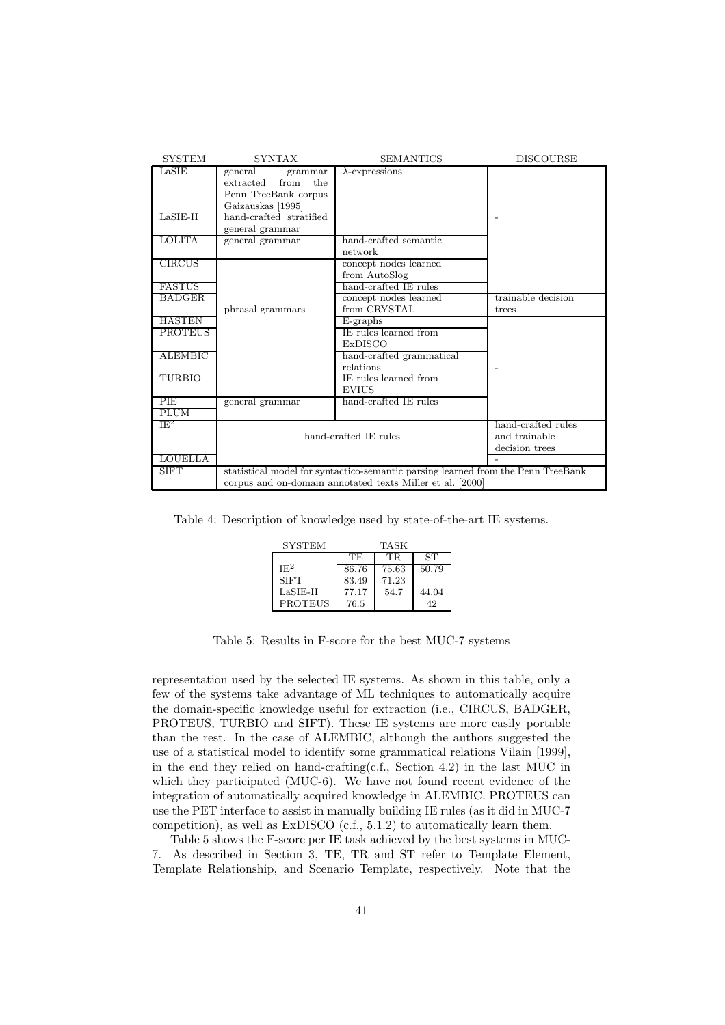| <b>SYSTEM</b>                                             | <b>SYNTAX</b>                                                                               | <b>SEMANTICS</b>                                                | <b>DISCOURSE</b>                                      |  |
|-----------------------------------------------------------|---------------------------------------------------------------------------------------------|-----------------------------------------------------------------|-------------------------------------------------------|--|
| LaSIE                                                     | general<br>grammar<br>the<br>from<br>extracted<br>Penn TreeBank corpus<br>Gaizauskas [1995] | $\lambda$ -expressions                                          |                                                       |  |
| $LaSIE-II$                                                | hand-crafted stratified<br>general grammar                                                  |                                                                 |                                                       |  |
| <b>LOLITA</b>                                             | general grammar                                                                             | hand-crafted semantic<br>network                                |                                                       |  |
| <b>CIRCUS</b><br><b>FASTUS</b>                            |                                                                                             | concept nodes learned<br>from AutoSlog<br>hand-crafted IE rules |                                                       |  |
| <b>BADGER</b>                                             | phrasal grammars                                                                            | concept nodes learned<br>from CRYSTAL                           | trainable decision<br>trees                           |  |
| <b>HASTEN</b><br><b>PROTEUS</b>                           |                                                                                             | $E$ -graphs<br>IE rules learned from<br><b>ExDISCO</b>          |                                                       |  |
| <b>ALEMBIC</b>                                            |                                                                                             | hand-crafted grammatical<br>relations                           |                                                       |  |
| TURBIO                                                    |                                                                                             | IE rules learned from<br><b>EVIUS</b>                           |                                                       |  |
| PIE<br><b>PLUM</b>                                        | general grammar                                                                             | hand-crafted IE rules                                           |                                                       |  |
| IF <sup>2</sup>                                           |                                                                                             | hand-crafted IE rules                                           | hand-crafted rules<br>and trainable<br>decision trees |  |
| LOUELLA                                                   |                                                                                             |                                                                 |                                                       |  |
| <b>SIFT</b>                                               | statistical model for syntactico-semantic parsing learned from the Penn TreeBank            |                                                                 |                                                       |  |
| corpus and on-domain annotated texts Miller et al. [2000] |                                                                                             |                                                                 |                                                       |  |

Table 4: Description of knowledge used by state-of-the-art IE systems.

| <b>SYSTEM</b>   |       | TASK  |           |
|-----------------|-------|-------|-----------|
|                 | TЕ    | TR.   | <b>ST</b> |
| IF <sub>2</sub> | 86.76 | 75.63 | 50.79     |
| <b>SIFT</b>     | 83.49 | 71.23 |           |
| $LaSIE-II$      | 77.17 | 54.7  | 44.04     |
| <b>PROTEUS</b>  | 76.5  |       | 42        |

Table 5: Results in F-score for the best MUC-7 systems

representation used by the selected IE systems. As shown in this table, only a few of the systems take advantage of ML techniques to automatically acquire the domain-specific knowledge useful for extraction (i.e., CIRCUS, BADGER, PROTEUS, TURBIO and SIFT). These IE systems are more easily portable than the rest. In the case of ALEMBIC, although the authors suggested the use of a statistical model to identify some grammatical relations Vilain [1999], in the end they relied on hand-crafting(c.f., Section 4.2) in the last MUC in which they participated (MUC-6). We have not found recent evidence of the integration of automatically acquired knowledge in ALEMBIC. PROTEUS can use the PET interface to assist in manually building IE rules (as it did in MUC-7 competition), as well as ExDISCO (c.f., 5.1.2) to automatically learn them.

Table 5 shows the F-score per IE task achieved by the best systems in MUC-7. As described in Section 3, TE, TR and ST refer to Template Element, Template Relationship, and Scenario Template, respectively. Note that the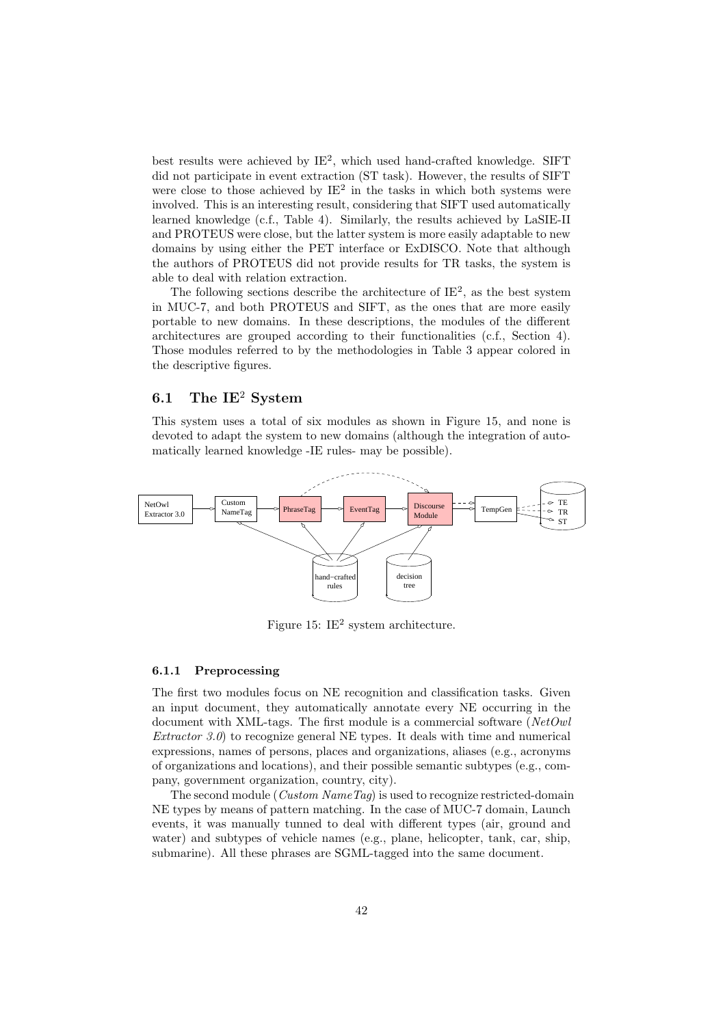best results were achieved by  $IE^2$ , which used hand-crafted knowledge. SIFT did not participate in event extraction (ST task). However, the results of SIFT were close to those achieved by  $IE^2$  in the tasks in which both systems were involved. This is an interesting result, considering that SIFT used automatically learned knowledge (c.f., Table 4). Similarly, the results achieved by LaSIE-II and PROTEUS were close, but the latter system is more easily adaptable to new domains by using either the PET interface or ExDISCO. Note that although the authors of PROTEUS did not provide results for TR tasks, the system is able to deal with relation extraction.

The following sections describe the architecture of  $IE^2$ , as the best system in MUC-7, and both PROTEUS and SIFT, as the ones that are more easily portable to new domains. In these descriptions, the modules of the different architectures are grouped according to their functionalities (c.f., Section 4). Those modules referred to by the methodologies in Table 3 appear colored in the descriptive figures.

# 6.1 The  $IE^2$  System

This system uses a total of six modules as shown in Figure 15, and none is devoted to adapt the system to new domains (although the integration of automatically learned knowledge -IE rules- may be possible).



Figure 15:  $IE^2$  system architecture.

### 6.1.1 Preprocessing

The first two modules focus on NE recognition and classification tasks. Given an input document, they automatically annotate every NE occurring in the document with XML-tags. The first module is a commercial software  $(NetOwl)$ Extractor 3.0) to recognize general NE types. It deals with time and numerical expressions, names of persons, places and organizations, aliases (e.g., acronyms of organizations and locations), and their possible semantic subtypes (e.g., company, government organization, country, city).

The second module (*Custom NameTag*) is used to recognize restricted-domain NE types by means of pattern matching. In the case of MUC-7 domain, Launch events, it was manually tunned to deal with different types (air, ground and water) and subtypes of vehicle names (e.g., plane, helicopter, tank, car, ship, submarine). All these phrases are SGML-tagged into the same document.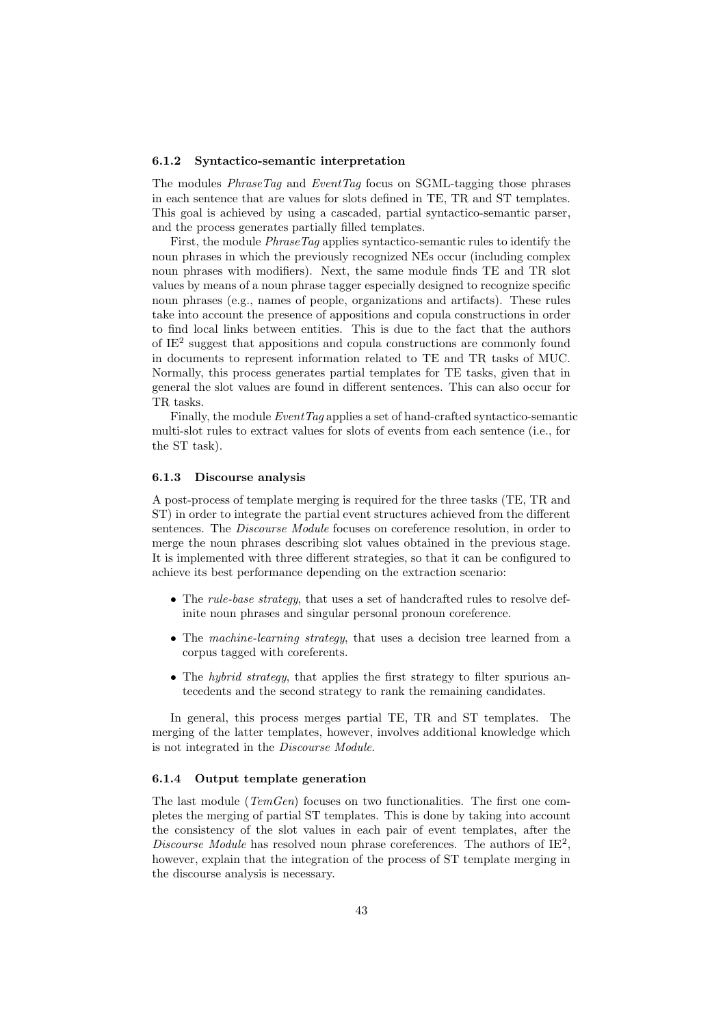## 6.1.2 Syntactico-semantic interpretation

The modules *PhraseTag* and *EventTag* focus on SGML-tagging those phrases in each sentence that are values for slots defined in TE, TR and ST templates. This goal is achieved by using a cascaded, partial syntactico-semantic parser, and the process generates partially filled templates.

First, the module PhraseTag applies syntactico-semantic rules to identify the noun phrases in which the previously recognized NEs occur (including complex noun phrases with modifiers). Next, the same module finds TE and TR slot values by means of a noun phrase tagger especially designed to recognize specific noun phrases (e.g., names of people, organizations and artifacts). These rules take into account the presence of appositions and copula constructions in order to find local links between entities. This is due to the fact that the authors of IE<sup>2</sup> suggest that appositions and copula constructions are commonly found in documents to represent information related to TE and TR tasks of MUC. Normally, this process generates partial templates for TE tasks, given that in general the slot values are found in different sentences. This can also occur for TR tasks.

Finally, the module  $EventTag$  applies a set of hand-crafted syntactico-semantic multi-slot rules to extract values for slots of events from each sentence (i.e., for the ST task).

#### 6.1.3 Discourse analysis

A post-process of template merging is required for the three tasks (TE, TR and ST) in order to integrate the partial event structures achieved from the different sentences. The Discourse Module focuses on coreference resolution, in order to merge the noun phrases describing slot values obtained in the previous stage. It is implemented with three different strategies, so that it can be configured to achieve its best performance depending on the extraction scenario:

- The *rule-base strategy*, that uses a set of handcrafted rules to resolve definite noun phrases and singular personal pronoun coreference.
- The machine-learning strategy, that uses a decision tree learned from a corpus tagged with coreferents.
- The *hybrid strategy*, that applies the first strategy to filter spurious antecedents and the second strategy to rank the remaining candidates.

In general, this process merges partial TE, TR and ST templates. The merging of the latter templates, however, involves additional knowledge which is not integrated in the Discourse Module.

## 6.1.4 Output template generation

The last module (TemGen) focuses on two functionalities. The first one completes the merging of partial ST templates. This is done by taking into account the consistency of the slot values in each pair of event templates, after the Discourse Module has resolved noun phrase coreferences. The authors of  $IE^2$ , however, explain that the integration of the process of ST template merging in the discourse analysis is necessary.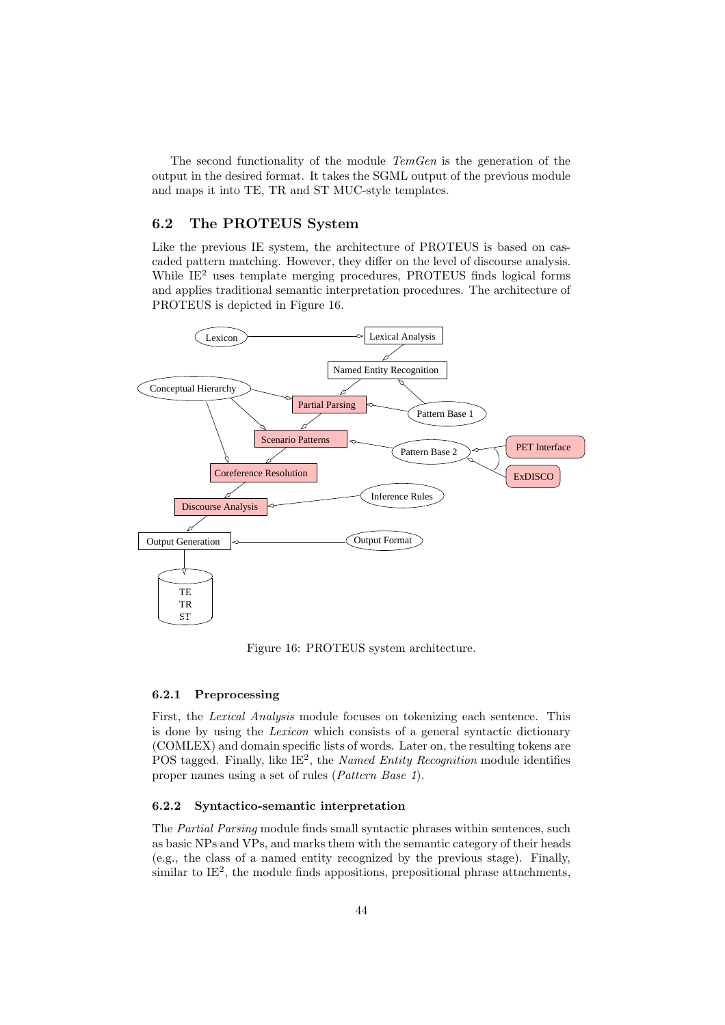The second functionality of the module TemGen is the generation of the output in the desired format. It takes the SGML output of the previous module and maps it into TE, TR and ST MUC-style templates.

# 6.2 The PROTEUS System

Like the previous IE system, the architecture of PROTEUS is based on cascaded pattern matching. However, they differ on the level of discourse analysis. While  $IE^2$  uses template merging procedures, PROTEUS finds logical forms and applies traditional semantic interpretation procedures. The architecture of PROTEUS is depicted in Figure 16.



Figure 16: PROTEUS system architecture.

## 6.2.1 Preprocessing

First, the Lexical Analysis module focuses on tokenizing each sentence. This is done by using the Lexicon which consists of a general syntactic dictionary (COMLEX) and domain specific lists of words. Later on, the resulting tokens are POS tagged. Finally, like  $IE^2$ , the Named Entity Recognition module identifies proper names using a set of rules (Pattern Base 1).

## 6.2.2 Syntactico-semantic interpretation

The Partial Parsing module finds small syntactic phrases within sentences, such as basic NPs and VPs, and marks them with the semantic category of their heads (e.g., the class of a named entity recognized by the previous stage). Finally, similar to  $IE^2$ , the module finds appositions, prepositional phrase attachments,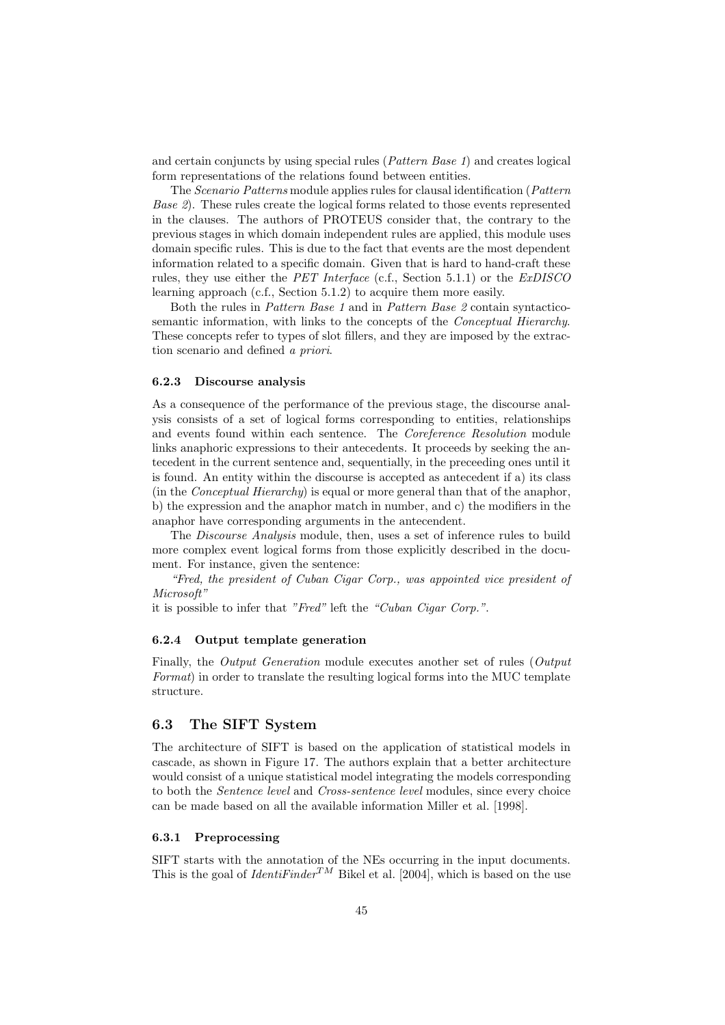and certain conjuncts by using special rules (Pattern Base 1) and creates logical form representations of the relations found between entities.

The Scenario Patterns module applies rules for clausal identification (Pattern Base 2). These rules create the logical forms related to those events represented in the clauses. The authors of PROTEUS consider that, the contrary to the previous stages in which domain independent rules are applied, this module uses domain specific rules. This is due to the fact that events are the most dependent information related to a specific domain. Given that is hard to hand-craft these rules, they use either the PET Interface (c.f., Section 5.1.1) or the ExDISCO learning approach (c.f., Section 5.1.2) to acquire them more easily.

Both the rules in Pattern Base 1 and in Pattern Base 2 contain syntacticosemantic information, with links to the concepts of the *Conceptual Hierarchy*. These concepts refer to types of slot fillers, and they are imposed by the extraction scenario and defined a priori.

### 6.2.3 Discourse analysis

As a consequence of the performance of the previous stage, the discourse analysis consists of a set of logical forms corresponding to entities, relationships and events found within each sentence. The Coreference Resolution module links anaphoric expressions to their antecedents. It proceeds by seeking the antecedent in the current sentence and, sequentially, in the preceeding ones until it is found. An entity within the discourse is accepted as antecedent if a) its class (in the *Conceptual Hierarchy*) is equal or more general than that of the anaphor, b) the expression and the anaphor match in number, and c) the modifiers in the anaphor have corresponding arguments in the antecendent.

The Discourse Analysis module, then, uses a set of inference rules to build more complex event logical forms from those explicitly described in the document. For instance, given the sentence:

"Fred, the president of Cuban Cigar Corp., was appointed vice president of Microsoft"

it is possible to infer that "Fred" left the "Cuban Cigar Corp.".

### 6.2.4 Output template generation

Finally, the *Output Generation* module executes another set of rules (*Output* Format) in order to translate the resulting logical forms into the MUC template structure.

# 6.3 The SIFT System

The architecture of SIFT is based on the application of statistical models in cascade, as shown in Figure 17. The authors explain that a better architecture would consist of a unique statistical model integrating the models corresponding to both the Sentence level and Cross-sentence level modules, since every choice can be made based on all the available information Miller et al. [1998].

## 6.3.1 Preprocessing

SIFT starts with the annotation of the NEs occurring in the input documents. This is the goal of  $Identifier^{TM}$  Bikel et al. [2004], which is based on the use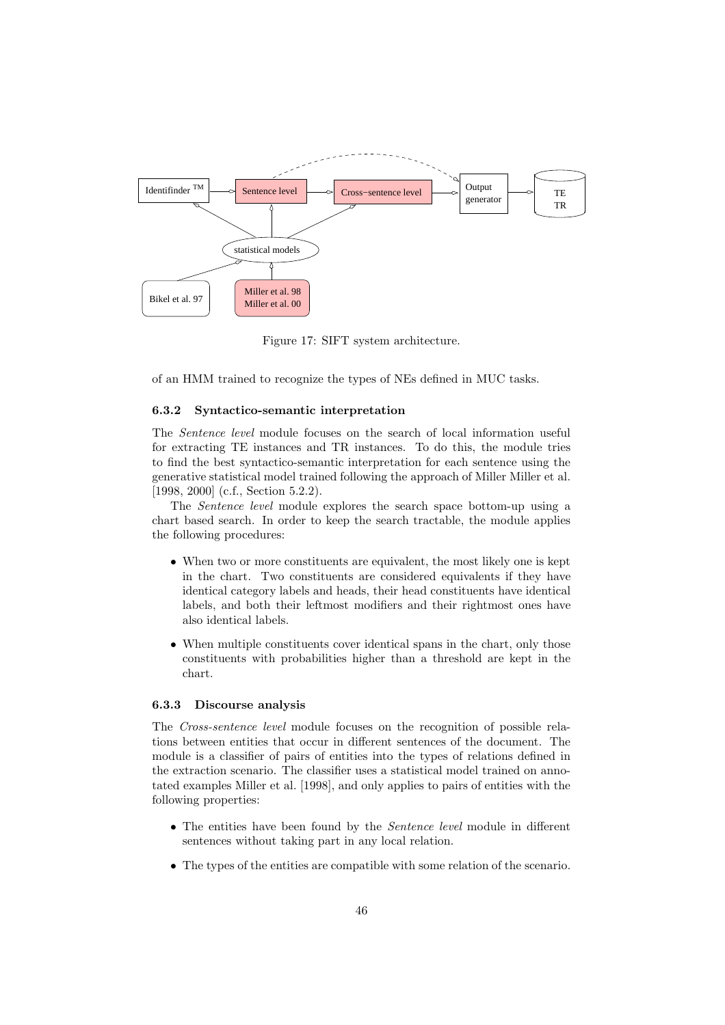

Figure 17: SIFT system architecture.

of an HMM trained to recognize the types of NEs defined in MUC tasks.

## 6.3.2 Syntactico-semantic interpretation

The Sentence level module focuses on the search of local information useful for extracting TE instances and TR instances. To do this, the module tries to find the best syntactico-semantic interpretation for each sentence using the generative statistical model trained following the approach of Miller Miller et al. [1998, 2000] (c.f., Section 5.2.2).

The Sentence level module explores the search space bottom-up using a chart based search. In order to keep the search tractable, the module applies the following procedures:

- When two or more constituents are equivalent, the most likely one is kept in the chart. Two constituents are considered equivalents if they have identical category labels and heads, their head constituents have identical labels, and both their leftmost modifiers and their rightmost ones have also identical labels.
- When multiple constituents cover identical spans in the chart, only those constituents with probabilities higher than a threshold are kept in the chart.

#### 6.3.3 Discourse analysis

The Cross-sentence level module focuses on the recognition of possible relations between entities that occur in different sentences of the document. The module is a classifier of pairs of entities into the types of relations defined in the extraction scenario. The classifier uses a statistical model trained on annotated examples Miller et al. [1998], and only applies to pairs of entities with the following properties:

- The entities have been found by the *Sentence level* module in different sentences without taking part in any local relation.
- The types of the entities are compatible with some relation of the scenario.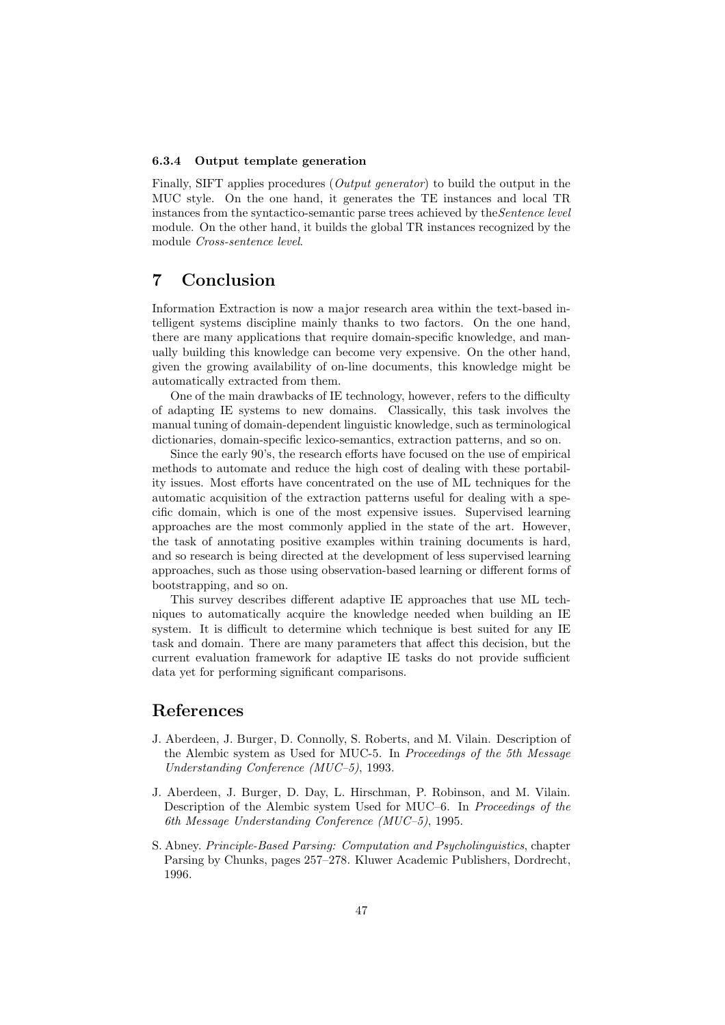#### 6.3.4 Output template generation

Finally, SIFT applies procedures (*Output generator*) to build the output in the MUC style. On the one hand, it generates the TE instances and local TR instances from the syntactico-semantic parse trees achieved by the Sentence level module. On the other hand, it builds the global TR instances recognized by the module Cross-sentence level.

# 7 Conclusion

Information Extraction is now a major research area within the text-based intelligent systems discipline mainly thanks to two factors. On the one hand, there are many applications that require domain-specific knowledge, and manually building this knowledge can become very expensive. On the other hand, given the growing availability of on-line documents, this knowledge might be automatically extracted from them.

One of the main drawbacks of IE technology, however, refers to the difficulty of adapting IE systems to new domains. Classically, this task involves the manual tuning of domain-dependent linguistic knowledge, such as terminological dictionaries, domain-specific lexico-semantics, extraction patterns, and so on.

Since the early 90's, the research efforts have focused on the use of empirical methods to automate and reduce the high cost of dealing with these portability issues. Most efforts have concentrated on the use of ML techniques for the automatic acquisition of the extraction patterns useful for dealing with a specific domain, which is one of the most expensive issues. Supervised learning approaches are the most commonly applied in the state of the art. However, the task of annotating positive examples within training documents is hard, and so research is being directed at the development of less supervised learning approaches, such as those using observation-based learning or different forms of bootstrapping, and so on.

This survey describes different adaptive IE approaches that use ML techniques to automatically acquire the knowledge needed when building an IE system. It is difficult to determine which technique is best suited for any IE task and domain. There are many parameters that affect this decision, but the current evaluation framework for adaptive IE tasks do not provide sufficient data yet for performing significant comparisons.

# References

- J. Aberdeen, J. Burger, D. Connolly, S. Roberts, and M. Vilain. Description of the Alembic system as Used for MUC-5. In Proceedings of the 5th Message Understanding Conference (MUC–5), 1993.
- J. Aberdeen, J. Burger, D. Day, L. Hirschman, P. Robinson, and M. Vilain. Description of the Alembic system Used for MUC–6. In Proceedings of the 6th Message Understanding Conference (MUC–5), 1995.
- S. Abney. Principle-Based Parsing: Computation and Psycholinguistics, chapter Parsing by Chunks, pages 257–278. Kluwer Academic Publishers, Dordrecht, 1996.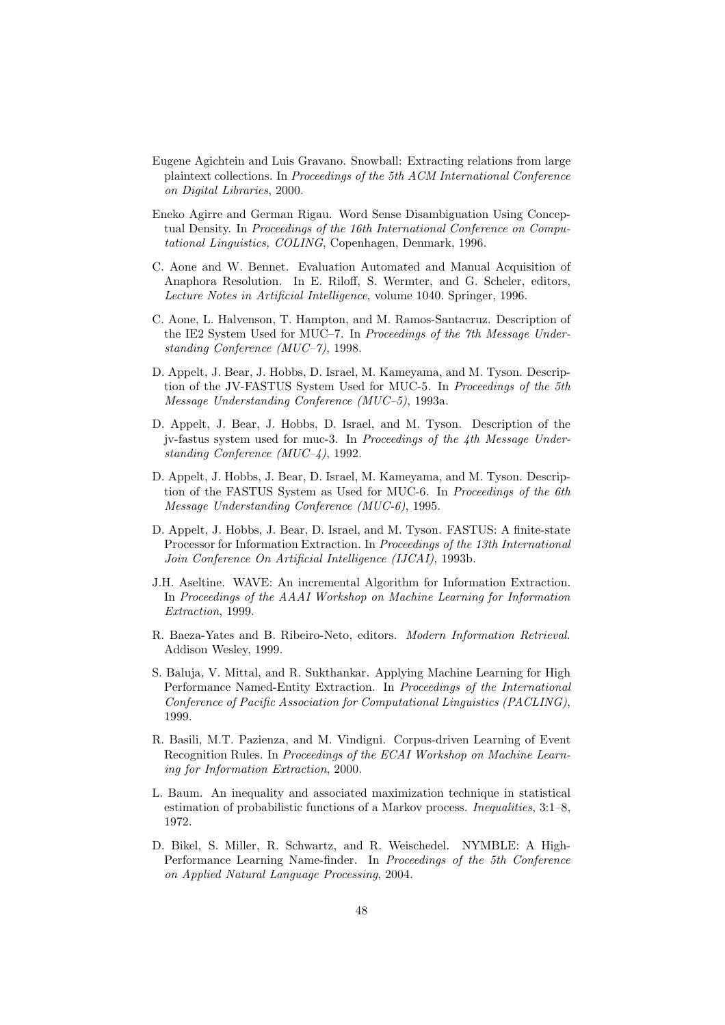- Eugene Agichtein and Luis Gravano. Snowball: Extracting relations from large plaintext collections. In Proceedings of the 5th ACM International Conference on Digital Libraries, 2000.
- Eneko Agirre and German Rigau. Word Sense Disambiguation Using Conceptual Density. In Proceedings of the 16th International Conference on Computational Linguistics, COLING, Copenhagen, Denmark, 1996.
- C. Aone and W. Bennet. Evaluation Automated and Manual Acquisition of Anaphora Resolution. In E. Riloff, S. Wermter, and G. Scheler, editors, Lecture Notes in Artificial Intelligence, volume 1040. Springer, 1996.
- C. Aone, L. Halvenson, T. Hampton, and M. Ramos-Santacruz. Description of the IE2 System Used for MUC–7. In Proceedings of the 7th Message Understanding Conference (MUC–7), 1998.
- D. Appelt, J. Bear, J. Hobbs, D. Israel, M. Kameyama, and M. Tyson. Description of the JV-FASTUS System Used for MUC-5. In Proceedings of the 5th Message Understanding Conference (MUC–5), 1993a.
- D. Appelt, J. Bear, J. Hobbs, D. Israel, and M. Tyson. Description of the jv-fastus system used for muc-3. In Proceedings of the 4th Message Understanding Conference (MUC–4), 1992.
- D. Appelt, J. Hobbs, J. Bear, D. Israel, M. Kameyama, and M. Tyson. Description of the FASTUS System as Used for MUC-6. In Proceedings of the 6th Message Understanding Conference (MUC-6), 1995.
- D. Appelt, J. Hobbs, J. Bear, D. Israel, and M. Tyson. FASTUS: A finite-state Processor for Information Extraction. In Proceedings of the 13th International Join Conference On Artificial Intelligence (IJCAI), 1993b.
- J.H. Aseltine. WAVE: An incremental Algorithm for Information Extraction. In Proceedings of the AAAI Workshop on Machine Learning for Information Extraction, 1999.
- R. Baeza-Yates and B. Ribeiro-Neto, editors. Modern Information Retrieval. Addison Wesley, 1999.
- S. Baluja, V. Mittal, and R. Sukthankar. Applying Machine Learning for High Performance Named-Entity Extraction. In Proceedings of the International Conference of Pacific Association for Computational Linguistics (PACLING), 1999.
- R. Basili, M.T. Pazienza, and M. Vindigni. Corpus-driven Learning of Event Recognition Rules. In Proceedings of the ECAI Workshop on Machine Learning for Information Extraction, 2000.
- L. Baum. An inequality and associated maximization technique in statistical estimation of probabilistic functions of a Markov process. Inequalities, 3:1–8, 1972.
- D. Bikel, S. Miller, R. Schwartz, and R. Weischedel. NYMBLE: A High-Performance Learning Name-finder. In Proceedings of the 5th Conference on Applied Natural Language Processing, 2004.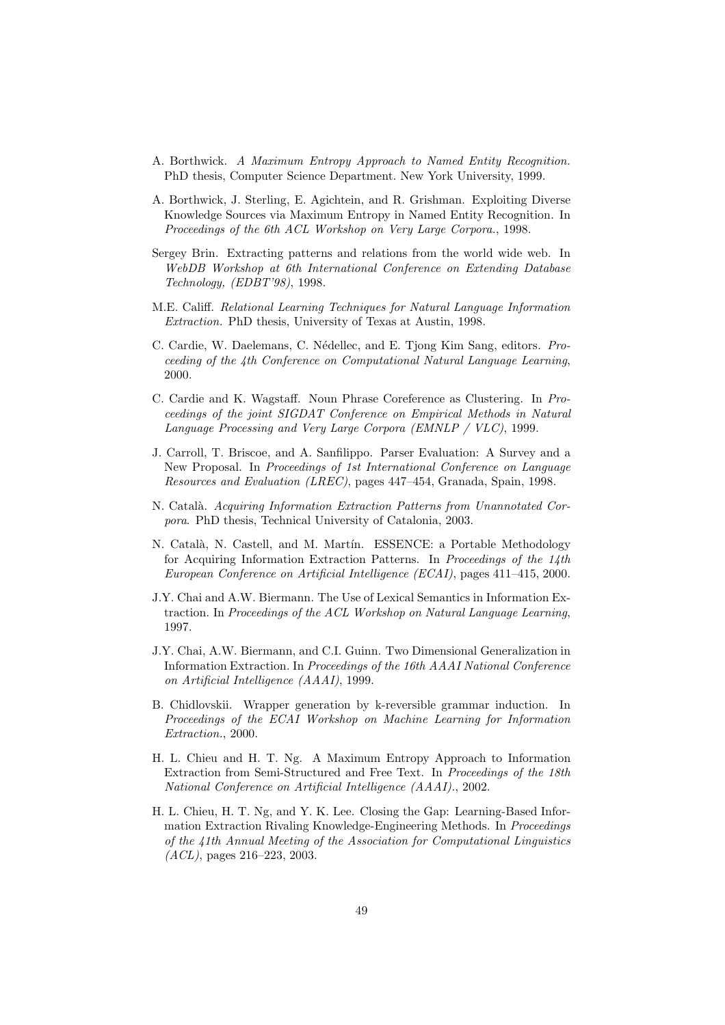- A. Borthwick. A Maximum Entropy Approach to Named Entity Recognition. PhD thesis, Computer Science Department. New York University, 1999.
- A. Borthwick, J. Sterling, E. Agichtein, and R. Grishman. Exploiting Diverse Knowledge Sources via Maximum Entropy in Named Entity Recognition. In Proceedings of the 6th ACL Workshop on Very Large Corpora., 1998.
- Sergey Brin. Extracting patterns and relations from the world wide web. In WebDB Workshop at 6th International Conference on Extending Database Technology, (EDBT'98), 1998.
- M.E. Califf. Relational Learning Techniques for Natural Language Information Extraction. PhD thesis, University of Texas at Austin, 1998.
- C. Cardie, W. Daelemans, C. Nédellec, and E. Tjong Kim Sang, editors. Proceeding of the 4th Conference on Computational Natural Language Learning, 2000.
- C. Cardie and K. Wagstaff. Noun Phrase Coreference as Clustering. In Proceedings of the joint SIGDAT Conference on Empirical Methods in Natural Language Processing and Very Large Corpora (EMNLP / VLC), 1999.
- J. Carroll, T. Briscoe, and A. Sanfilippo. Parser Evaluation: A Survey and a New Proposal. In Proceedings of 1st International Conference on Language Resources and Evaluation (LREC), pages 447–454, Granada, Spain, 1998.
- N. Català. Acquiring Information Extraction Patterns from Unannotated Corpora. PhD thesis, Technical University of Catalonia, 2003.
- N. Català, N. Castell, and M. Martín. ESSENCE: a Portable Methodology for Acquiring Information Extraction Patterns. In Proceedings of the 14th European Conference on Artificial Intelligence (ECAI), pages 411–415, 2000.
- J.Y. Chai and A.W. Biermann. The Use of Lexical Semantics in Information Extraction. In Proceedings of the ACL Workshop on Natural Language Learning, 1997.
- J.Y. Chai, A.W. Biermann, and C.I. Guinn. Two Dimensional Generalization in Information Extraction. In Proceedings of the 16th AAAI National Conference on Artificial Intelligence (AAAI), 1999.
- B. Chidlovskii. Wrapper generation by k-reversible grammar induction. In Proceedings of the ECAI Workshop on Machine Learning for Information Extraction., 2000.
- H. L. Chieu and H. T. Ng. A Maximum Entropy Approach to Information Extraction from Semi-Structured and Free Text. In Proceedings of the 18th National Conference on Artificial Intelligence (AAAI)., 2002.
- H. L. Chieu, H. T. Ng, and Y. K. Lee. Closing the Gap: Learning-Based Information Extraction Rivaling Knowledge-Engineering Methods. In Proceedings of the 41th Annual Meeting of the Association for Computational Linguistics (ACL), pages 216–223, 2003.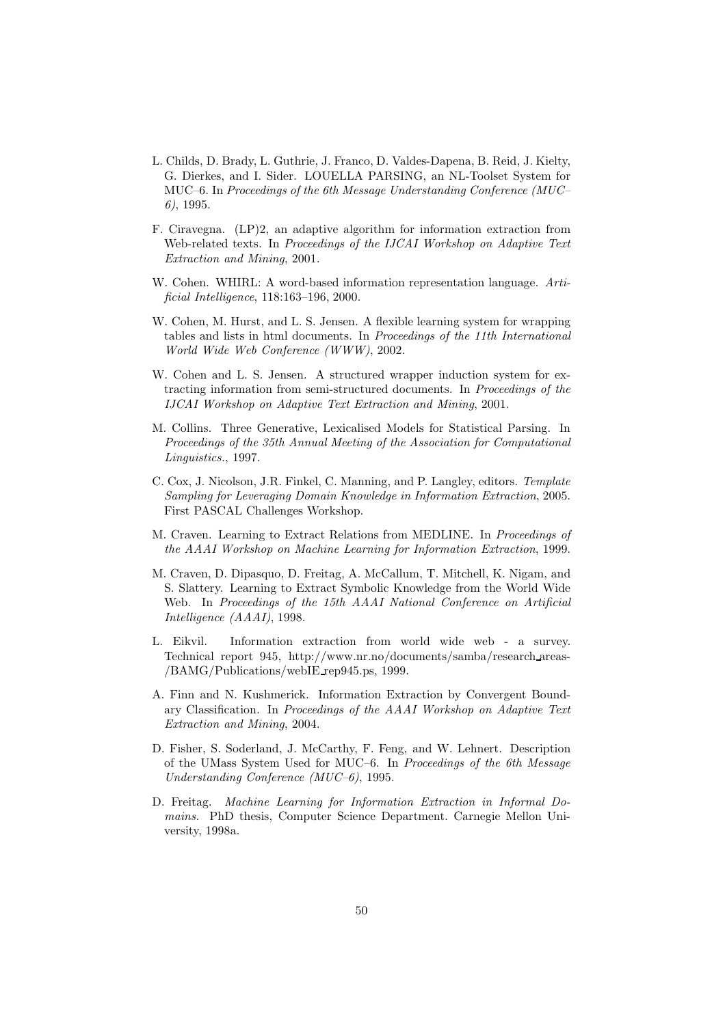- L. Childs, D. Brady, L. Guthrie, J. Franco, D. Valdes-Dapena, B. Reid, J. Kielty, G. Dierkes, and I. Sider. LOUELLA PARSING, an NL-Toolset System for MUC–6. In Proceedings of the 6th Message Understanding Conference (MUC– 6), 1995.
- F. Ciravegna. (LP)2, an adaptive algorithm for information extraction from Web-related texts. In Proceedings of the IJCAI Workshop on Adaptive Text Extraction and Mining, 2001.
- W. Cohen. WHIRL: A word-based information representation language. Artificial Intelligence, 118:163–196, 2000.
- W. Cohen, M. Hurst, and L. S. Jensen. A flexible learning system for wrapping tables and lists in html documents. In Proceedings of the 11th International World Wide Web Conference (WWW), 2002.
- W. Cohen and L. S. Jensen. A structured wrapper induction system for extracting information from semi-structured documents. In Proceedings of the IJCAI Workshop on Adaptive Text Extraction and Mining, 2001.
- M. Collins. Three Generative, Lexicalised Models for Statistical Parsing. In Proceedings of the 35th Annual Meeting of the Association for Computational Linguistics., 1997.
- C. Cox, J. Nicolson, J.R. Finkel, C. Manning, and P. Langley, editors. Template Sampling for Leveraging Domain Knowledge in Information Extraction, 2005. First PASCAL Challenges Workshop.
- M. Craven. Learning to Extract Relations from MEDLINE. In Proceedings of the AAAI Workshop on Machine Learning for Information Extraction, 1999.
- M. Craven, D. Dipasquo, D. Freitag, A. McCallum, T. Mitchell, K. Nigam, and S. Slattery. Learning to Extract Symbolic Knowledge from the World Wide Web. In Proceedings of the 15th AAAI National Conference on Artificial Intelligence (AAAI), 1998.
- L. Eikvil. Information extraction from world wide web a survey. Technical report 945, http://www.nr.no/documents/samba/research areas- /BAMG/Publications/webIE rep945.ps, 1999.
- A. Finn and N. Kushmerick. Information Extraction by Convergent Boundary Classification. In Proceedings of the AAAI Workshop on Adaptive Text Extraction and Mining, 2004.
- D. Fisher, S. Soderland, J. McCarthy, F. Feng, and W. Lehnert. Description of the UMass System Used for MUC–6. In Proceedings of the 6th Message Understanding Conference (MUC–6), 1995.
- D. Freitag. Machine Learning for Information Extraction in Informal Domains. PhD thesis, Computer Science Department. Carnegie Mellon University, 1998a.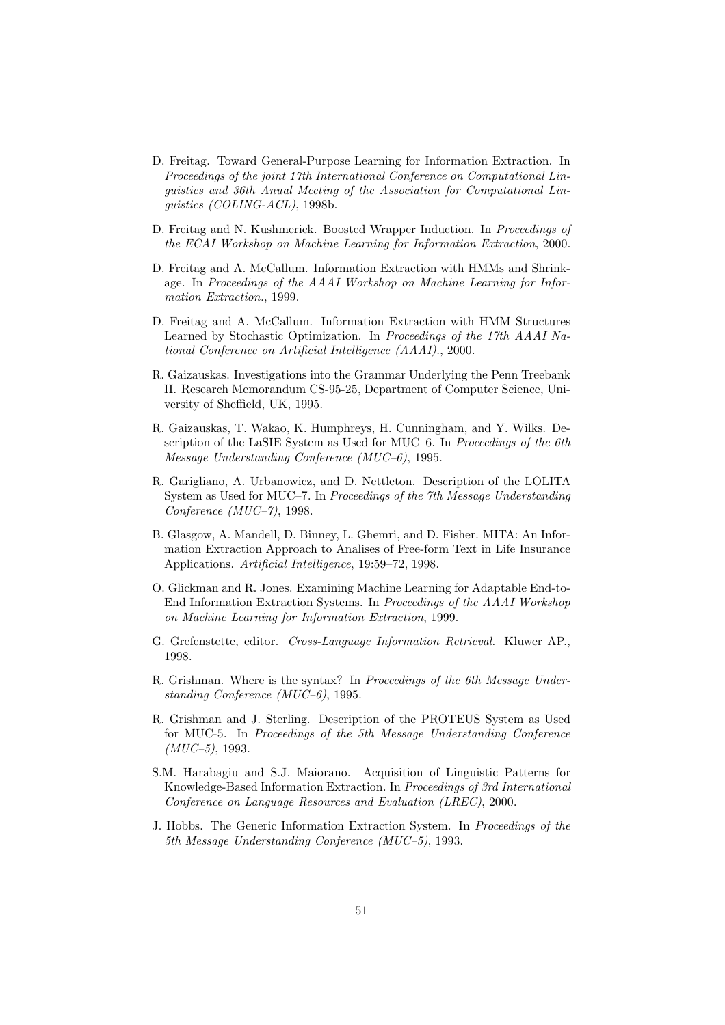- D. Freitag. Toward General-Purpose Learning for Information Extraction. In Proceedings of the joint 17th International Conference on Computational Linguistics and 36th Anual Meeting of the Association for Computational Linguistics (COLING-ACL), 1998b.
- D. Freitag and N. Kushmerick. Boosted Wrapper Induction. In Proceedings of the ECAI Workshop on Machine Learning for Information Extraction, 2000.
- D. Freitag and A. McCallum. Information Extraction with HMMs and Shrinkage. In Proceedings of the AAAI Workshop on Machine Learning for Information Extraction., 1999.
- D. Freitag and A. McCallum. Information Extraction with HMM Structures Learned by Stochastic Optimization. In Proceedings of the 17th AAAI National Conference on Artificial Intelligence (AAAI)., 2000.
- R. Gaizauskas. Investigations into the Grammar Underlying the Penn Treebank II. Research Memorandum CS-95-25, Department of Computer Science, University of Sheffield, UK, 1995.
- R. Gaizauskas, T. Wakao, K. Humphreys, H. Cunningham, and Y. Wilks. Description of the LaSIE System as Used for MUC–6. In Proceedings of the 6th Message Understanding Conference (MUC–6), 1995.
- R. Garigliano, A. Urbanowicz, and D. Nettleton. Description of the LOLITA System as Used for MUC–7. In Proceedings of the 7th Message Understanding Conference (MUC–7), 1998.
- B. Glasgow, A. Mandell, D. Binney, L. Ghemri, and D. Fisher. MITA: An Information Extraction Approach to Analises of Free-form Text in Life Insurance Applications. Artificial Intelligence, 19:59–72, 1998.
- O. Glickman and R. Jones. Examining Machine Learning for Adaptable End-to-End Information Extraction Systems. In Proceedings of the AAAI Workshop on Machine Learning for Information Extraction, 1999.
- G. Grefenstette, editor. Cross-Language Information Retrieval. Kluwer AP., 1998.
- R. Grishman. Where is the syntax? In Proceedings of the 6th Message Understanding Conference (MUC–6), 1995.
- R. Grishman and J. Sterling. Description of the PROTEUS System as Used for MUC-5. In Proceedings of the 5th Message Understanding Conference  $(MUC-5)$ , 1993.
- S.M. Harabagiu and S.J. Maiorano. Acquisition of Linguistic Patterns for Knowledge-Based Information Extraction. In Proceedings of 3rd International Conference on Language Resources and Evaluation (LREC), 2000.
- J. Hobbs. The Generic Information Extraction System. In Proceedings of the 5th Message Understanding Conference (MUC–5), 1993.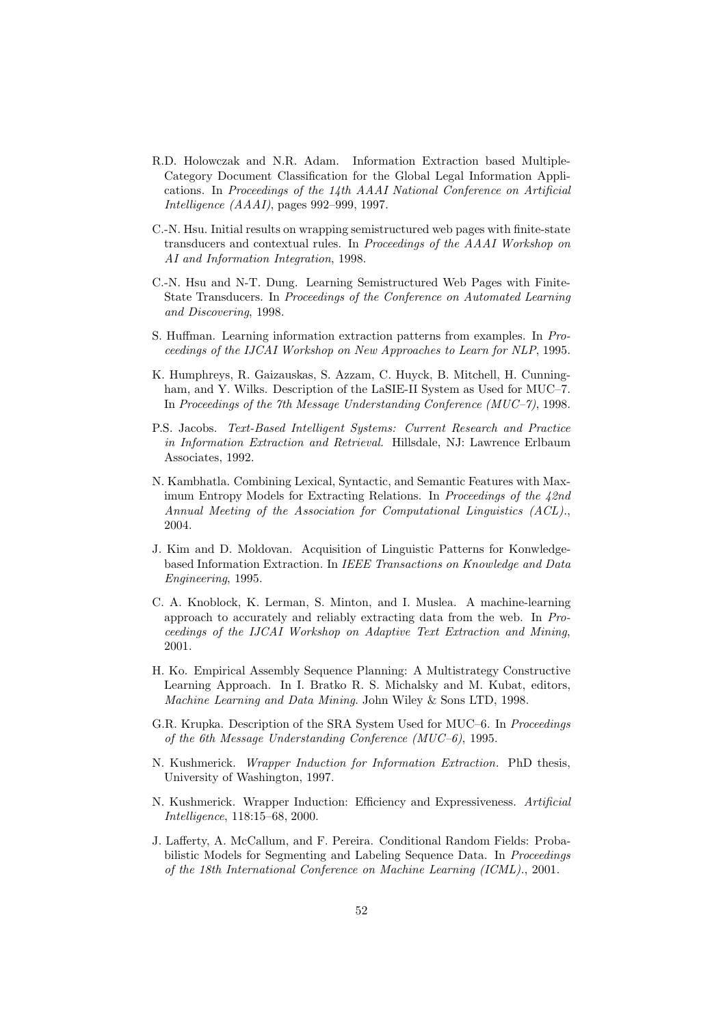- R.D. Holowczak and N.R. Adam. Information Extraction based Multiple-Category Document Classification for the Global Legal Information Applications. In Proceedings of the 14th AAAI National Conference on Artificial Intelligence (AAAI), pages 992–999, 1997.
- C.-N. Hsu. Initial results on wrapping semistructured web pages with finite-state transducers and contextual rules. In Proceedings of the AAAI Workshop on AI and Information Integration, 1998.
- C.-N. Hsu and N-T. Dung. Learning Semistructured Web Pages with Finite-State Transducers. In Proceedings of the Conference on Automated Learning and Discovering, 1998.
- S. Huffman. Learning information extraction patterns from examples. In Proceedings of the IJCAI Workshop on New Approaches to Learn for NLP, 1995.
- K. Humphreys, R. Gaizauskas, S. Azzam, C. Huyck, B. Mitchell, H. Cunningham, and Y. Wilks. Description of the LaSIE-II System as Used for MUC–7. In Proceedings of the 7th Message Understanding Conference (MUC–7), 1998.
- P.S. Jacobs. Text-Based Intelligent Systems: Current Research and Practice in Information Extraction and Retrieval. Hillsdale, NJ: Lawrence Erlbaum Associates, 1992.
- N. Kambhatla. Combining Lexical, Syntactic, and Semantic Features with Maximum Entropy Models for Extracting Relations. In Proceedings of the 42nd Annual Meeting of the Association for Computational Linguistics (ACL)., 2004.
- J. Kim and D. Moldovan. Acquisition of Linguistic Patterns for Konwledgebased Information Extraction. In IEEE Transactions on Knowledge and Data Engineering, 1995.
- C. A. Knoblock, K. Lerman, S. Minton, and I. Muslea. A machine-learning approach to accurately and reliably extracting data from the web. In Proceedings of the IJCAI Workshop on Adaptive Text Extraction and Mining, 2001.
- H. Ko. Empirical Assembly Sequence Planning: A Multistrategy Constructive Learning Approach. In I. Bratko R. S. Michalsky and M. Kubat, editors, Machine Learning and Data Mining. John Wiley & Sons LTD, 1998.
- G.R. Krupka. Description of the SRA System Used for MUC–6. In Proceedings of the 6th Message Understanding Conference (MUC–6), 1995.
- N. Kushmerick. Wrapper Induction for Information Extraction. PhD thesis, University of Washington, 1997.
- N. Kushmerick. Wrapper Induction: Efficiency and Expressiveness. Artificial Intelligence, 118:15–68, 2000.
- J. Lafferty, A. McCallum, and F. Pereira. Conditional Random Fields: Probabilistic Models for Segmenting and Labeling Sequence Data. In Proceedings of the 18th International Conference on Machine Learning (ICML)., 2001.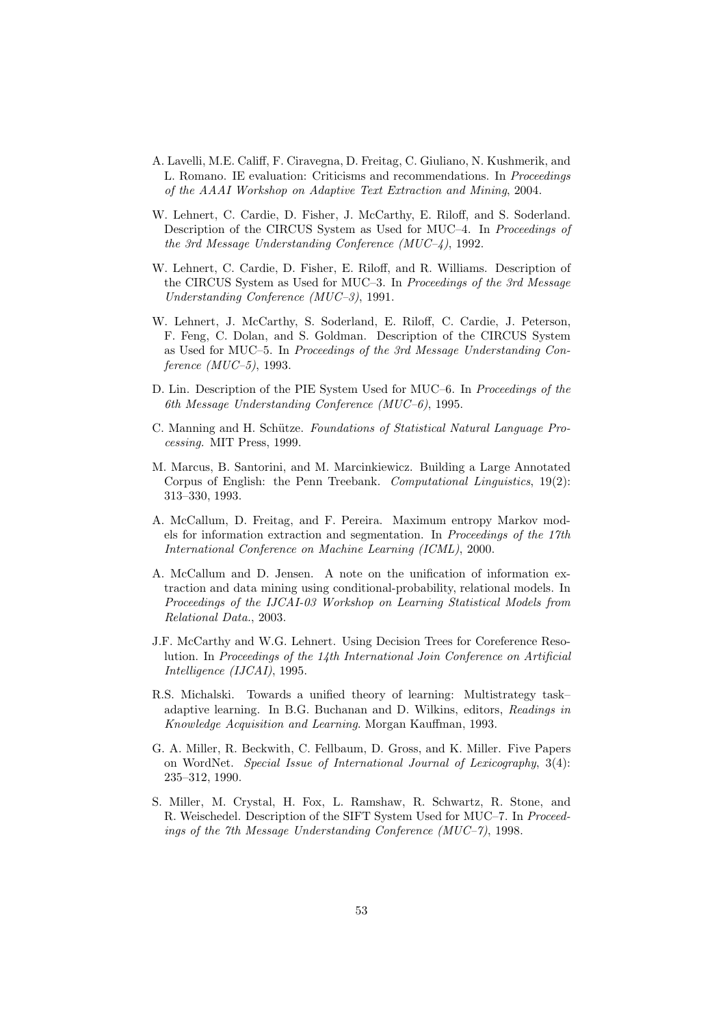- A. Lavelli, M.E. Califf, F. Ciravegna, D. Freitag, C. Giuliano, N. Kushmerik, and L. Romano. IE evaluation: Criticisms and recommendations. In Proceedings of the AAAI Workshop on Adaptive Text Extraction and Mining, 2004.
- W. Lehnert, C. Cardie, D. Fisher, J. McCarthy, E. Riloff, and S. Soderland. Description of the CIRCUS System as Used for MUC–4. In Proceedings of the 3rd Message Understanding Conference (MUC–4), 1992.
- W. Lehnert, C. Cardie, D. Fisher, E. Riloff, and R. Williams. Description of the CIRCUS System as Used for MUC–3. In Proceedings of the 3rd Message Understanding Conference (MUC–3), 1991.
- W. Lehnert, J. McCarthy, S. Soderland, E. Riloff, C. Cardie, J. Peterson, F. Feng, C. Dolan, and S. Goldman. Description of the CIRCUS System as Used for MUC–5. In Proceedings of the 3rd Message Understanding Conference (MUC–5), 1993.
- D. Lin. Description of the PIE System Used for MUC–6. In Proceedings of the 6th Message Understanding Conference (MUC–6), 1995.
- C. Manning and H. Schütze. Foundations of Statistical Natural Language Processing. MIT Press, 1999.
- M. Marcus, B. Santorini, and M. Marcinkiewicz. Building a Large Annotated Corpus of English: the Penn Treebank. Computational Linguistics, 19(2): 313–330, 1993.
- A. McCallum, D. Freitag, and F. Pereira. Maximum entropy Markov models for information extraction and segmentation. In Proceedings of the 17th International Conference on Machine Learning (ICML), 2000.
- A. McCallum and D. Jensen. A note on the unification of information extraction and data mining using conditional-probability, relational models. In Proceedings of the IJCAI-03 Workshop on Learning Statistical Models from Relational Data., 2003.
- J.F. McCarthy and W.G. Lehnert. Using Decision Trees for Coreference Resolution. In Proceedings of the 14th International Join Conference on Artificial Intelligence (IJCAI), 1995.
- R.S. Michalski. Towards a unified theory of learning: Multistrategy task– adaptive learning. In B.G. Buchanan and D. Wilkins, editors, Readings in Knowledge Acquisition and Learning. Morgan Kauffman, 1993.
- G. A. Miller, R. Beckwith, C. Fellbaum, D. Gross, and K. Miller. Five Papers on WordNet. Special Issue of International Journal of Lexicography, 3(4): 235–312, 1990.
- S. Miller, M. Crystal, H. Fox, L. Ramshaw, R. Schwartz, R. Stone, and R. Weischedel. Description of the SIFT System Used for MUC–7. In Proceedings of the 7th Message Understanding Conference (MUC–7), 1998.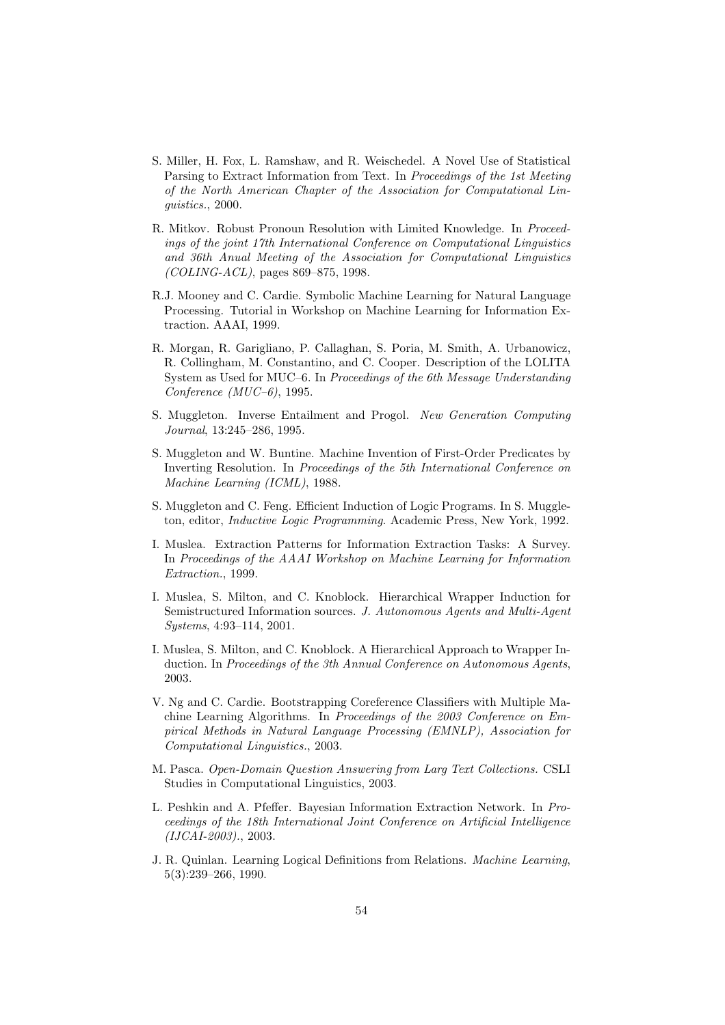- S. Miller, H. Fox, L. Ramshaw, and R. Weischedel. A Novel Use of Statistical Parsing to Extract Information from Text. In *Proceedings of the 1st Meeting* of the North American Chapter of the Association for Computational Linguistics., 2000.
- R. Mitkov. Robust Pronoun Resolution with Limited Knowledge. In Proceedings of the joint 17th International Conference on Computational Linguistics and 36th Anual Meeting of the Association for Computational Linguistics (COLING-ACL), pages 869–875, 1998.
- R.J. Mooney and C. Cardie. Symbolic Machine Learning for Natural Language Processing. Tutorial in Workshop on Machine Learning for Information Extraction. AAAI, 1999.
- R. Morgan, R. Garigliano, P. Callaghan, S. Poria, M. Smith, A. Urbanowicz, R. Collingham, M. Constantino, and C. Cooper. Description of the LOLITA System as Used for MUC–6. In Proceedings of the 6th Message Understanding Conference (MUC–6), 1995.
- S. Muggleton. Inverse Entailment and Progol. New Generation Computing Journal, 13:245–286, 1995.
- S. Muggleton and W. Buntine. Machine Invention of First-Order Predicates by Inverting Resolution. In Proceedings of the 5th International Conference on Machine Learning (ICML), 1988.
- S. Muggleton and C. Feng. Efficient Induction of Logic Programs. In S. Muggleton, editor, Inductive Logic Programming. Academic Press, New York, 1992.
- I. Muslea. Extraction Patterns for Information Extraction Tasks: A Survey. In Proceedings of the AAAI Workshop on Machine Learning for Information Extraction., 1999.
- I. Muslea, S. Milton, and C. Knoblock. Hierarchical Wrapper Induction for Semistructured Information sources. J. Autonomous Agents and Multi-Agent Systems, 4:93–114, 2001.
- I. Muslea, S. Milton, and C. Knoblock. A Hierarchical Approach to Wrapper Induction. In Proceedings of the 3th Annual Conference on Autonomous Agents, 2003.
- V. Ng and C. Cardie. Bootstrapping Coreference Classifiers with Multiple Machine Learning Algorithms. In Proceedings of the 2003 Conference on Empirical Methods in Natural Language Processing (EMNLP), Association for Computational Linguistics., 2003.
- M. Pasca. Open-Domain Question Answering from Larg Text Collections. CSLI Studies in Computational Linguistics, 2003.
- L. Peshkin and A. Pfeffer. Bayesian Information Extraction Network. In Proceedings of the 18th International Joint Conference on Artificial Intelligence (IJCAI-2003)., 2003.
- J. R. Quinlan. Learning Logical Definitions from Relations. Machine Learning, 5(3):239–266, 1990.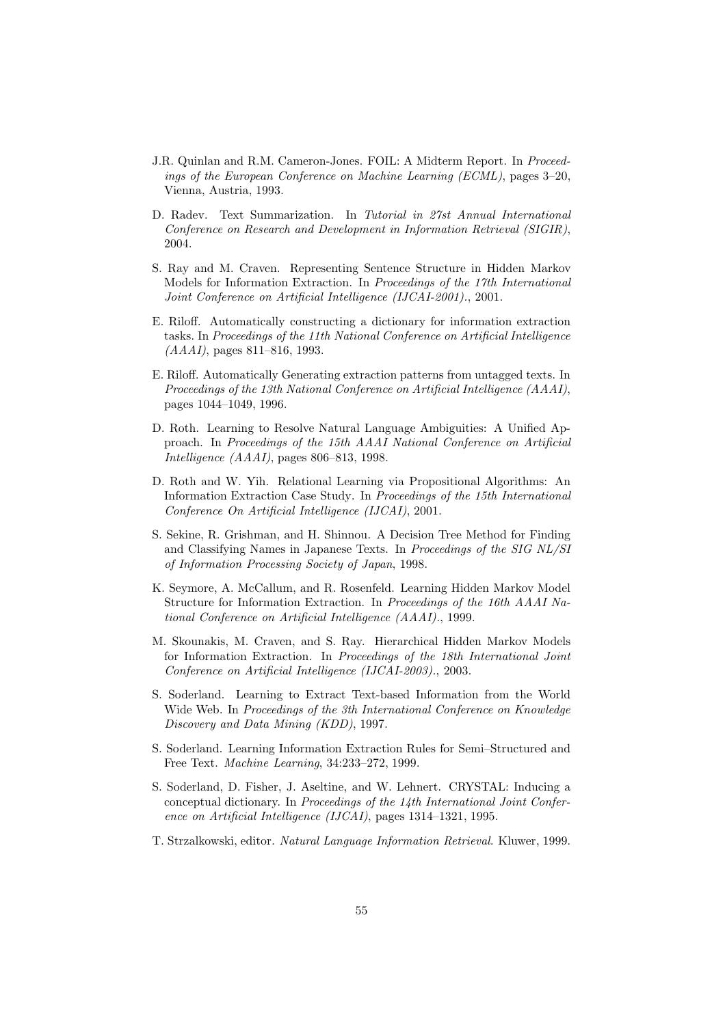- J.R. Quinlan and R.M. Cameron-Jones. FOIL: A Midterm Report. In Proceedings of the European Conference on Machine Learning (ECML), pages 3–20, Vienna, Austria, 1993.
- D. Radev. Text Summarization. In Tutorial in 27st Annual International Conference on Research and Development in Information Retrieval (SIGIR), 2004.
- S. Ray and M. Craven. Representing Sentence Structure in Hidden Markov Models for Information Extraction. In Proceedings of the 17th International Joint Conference on Artificial Intelligence (IJCAI-2001)., 2001.
- E. Riloff. Automatically constructing a dictionary for information extraction tasks. In Proceedings of the 11th National Conference on Artificial Intelligence (AAAI), pages 811–816, 1993.
- E. Riloff. Automatically Generating extraction patterns from untagged texts. In Proceedings of the 13th National Conference on Artificial Intelligence (AAAI), pages 1044–1049, 1996.
- D. Roth. Learning to Resolve Natural Language Ambiguities: A Unified Approach. In Proceedings of the 15th AAAI National Conference on Artificial Intelligence (AAAI), pages 806–813, 1998.
- D. Roth and W. Yih. Relational Learning via Propositional Algorithms: An Information Extraction Case Study. In Proceedings of the 15th International Conference On Artificial Intelligence (IJCAI), 2001.
- S. Sekine, R. Grishman, and H. Shinnou. A Decision Tree Method for Finding and Classifying Names in Japanese Texts. In Proceedings of the SIG NL/SI of Information Processing Society of Japan, 1998.
- K. Seymore, A. McCallum, and R. Rosenfeld. Learning Hidden Markov Model Structure for Information Extraction. In Proceedings of the 16th AAAI National Conference on Artificial Intelligence (AAAI)., 1999.
- M. Skounakis, M. Craven, and S. Ray. Hierarchical Hidden Markov Models for Information Extraction. In Proceedings of the 18th International Joint Conference on Artificial Intelligence (IJCAI-2003)., 2003.
- S. Soderland. Learning to Extract Text-based Information from the World Wide Web. In Proceedings of the 3th International Conference on Knowledge Discovery and Data Mining (KDD), 1997.
- S. Soderland. Learning Information Extraction Rules for Semi–Structured and Free Text. Machine Learning, 34:233–272, 1999.
- S. Soderland, D. Fisher, J. Aseltine, and W. Lehnert. CRYSTAL: Inducing a conceptual dictionary. In Proceedings of the 14th International Joint Conference on Artificial Intelligence (IJCAI), pages 1314–1321, 1995.
- T. Strzalkowski, editor. Natural Language Information Retrieval. Kluwer, 1999.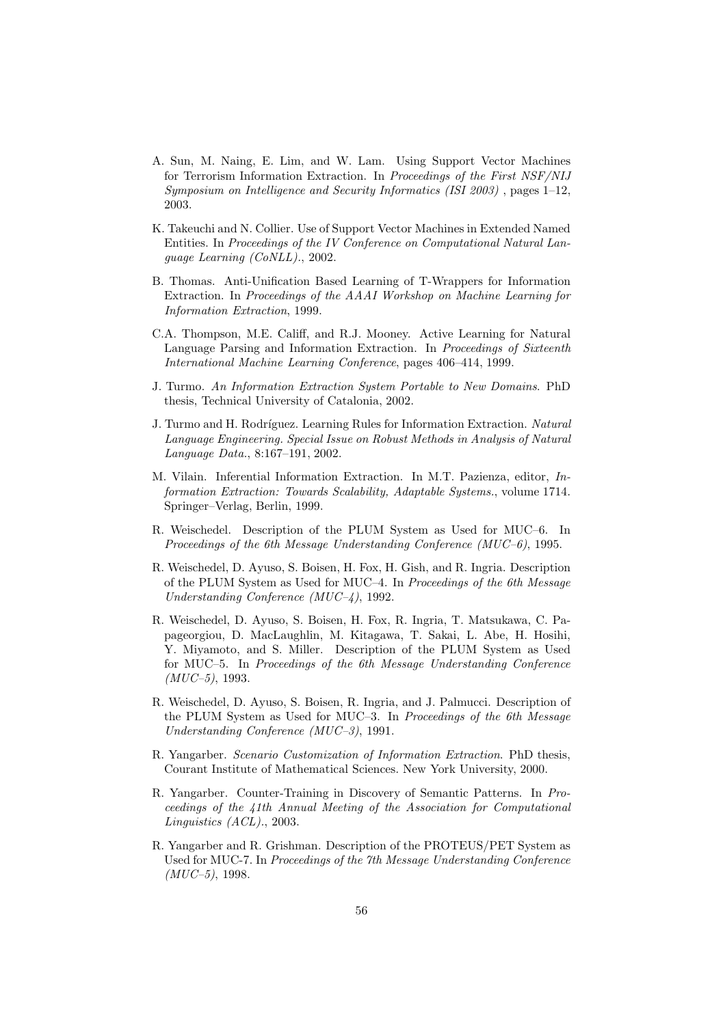- A. Sun, M. Naing, E. Lim, and W. Lam. Using Support Vector Machines for Terrorism Information Extraction. In Proceedings of the First NSF/NIJ Symposium on Intelligence and Security Informatics (ISI 2003), pages  $1-12$ , 2003.
- K. Takeuchi and N. Collier. Use of Support Vector Machines in Extended Named Entities. In Proceedings of the IV Conference on Computational Natural Language Learning (CoNLL)., 2002.
- B. Thomas. Anti-Unification Based Learning of T-Wrappers for Information Extraction. In Proceedings of the AAAI Workshop on Machine Learning for Information Extraction, 1999.
- C.A. Thompson, M.E. Califf, and R.J. Mooney. Active Learning for Natural Language Parsing and Information Extraction. In Proceedings of Sixteenth International Machine Learning Conference, pages 406–414, 1999.
- J. Turmo. An Information Extraction System Portable to New Domains. PhD thesis, Technical University of Catalonia, 2002.
- J. Turmo and H. Rodríguez. Learning Rules for Information Extraction. Natural Language Engineering. Special Issue on Robust Methods in Analysis of Natural Language Data., 8:167–191, 2002.
- M. Vilain. Inferential Information Extraction. In M.T. Pazienza, editor, Information Extraction: Towards Scalability, Adaptable Systems., volume 1714. Springer–Verlag, Berlin, 1999.
- R. Weischedel. Description of the PLUM System as Used for MUC–6. In Proceedings of the 6th Message Understanding Conference (MUC–6), 1995.
- R. Weischedel, D. Ayuso, S. Boisen, H. Fox, H. Gish, and R. Ingria. Description of the PLUM System as Used for MUC–4. In Proceedings of the 6th Message Understanding Conference (MUC–4), 1992.
- R. Weischedel, D. Ayuso, S. Boisen, H. Fox, R. Ingria, T. Matsukawa, C. Papageorgiou, D. MacLaughlin, M. Kitagawa, T. Sakai, L. Abe, H. Hosihi, Y. Miyamoto, and S. Miller. Description of the PLUM System as Used for MUC–5. In Proceedings of the 6th Message Understanding Conference  $(MUC-5)$ , 1993.
- R. Weischedel, D. Ayuso, S. Boisen, R. Ingria, and J. Palmucci. Description of the PLUM System as Used for MUC–3. In Proceedings of the 6th Message Understanding Conference (MUC–3), 1991.
- R. Yangarber. Scenario Customization of Information Extraction. PhD thesis, Courant Institute of Mathematical Sciences. New York University, 2000.
- R. Yangarber. Counter-Training in Discovery of Semantic Patterns. In Proceedings of the 41th Annual Meeting of the Association for Computational Linguistics (ACL)., 2003.
- R. Yangarber and R. Grishman. Description of the PROTEUS/PET System as Used for MUC-7. In Proceedings of the 7th Message Understanding Conference  $(MUC-5)$ , 1998.